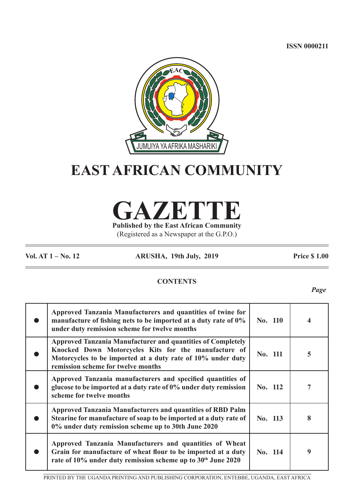**ISSN 0000211**



# **EAST AFRICAN COMMUNITY**

**GAZETTE Published by the East African Community**

(Registered as a Newspaper at the G.P.O.)

**Vol. AT 1 – No. 12 ARUSHA, 19th July, 2019 Price \$ 1.00**

# **CONTENTS**

*Page*

| Approved Tanzania Manufacturers and quantities of twine for<br>manufacture of fishing nets to be imported at a duty rate of 0%<br>under duty remission scheme for twelve months                                          | No. 110 |   |
|--------------------------------------------------------------------------------------------------------------------------------------------------------------------------------------------------------------------------|---------|---|
| Approved Tanzania Manufacturer and quantities of Completely<br>Knocked Down Motorcycles Kits for the manufacture of<br>Motorcycles to be imported at a duty rate of 10% under duty<br>remission scheme for twelve months | No. 111 | 5 |
| Approved Tanzania manufacturers and specified quantities of<br>glucose to be imported at a duty rate of 0% under duty remission<br>scheme for twelve months                                                              | No. 112 | 7 |
| <b>Approved Tanzania Manufacturers and quantities of RBD Palm</b><br>Stearine for manufacture of soap to be imported at a duty rate of<br>0% under duty remission scheme up to 30th June 2020                            | No. 113 | 8 |
| Approved Tanzania Manufacturers and quantities of Wheat<br>Grain for manufacture of wheat flour to be imported at a duty<br>rate of 10% under duty remission scheme up to 30th June 2020                                 | No. 114 | 9 |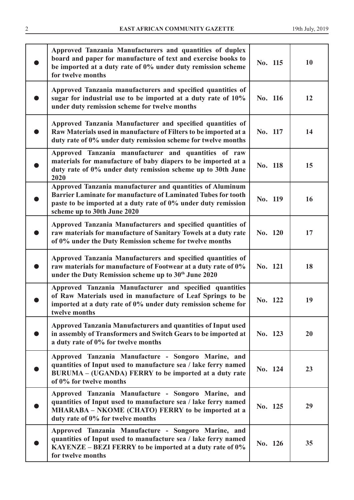| Approved Tanzania Manufacturers and quantities of duplex<br>board and paper for manufacture of text and exercise books to<br>be imported at a duty rate of 0% under duty remission scheme<br>for twelve months                     | No. 115 | <b>10</b> |
|------------------------------------------------------------------------------------------------------------------------------------------------------------------------------------------------------------------------------------|---------|-----------|
| Approved Tanzania manufacturers and specified quantities of<br>sugar for industrial use to be imported at a duty rate of 10%<br>under duty remission scheme for twelve months                                                      | No. 116 | 12        |
| Approved Tanzania Manufacturer and specified quantities of<br>Raw Materials used in manufacture of Filters to be imported at a<br>duty rate of 0% under duty remission scheme for twelve months                                    | No. 117 | 14        |
| Approved Tanzania manufacturer and quantities of raw<br>materials for manufacture of baby diapers to be imported at a<br>duty rate of 0% under duty remission scheme up to 30th June<br>2020                                       | No. 118 | 15        |
| Approved Tanzania manufacturer and quantities of Aluminum<br><b>Barrier Laminate for manufacture of Laminated Tubes for tooth</b><br>paste to be imported at a duty rate of 0% under duty remission<br>scheme up to 30th June 2020 | No. 119 | 16        |
| Approved Tanzania Manufacturers and specified quantities of<br>raw materials for manufacture of Sanitary Towels at a duty rate<br>of 0% under the Duty Remission scheme for twelve months                                          | No. 120 | 17        |
| Approved Tanzania Manufacturers and specified quantities of<br>raw materials for manufacture of Footwear at a duty rate of 0%<br>under the Duty Remission scheme up to 30th June 2020                                              | No. 121 | 18        |
| Approved Tanzania Manufacturer and specified quantities<br>of Raw Materials used in manufacture of Leaf Springs to be<br>imported at a duty rate of 0% under duty remission scheme for<br>twelve months                            | No. 122 | 19        |
| <b>Approved Tanzania Manufacturers and quantities of Input used</b><br>in assembly of Transformers and Switch Gears to be imported at<br>a duty rate of 0% for twelve months                                                       | No. 123 | 20        |
| Approved Tanzania Manufacture - Songoro Marine, and<br>quantities of Input used to manufacture sea / lake ferry named<br>BURUMA – (UGANDA) FERRY to be imported at a duty rate<br>of 0% for twelve months                          | No. 124 | 23        |
| Approved Tanzania Manufacture - Songoro Marine, and<br>quantities of Input used to manufacture sea / lake ferry named<br>MHARABA - NKOME (CHATO) FERRY to be imported at a<br>duty rate of 0% for twelve months                    | No. 125 | 29        |
| Approved Tanzania Manufacture - Songoro Marine, and<br>quantities of Input used to manufacture sea / lake ferry named<br>KAYENZE - BEZI FERRY to be imported at a duty rate of 0%<br>for twelve months                             | No. 126 | 35        |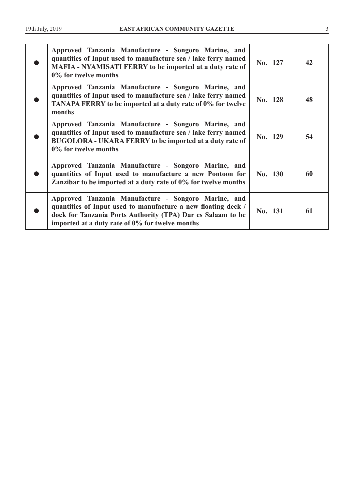| Approved Tanzania Manufacture - Songoro Marine, and<br>quantities of Input used to manufacture sea / lake ferry named<br><b>MAFIA - NYAMISATI FERRY to be imported at a duty rate of</b><br>0% for twelve months                       | No. 127 | 42 |
|----------------------------------------------------------------------------------------------------------------------------------------------------------------------------------------------------------------------------------------|---------|----|
| Approved Tanzania Manufacture - Songoro Marine, and<br>quantities of Input used to manufacture sea / lake ferry named<br>TANAPA FERRY to be imported at a duty rate of 0% for twelve<br>months                                         | No. 128 | 48 |
| Approved Tanzania Manufacture - Songoro Marine, and<br>quantities of Input used to manufacture sea / lake ferry named<br><b>BUGOLORA - UKARA FERRY to be imported at a duty rate of</b><br>0% for twelve months                        | No. 129 | 54 |
| Approved Tanzania Manufacture - Songoro Marine, and<br>quantities of Input used to manufacture a new Pontoon for<br>Zanzibar to be imported at a duty rate of 0% for twelve months                                                     | No. 130 | 60 |
| Approved Tanzania Manufacture - Songoro Marine, and<br>quantities of Input used to manufacture a new floating deck /<br>dock for Tanzania Ports Authority (TPA) Dar es Salaam to be<br>imported at a duty rate of 0% for twelve months | No. 131 | 61 |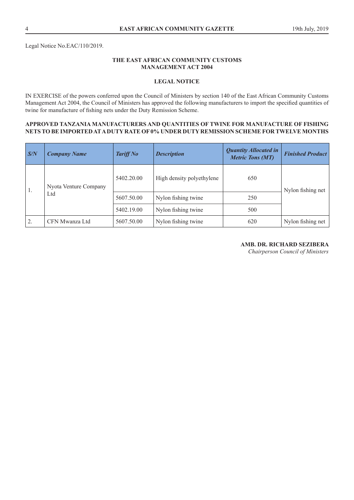Legal Notice No.EAC/110/2019.

# **THE EAST AFRICAN COMMUNITY CUSTOMS MANAGEMENT ACT 2004**

## **LEGAL NOTICE**

IN EXERCISE of the powers conferred upon the Council of Ministers by section 140 of the East African Community Customs Management Act 2004, the Council of Ministers has approved the following manufacturers to import the specified quantities of twine for manufacture of fishing nets under the Duty Remission Scheme.

#### **APPROVED TANZANIA MANUFACTURERS AND QUANTITIES OF TWINE FOR MANUFACTURE OF FISHING NETS TO BE IMPORTED AT A DUTY RATE OF 0% UNDER DUTY REMISSION SCHEME FOR TWELVE MONTHS**

| S/N | <b>Company Name</b>   | <b>Tariff No</b> | <b>Description</b>        | <b>Quantity Allocated in</b><br><b>Metric Tons (MT)</b> | <b>Finished Product</b> |  |
|-----|-----------------------|------------------|---------------------------|---------------------------------------------------------|-------------------------|--|
| 1.  | Nyota Venture Company | 5402.20.00       | High density polyethylene | 650                                                     | Nylon fishing net       |  |
|     | Ltd                   | 5607.50.00       | Nylon fishing twine       | 250                                                     |                         |  |
|     |                       | 5402.19.00       | Nylon fishing twine       | 500                                                     |                         |  |
| 2.  | CFN Mwanza Ltd        | 5607.50.00       | Nylon fishing twine       | 620                                                     | Nylon fishing net       |  |

# **AMB. DR. RICHARD SEZIBERA**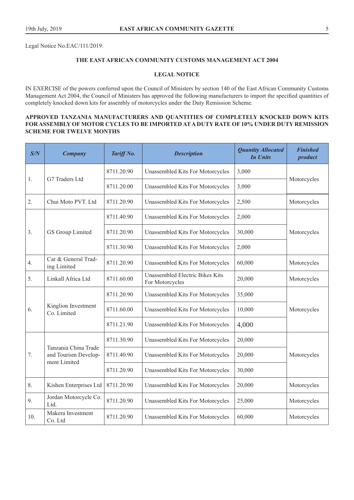Legal Notice No.EAC/111/2019.

# **THE EAST AFRICAN COMMUNITY CUSTOMS MANAGEMENT ACT 2004**

#### **LEGAL NOTICE**

IN EXERCISE of the powers conferred upon the Council of Ministers by section 140 of the East African Community Customs Management Act 2004, the Council of Ministers has approved the following manufacturers to import the specified quantities of completely knocked down kits for assembly of motorcycles under the Duty Remission Scheme.

### **APPROVED TANZANIA MANUFACTURERS AND QUANTITIES OF COMPLETELY KNOCKED DOWN KITS FOR ASSEMBLY OF MOTOR CYCLES TO BE IMPORTED AT A DUTY RATE OF 10% UNDER DUTY REMISSION SCHEME FOR TWELVE MONTHS**

| S/N | <b>Company</b>                                               | Tariff No. | <b>Description</b>                                 | <b>Quantity Allocated</b><br><b>In Units</b> | <b>Finished</b><br>product |
|-----|--------------------------------------------------------------|------------|----------------------------------------------------|----------------------------------------------|----------------------------|
|     |                                                              | 8711.20.90 | Unassembled Kits For Motorcycles                   | 3,000                                        |                            |
| 1.  | G7 Traders Ltd                                               | 8711.20.00 | <b>Unassembled Kits For Motorcycles</b>            | 3,000                                        | Motorcycles                |
| 2.  | Chui Moto PVT. Ltd                                           | 8711.20.90 | Unassembled Kits For Motorcycles                   | 2,500                                        | Motorcycles                |
|     |                                                              | 8711.40.90 | Unassembled Kits For Motorcycles                   | 2,000                                        |                            |
| 3.  | GS Group Limited                                             | 8711.20.90 | <b>Unassembled Kits For Motorcycles</b>            | 30,000                                       | Motorcycles                |
|     |                                                              | 8711.30.90 | Unassembled Kits For Motorcycles                   | 2,000                                        |                            |
| 4.  | Car & General Trad-<br>ing Limited                           | 8711.20.90 | Unassembled Kits For Motorcycles                   | 60,000                                       | Motorcycles                |
| 5.  | Linkall Africa Ltd                                           | 8711.60.00 | Unassembled Electric Bikes Kits<br>For Motorcycles | 20,000                                       | Motorcycles                |
|     | Kinglion Investment<br>Co. Limited                           | 8711.20.90 | Unassembled Kits For Motorcycles                   | 35,000                                       |                            |
| 6.  |                                                              | 8711.60.00 | Unassembled Kits For Motorcycles                   | 10,000                                       | Motorcycles                |
|     |                                                              | 8711.21.90 | Unassembled Kits For Motorcycles                   | 4,000                                        |                            |
|     |                                                              | 8711.30.90 | Unassembled Kits For Motorcycles                   | 20,000                                       |                            |
| 7.  | Tanzania China Trade<br>and Tourism Develop-<br>ment Limited | 8711.40.90 | <b>Unassembled Kits For Motorcycles</b>            | 20,000                                       | Motorcycles                |
|     |                                                              | 8711.20.90 | Unassembled Kits For Motorcycles                   | 30,000                                       |                            |
| 8.  | Kishen Enterprises Ltd                                       | 8711.20.90 | <b>Unassembled Kits For Motorcycles</b>            | 20,000                                       | Motorcycles                |
| 9.  | Jordan Motorcycle Co.<br>Ltd.                                | 8711.20.90 | <b>Unassembled Kits For Motorcycles</b>            | 25,000                                       | Motorcycles                |
| 10. | Makera Investment<br>Co. Ltd                                 | 8711.20.90 | <b>Unassembled Kits For Motorcycles</b>            | 60,000                                       | Motorcycles                |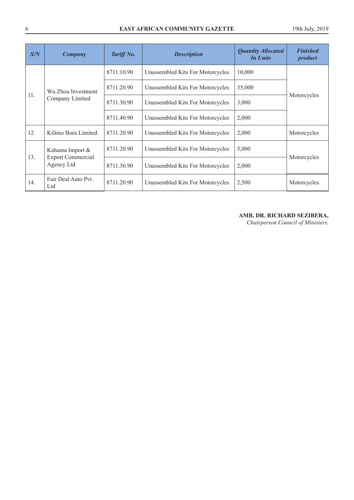| S/N | <b>Company</b>                         | Tariff No. | <b>Description</b>               | <b>Quantity Allocated</b><br><b>In Units</b> | <b>Finished</b><br>product |  |
|-----|----------------------------------------|------------|----------------------------------|----------------------------------------------|----------------------------|--|
|     |                                        | 8711.10.90 | Unassembled Kits For Motorcycles | 10,000                                       |                            |  |
|     | Wu Zhou Investment<br>Company Limited  | 8711.20.90 | Unassembled Kits For Motorcycles | 35,000                                       |                            |  |
| 11. |                                        | 8711.30.90 | Unassembled Kits For Motorcycles | 3,000                                        | Motorcycles                |  |
|     |                                        | 8711.40.90 | Unassembled Kits For Motorcycles | 2,000                                        |                            |  |
| 12. | Kilimo Bora Limited                    | 8711.20.90 | Unassembled Kits For Motorcycles | 2,000                                        | Motorcycles                |  |
|     | Kahama Import &                        | 8711.20.90 | Unassembled Kits For Motorcycles | 5,000                                        |                            |  |
| 13. | <b>Export Commercial</b><br>Agency Ltd | 8711.30.90 | Unassembled Kits For Motorcycles | 2,000                                        | Motorcycles                |  |
| 14. | Fair Deal Auto Pyt.<br>Ltd             | 8711.20.90 | Unassembled Kits For Motorcycles | 2,500                                        | Motorcycles                |  |

# **AMB. DR. RICHARD SEZIBERA,**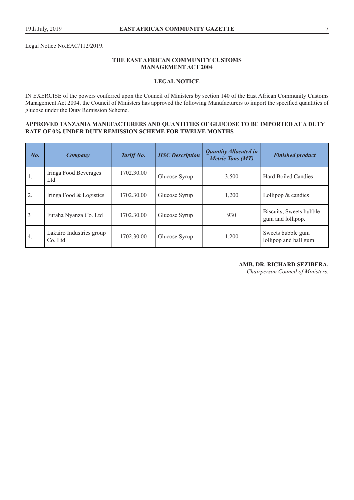Legal Notice No.EAC/112/2019.

### **THE EAST AFRICAN COMMUNITY CUSTOMS MANAGEMENT ACT 2004**

# **LEGAL NOTICE**

IN EXERCISE of the powers conferred upon the Council of Ministers by section 140 of the East African Community Customs Management Act 2004, the Council of Ministers has approved the following Manufacturers to import the specified quantities of glucose under the Duty Remission Scheme.

### **APPROVED TANZANIA MANUFACTURERS AND QUANTITIES OF GLUCOSE TO BE IMPORTED AT A DUTY RATE OF 0% UNDER DUTY REMISSION SCHEME FOR TWELVE MONTHS**

| $\mathbb{N}$ o.  | Company                             | Tariff No. | <b>HSC</b> Description | <b>Quantity Allocated in</b><br><b>Metric Tons (MT)</b> | <b>Finished product</b>                      |
|------------------|-------------------------------------|------------|------------------------|---------------------------------------------------------|----------------------------------------------|
| $\overline{1}$ . | Iringa Food Beverages<br>Ltd        | 1702.30.00 | Glucose Syrup          | 3,500                                                   | Hard Boiled Candies                          |
| $\overline{2}$ . | Iringa Food & Logistics             | 1702.30.00 | Glucose Syrup          | 1,200                                                   | Lollipop $&$ candies                         |
| $\overline{3}$   | Furaha Nyanza Co. Ltd               | 1702.30.00 | Glucose Syrup          | 930                                                     | Biscuits, Sweets bubble<br>gum and lollipop. |
| 4.               | Lakairo Industries group<br>Co. Ltd | 1702.30.00 | Glucose Syrup          | 1,200                                                   | Sweets bubble gum<br>lollipop and ball gum   |

**AMB. DR. RICHARD SEZIBERA,**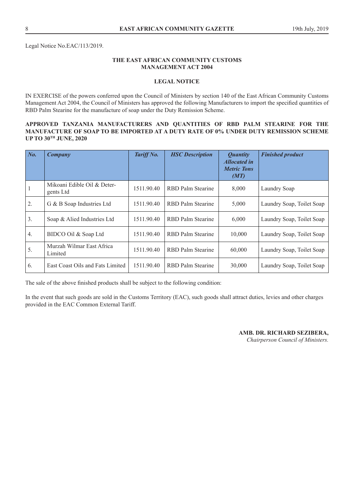Legal Notice No.EAC/113/2019.

# **THE EAST AFRICAN COMMUNITY CUSTOMS MANAGEMENT ACT 2004**

## **LEGAL NOTICE**

IN EXERCISE of the powers conferred upon the Council of Ministers by section 140 of the East African Community Customs Management Act 2004, the Council of Ministers has approved the following Manufacturers to import the specified quantities of RBD Palm Stearine for the manufacture of soap under the Duty Remission Scheme.

#### **APPROVED TANZANIA MANUFACTURERS AND QUANTITIES OF RBD PALM STEARINE FOR THE MANUFACTURE OF SOAP TO BE IMPORTED AT A DUTY RATE OF 0% UNDER DUTY REMISSION SCHEME UP TO 30TH JUNE, 2020**

| $N_{0.}$     | Company                                  | Tariff No. | <b>HSC</b> Description   | <i><b>Ouantity</b></i><br><b>Allocated in</b><br><b>Metric Tons</b><br>(MT) | <b>Finished product</b>   |
|--------------|------------------------------------------|------------|--------------------------|-----------------------------------------------------------------------------|---------------------------|
| $\mathbf{1}$ | Mikoani Edible Oil & Deter-<br>gents Ltd | 1511.90.40 | RBD Palm Stearine        | 8,000                                                                       | Laundry Soap              |
| 2.           | G & B Soap Industries Ltd                | 1511.90.40 | <b>RBD</b> Palm Stearine | 5,000                                                                       | Laundry Soap, Toilet Soap |
| 3.           | Soap & Alied Industries Ltd              | 1511.90.40 | <b>RBD</b> Palm Stearine | 6,000                                                                       | Laundry Soap, Toilet Soap |
| 4.           | BIDCO Oil & Soap Ltd                     | 1511.90.40 | <b>RBD</b> Palm Stearine | 10,000                                                                      | Laundry Soap, Toilet Soap |
| 5.           | Murzah Wilmar East Africa<br>Limited     | 1511.90.40 | <b>RBD</b> Palm Stearine | 60,000                                                                      | Laundry Soap, Toilet Soap |
| 6.           | East Coast Oils and Fats Limited         | 1511.90.40 | RBD Palm Stearine        | 30,000                                                                      | Laundry Soap, Toilet Soap |

The sale of the above finished products shall be subject to the following condition:

In the event that such goods are sold in the Customs Territory (EAC), such goods shall attract duties, levies and other charges provided in the EAC Common External Tariff.

**AMB. DR. RICHARD SEZIBERA,**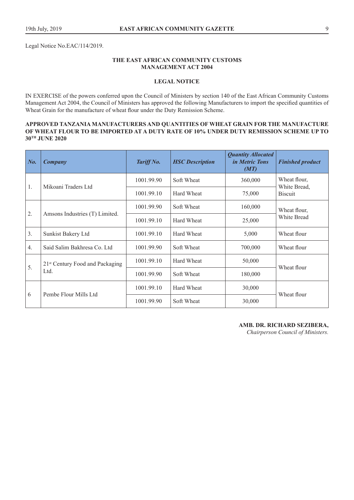Legal Notice No.EAC/114/2019.

## **THE EAST AFRICAN COMMUNITY CUSTOMS MANAGEMENT ACT 2004**

# **LEGAL NOTICE**

IN EXERCISE of the powers conferred upon the Council of Ministers by section 140 of the East African Community Customs Management Act 2004, the Council of Ministers has approved the following Manufacturers to import the specified quantities of Wheat Grain for the manufacture of wheat flour under the Duty Remission Scheme.

#### **APPROVED TANZANIA MANUFACTURERS AND QUANTITIES OF WHEAT GRAIN FOR THE MANUFACTURE OF WHEAT FLOUR TO BE IMPORTED AT A DUTY RATE OF 10% UNDER DUTY REMISSION SCHEME UP TO 30TH JUNE 2020**

| $N_{0}$ . | <b>Company</b>                                      | Tariff No. | <b>HSC</b> Description | <b>Quantity Allocated</b><br><i>in Metric Tons</i><br>(MT) | <b>Finished product</b>        |  |
|-----------|-----------------------------------------------------|------------|------------------------|------------------------------------------------------------|--------------------------------|--|
| 1.        |                                                     | 1001.99.90 | Soft Wheat             | 360,000                                                    | Wheat flour,                   |  |
|           | Mikoani Traders Ltd                                 | 1001.99.10 | Hard Wheat             | 75,000                                                     | White Bread,<br><b>Biscuit</b> |  |
|           |                                                     | 1001.99.90 | Soft Wheat             | 160,000                                                    | Wheat flour,                   |  |
| 2.        | Amsons Industries (T) Limited.                      | 1001.99.10 | Hard Wheat             | 25,000                                                     | White Bread                    |  |
| 3.        | Sunkist Bakery Ltd                                  | 1001.99.10 | Hard Wheat             | 5,000                                                      | Wheat flour                    |  |
| 4.        | Said Salim Bakhresa Co. Ltd.                        | 1001.99.90 | Soft Wheat             | 700,000                                                    | Wheat flour                    |  |
|           | 21 <sup>st</sup> Century Food and Packaging<br>Ltd. | 1001.99.10 | Hard Wheat             | 50,000                                                     |                                |  |
| 5.        |                                                     | 1001.99.90 | Soft Wheat             | 180,000                                                    | Wheat flour                    |  |
|           | Pembe Flour Mills Ltd                               | 1001.99.10 | Hard Wheat             | 30,000                                                     |                                |  |
| 6         |                                                     | 1001.99.90 | Soft Wheat             | 30,000                                                     | Wheat flour                    |  |

**AMB. DR. RICHARD SEZIBERA,**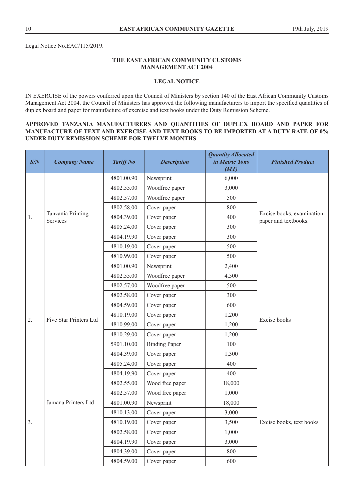Legal Notice No.EAC/115/2019.

# **THE EAST AFRICAN COMMUNITY CUSTOMS MANAGEMENT ACT 2004**

# **LEGAL NOTICE**

IN EXERCISE of the powers conferred upon the Council of Ministers by section 140 of the East African Community Customs Management Act 2004, the Council of Ministers has approved the following manufacturers to import the specified quantities of duplex board and paper for manufacture of exercise and text books under the Duty Remission Scheme.

# **APPROVED TANZANIA MANUFACTURERS AND QUANTITIES OF DUPLEX BOARD AND PAPER FOR MANUFACTURE OF TEXT AND EXERCISE AND TEXT BOOKS TO BE IMPORTED AT A DUTY RATE OF 0% UNDER DUTY REMISSION SCHEME FOR TWELVE MONTHS**

| S/N | <b>Company Name</b>           | <b>Tariff No</b> | <b>Description</b>   | <b>Quantity Allocated</b><br>in Metric Tons<br>(MT) | <b>Finished Product</b>                           |
|-----|-------------------------------|------------------|----------------------|-----------------------------------------------------|---------------------------------------------------|
|     |                               | 4801.00.90       | Newsprint            | 6,000                                               |                                                   |
|     |                               | 4802.55.00       | Woodfree paper       | 3,000                                               |                                                   |
|     |                               | 4802.57.00       | Woodfree paper       | 500                                                 |                                                   |
|     |                               | 4802.58.00       | Cover paper          | 800                                                 |                                                   |
| 1.  | Tanzania Printing<br>Services | 4804.39.00       | Cover paper          | 400                                                 | Excise books, examination<br>paper and textbooks. |
|     |                               | 4805.24.00       | Cover paper          | 300                                                 |                                                   |
|     |                               | 4804.19.90       | Cover paper          | 300                                                 |                                                   |
|     |                               | 4810.19.00       | Cover paper          | 500                                                 |                                                   |
|     |                               | 4810.99.00       | Cover paper          | 500                                                 |                                                   |
|     |                               | 4801.00.90       | Newsprint            | 2,400                                               |                                                   |
|     |                               | 4802.55.00       | Woodfree paper       | 4,500                                               |                                                   |
|     |                               | 4802.57.00       | Woodfree paper       | 500                                                 |                                                   |
|     | Five Star Printers Ltd        | 4802.58.00       | Cover paper          | 300                                                 |                                                   |
|     |                               | 4804.59.00       | Cover paper          | 600                                                 |                                                   |
| 2.  |                               | 4810.19.00       | Cover paper          | 1,200                                               | Excise books                                      |
|     |                               | 4810.99.00       | Cover paper          | 1,200                                               |                                                   |
|     |                               | 4810.29.00       | Cover paper          | 1,200                                               |                                                   |
|     |                               | 5901.10.00       | <b>Binding Paper</b> | 100                                                 |                                                   |
|     |                               | 4804.39.00       | Cover paper          | 1,300                                               |                                                   |
|     |                               | 4805.24.00       | Cover paper          | 400                                                 |                                                   |
|     |                               | 4804.19.90       | Cover paper          | 400                                                 |                                                   |
|     |                               | 4802.55.00       | Wood free paper      | 18,000                                              |                                                   |
|     |                               | 4802.57.00       | Wood free paper      | 1,000                                               |                                                   |
|     | Jamana Printers Ltd           | 4801.00.90       | Newsprint            | 18,000                                              |                                                   |
|     |                               | 4810.13.00       | Cover paper          | 3,000                                               |                                                   |
| 3.  |                               | 4810.19.00       | Cover paper          | 3,500                                               | Excise books, text books                          |
|     |                               | 4802.58.00       | Cover paper          | 1,000                                               |                                                   |
|     |                               | 4804.19.90       | Cover paper          | 3,000                                               |                                                   |
|     |                               | 4804.39.00       | Cover paper          | 800                                                 |                                                   |
|     |                               | 4804.59.00       | Cover paper          | 600                                                 |                                                   |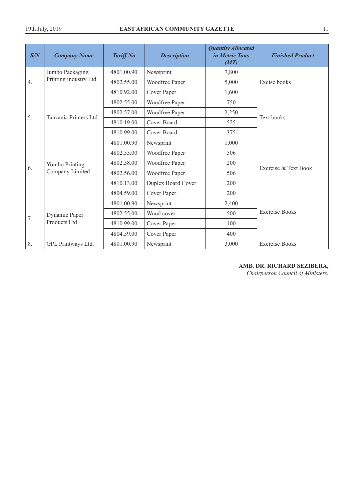| S/N | <b>Company Name</b>               | <b>Tariff No</b> | <b>Description</b> | <b>Quantity Allocated</b><br>in Metric Tons<br>(MT) | <b>Finished Product</b> |
|-----|-----------------------------------|------------------|--------------------|-----------------------------------------------------|-------------------------|
|     | Jumbo Packaging                   | 4801.00.90       | Newsprint          | 7,800                                               |                         |
| 4.  | Printing industry Ltd             | 4802.55.00       | Woodfree Paper     | 5,000                                               | Excise books            |
|     |                                   | 4810.92.00       | Cover Paper        | 1,600                                               |                         |
|     |                                   | 4802.55.00       | Woodfree Paper     | 750                                                 |                         |
|     |                                   | 4802.57.00       | Woodfree Paper     | 2,250                                               |                         |
| 5.  | Tanzania Printers Ltd.            | 4810.19.00       | Cover Board        | 525                                                 | Text books              |
|     |                                   | 4810.99.00       | Cover Board        | 375                                                 |                         |
|     | Yombo Printing<br>Company Limited | 4801.00.90       | Newsprint          | 1,000                                               |                         |
|     |                                   | 4802.55.00       | Woodfree Paper     | 506                                                 |                         |
|     |                                   | 4802.58.00       | Woodfree Paper     | 200                                                 |                         |
| 6.  |                                   | 4802.56.00       | Woodfree Paper     | 506                                                 | Exercise & Text Book    |
|     |                                   | 4810.13.00       | Duplex Board Cover | 200                                                 |                         |
|     |                                   | 4804.59.00       | Cover Paper        | 200                                                 |                         |
|     |                                   | 4801.00.90       | Newsprint          | 2,400                                               |                         |
|     | Dynamic Paper                     | 4802.55.00       | Wood cover         | 500                                                 | <b>Exercise Books</b>   |
| 7.  | Products Ltd                      | 4810.99.00       | Cover Paper        | 100                                                 |                         |
|     |                                   | 4804.59.00       | Cover Paper        | 400                                                 |                         |
| 8.  | GPL Printways Ltd.                | 4801.00.90       | Newsprint          | 3,000                                               | <b>Exercise Books</b>   |

# **AMB. DR. RICHARD SEZIBERA,**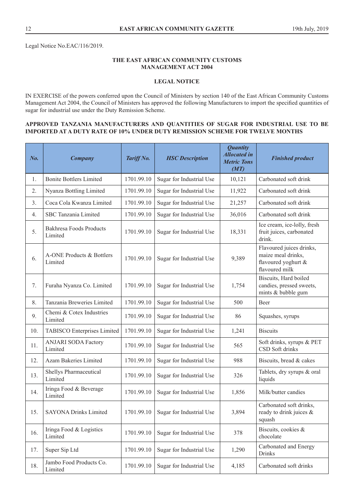Legal Notice No.EAC/116/2019.

# **THE EAST AFRICAN COMMUNITY CUSTOMS MANAGEMENT ACT 2004**

# **LEGAL NOTICE**

IN EXERCISE of the powers conferred upon the Council of Ministers by section 140 of the East African Community Customs Management Act 2004, the Council of Ministers has approved the following Manufacturers to import the specified quantities of sugar for industrial use under the Duty Remission Scheme.

#### **APPROVED TANZANIA MANUFACTURERS AND QUANTITIES OF SUGAR FOR INDUSTRIAL USE TO BE IMPORTED AT A DUTY RATE OF 10% UNDER DUTY REMISSION SCHEME FOR TWELVE MONTHS**

| No. | <b>Company</b>                            | Tariff No. | <b>HSC</b> Description   | <b>Quantity</b><br><b>Allocated in</b><br><b>Metric Tons</b><br>(MT) | <b>Finished product</b>                                                                 |
|-----|-------------------------------------------|------------|--------------------------|----------------------------------------------------------------------|-----------------------------------------------------------------------------------------|
| 1.  | <b>Bonite Bottlers Limited</b>            | 1701.99.10 | Sugar for Industrial Use | 10,121                                                               | Carbonated soft drink                                                                   |
| 2.  | Nyanza Bottling Limited                   | 1701.99.10 | Sugar for Industrial Use | 11,922                                                               | Carbonated soft drink                                                                   |
| 3.  | Coca Cola Kwanza Limited                  | 1701.99.10 | Sugar for Industrial Use | 21,257                                                               | Carbonated soft drink                                                                   |
| 4.  | SBC Tanzania Limited                      | 1701.99.10 | Sugar for Industrial Use | 36,016                                                               | Carbonated soft drink                                                                   |
| 5.  | <b>Bakhresa Foods Products</b><br>Limited | 1701.99.10 | Sugar for Industrial Use | 18,331                                                               | Ice cream, ice-lolly, fresh<br>fruit juices, carbonated<br>drink.                       |
| 6.  | A-ONE Products & Bottlers<br>Limited      | 1701.99.10 | Sugar for Industrial Use | 9,389                                                                | Flavoured juices drinks,<br>maize meal drinks,<br>flavoured yoghurt &<br>flavoured milk |
| 7.  | Furaha Nyanza Co. Limited                 | 1701.99.10 | Sugar for Industrial Use | 1,754                                                                | Biscuits, Hard boiled<br>candies, pressed sweets,<br>mints & bubble gum                 |
| 8.  | Tanzania Breweries Limited                | 1701.99.10 | Sugar for Industrial Use | 500                                                                  | Beer                                                                                    |
| 9.  | Chemi & Cotex Industries<br>Limited       | 1701.99.10 | Sugar for Industrial Use | 86                                                                   | Squashes, syrups                                                                        |
| 10. | TABISCO Enterprises Limited               | 1701.99.10 | Sugar for Industrial Use | 1,241                                                                | <b>Biscuits</b>                                                                         |
| 11. | <b>ANJARI SODA Factory</b><br>Limited     | 1701.99.10 | Sugar for Industrial Use | 565                                                                  | Soft drinks, syrups & PET<br>CSD Soft drinks                                            |
| 12. | Azam Bakeries Limited                     | 1701.99.10 | Sugar for Industrial Use | 988                                                                  | Biscuits, bread & cakes                                                                 |
| 13. | Shellys Pharmaceutical<br>Limited         | 1701.99.10 | Sugar for Industrial Use | 326                                                                  | Tablets, dry syrups & oral<br>liquids                                                   |
| 14. | Iringa Food & Beverage<br>Limited         | 1701.99.10 | Sugar for Industrial Use | 1,856                                                                | Milk/butter candies                                                                     |
| 15. | <b>SAYONA Drinks Limited</b>              | 1701.99.10 | Sugar for Industrial Use | 3,894                                                                | Carbonated soft drinks,<br>ready to drink juices &<br>squash                            |
| 16. | Iringa Food & Logistics<br>Limited        | 1701.99.10 | Sugar for Industrial Use | 378                                                                  | Biscuits, cookies &<br>chocolate                                                        |
| 17. | Super Sip Ltd                             | 1701.99.10 | Sugar for Industrial Use | 1,290                                                                | Carbonated and Energy<br><b>Drinks</b>                                                  |
| 18. | Jambo Food Products Co.<br>Limited        | 1701.99.10 | Sugar for Industrial Use | 4,185                                                                | Carbonated soft drinks                                                                  |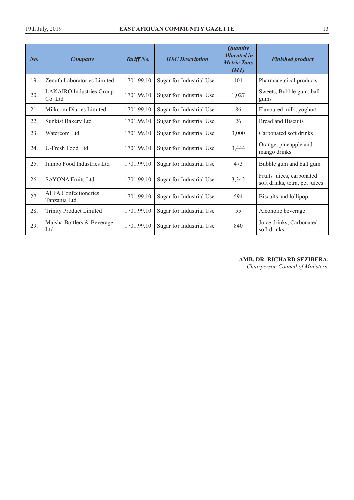| $N_{0}$ | <b>Company</b>                             | Tariff No. | <b>HSC</b> Description   | <b>Quantity</b><br><b>Allocated in</b><br><b>Metric Tons</b><br>(MT) | <b>Finished product</b>                                     |
|---------|--------------------------------------------|------------|--------------------------|----------------------------------------------------------------------|-------------------------------------------------------------|
| 19.     | Zenufa Laboratories Limited                | 1701.99.10 | Sugar for Industrial Use | 101                                                                  | Pharmaceutical products                                     |
| 20.     | <b>LAKAIRO</b> Industries Group<br>Co. Ltd | 1701.99.10 | Sugar for Industrial Use | 1,027                                                                | Sweets, Bubble gum, ball<br>gums                            |
| 21.     | Milkcom Diaries Limited                    | 1701.99.10 | Sugar for Industrial Use | 86                                                                   | Flavoured milk, yoghurt                                     |
| 22.     | Sunkist Bakery Ltd                         | 1701.99.10 | Sugar for Industrial Use | 26                                                                   | <b>Bread and Biscuits</b>                                   |
| 23.     | Watercom Ltd                               | 1701.99.10 | Sugar for Industrial Use | 3,000                                                                | Carbonated soft drinks                                      |
| 24.     | U-Fresh Food Ltd                           | 1701.99.10 | Sugar for Industrial Use | 3,444                                                                | Orange, pineapple and<br>mango drinks                       |
| 25.     | Jumbo Food Industries Ltd                  | 1701.99.10 | Sugar for Industrial Use | 473                                                                  | Bubble gum and ball gum                                     |
| 26.     | <b>SAYONA Fruits Ltd</b>                   | 1701.99.10 | Sugar for Industrial Use | 3,342                                                                | Fruits juices, carbonated<br>soft drinks, tetra, pet juices |
| 27.     | ALFA Confectioneries<br>Tanzania Ltd       | 1701.99.10 | Sugar for Industrial Use | 594                                                                  | Biscuits and lollipop                                       |
| 28.     | <b>Trinity Product Limited</b>             | 1701.99.10 | Sugar for Industrial Use | 55                                                                   | Alcoholic beverage                                          |
| 29.     | Maisha Bottlers & Beverage<br>Ltd          | 1701.99.10 | Sugar for Industrial Use | 840                                                                  | Juice drinks, Carbonated<br>soft drinks                     |

# **AMB. DR. RICHARD SEZIBERA,**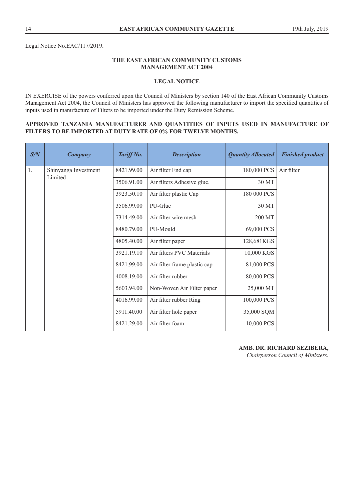Legal Notice No.EAC/117/2019.

# **THE EAST AFRICAN COMMUNITY CUSTOMS MANAGEMENT ACT 2004**

# **LEGAL NOTICE**

IN EXERCISE of the powers conferred upon the Council of Ministers by section 140 of the East African Community Customs Management Act 2004, the Council of Ministers has approved the following manufacturer to import the specified quantities of inputs used in manufacture of Filters to be imported under the Duty Remission Scheme.

#### **APPROVED TANZANIA MANUFACTURER AND QUANTITIES OF INPUTS USED IN MANUFACTURE OF FILTERS TO BE IMPORTED AT DUTY RATE OF 0% FOR TWELVE MONTHS.**

| S/N | <b>Company</b>                  | Tariff No. | <b>Description</b>           | <b>Quantity Allocated</b> | <b>Finished product</b> |
|-----|---------------------------------|------------|------------------------------|---------------------------|-------------------------|
| 1.  | Shinyanga Investment<br>Limited | 8421.99.00 | Air filter End cap           | 180,000 PCS               | Air filter              |
|     |                                 | 3506.91.00 | Air filters Adhesive glue.   | 30 MT                     |                         |
|     |                                 | 3923.50.10 | Air filter plastic Cap       | 180 000 PCS               |                         |
|     |                                 | 3506.99.00 | PU-Glue                      | 30 MT                     |                         |
|     |                                 | 7314.49.00 | Air filter wire mesh         | 200 MT                    |                         |
|     |                                 | 8480.79.00 | PU-Mould                     | 69,000 PCS                |                         |
|     |                                 | 4805.40.00 | Air filter paper             | 128,681KGS                |                         |
|     |                                 | 3921.19.10 | Air filters PVC Materials    | 10,000 KGS                |                         |
|     |                                 | 8421.99.00 | Air filter frame plastic cap | 81,000 PCS                |                         |
|     |                                 | 4008.19.00 | Air filter rubber            | 80,000 PCS                |                         |
|     |                                 | 5603.94.00 | Non-Woven Air Filter paper   | 25,000 MT                 |                         |
|     |                                 | 4016.99.00 | Air filter rubber Ring       | 100,000 PCS               |                         |
|     |                                 | 5911.40.00 | Air filter hole paper        | 35,000 SQM                |                         |
|     |                                 | 8421.29.00 | Air filter foam              | 10,000 PCS                |                         |

**AMB. DR. RICHARD SEZIBERA,**  *Chairperson Council of Ministers.*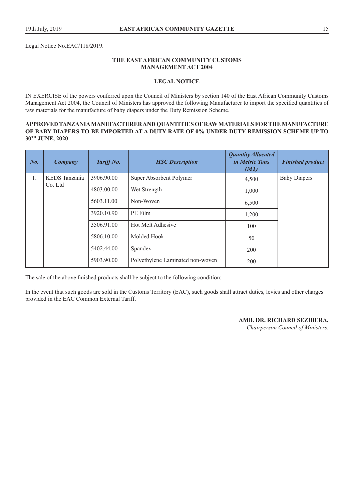Legal Notice No.EAC/118/2019.

## **THE EAST AFRICAN COMMUNITY CUSTOMS MANAGEMENT ACT 2004**

## **LEGAL NOTICE**

IN EXERCISE of the powers conferred upon the Council of Ministers by section 140 of the East African Community Customs Management Act 2004, the Council of Ministers has approved the following Manufacturer to import the specified quantities of raw materials for the manufacture of baby diapers under the Duty Remission Scheme.

#### **APPROVED TANZANIA MANUFACTURER AND QUANTITIES OF RAW MATERIALS FOR THE MANUFACTURE OF BABY DIAPERS TO BE IMPORTED AT A DUTY RATE OF 0% UNDER DUTY REMISSION SCHEME UP TO 30TH JUNE, 2020**

| No. | Company                  | Tariff No. | <b>HSC</b> Description           | <b>Quantity Allocated</b><br><i>in Metric Tons</i><br>(MT) | <b>Finished product</b> |
|-----|--------------------------|------------|----------------------------------|------------------------------------------------------------|-------------------------|
| 1.  | KEDS Tanzania<br>Co. Ltd | 3906.90.00 | Super Absorbent Polymer          | 4,500                                                      | <b>Baby Diapers</b>     |
|     |                          | 4803.00.00 | Wet Strength                     | 1,000                                                      |                         |
|     |                          | 5603.11.00 | Non-Woven                        | 6,500                                                      |                         |
|     |                          | 3920.10.90 | PE Film                          | 1,200                                                      |                         |
|     |                          | 3506.91.00 | Hot Melt Adhesive                | 100                                                        |                         |
|     |                          | 5806.10.00 | Molded Hook                      | 50                                                         |                         |
|     |                          | 5402.44.00 | Spandex                          | 200                                                        |                         |
|     |                          | 5903.90.00 | Polyethylene Laminated non-woven | 200                                                        |                         |

The sale of the above finished products shall be subject to the following condition:

In the event that such goods are sold in the Customs Territory (EAC), such goods shall attract duties, levies and other charges provided in the EAC Common External Tariff.

#### **AMB. DR. RICHARD SEZIBERA,**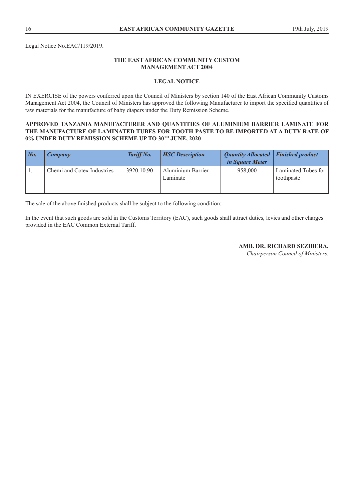Legal Notice No.EAC/119/2019.

# **THE EAST AFRICAN COMMUNITY CUSTOM MANAGEMENT ACT 2004**

#### **LEGAL NOTICE**

IN EXERCISE of the powers conferred upon the Council of Ministers by section 140 of the East African Community Customs Management Act 2004, the Council of Ministers has approved the following Manufacturer to import the specified quantities of raw materials for the manufacture of baby diapers under the Duty Remission Scheme.

#### **APPROVED TANZANIA MANUFACTURER AND QUANTITIES OF ALUMINIUM BARRIER LAMINATE FOR THE MANUFACTURE OF LAMINATED TUBES FOR TOOTH PASTE TO BE IMPORTED AT A DUTY RATE OF 0% UNDER DUTY REMISSION SCHEME UP TO 30TH JUNE, 2020**

| $\mid$ No. | Company                    | Tariff No. | <b>HSC Description</b>        | Quantity Allocated   Finished product<br><i>in Square Meter</i> |                                   |
|------------|----------------------------|------------|-------------------------------|-----------------------------------------------------------------|-----------------------------------|
|            | Chemi and Cotex Industries | 3920.10.90 | Aluminium Barrier<br>Laminate | 958,000                                                         | Laminated Tubes for<br>toothpaste |

The sale of the above finished products shall be subject to the following condition:

In the event that such goods are sold in the Customs Territory (EAC), such goods shall attract duties, levies and other charges provided in the EAC Common External Tariff.

**AMB. DR. RICHARD SEZIBERA,**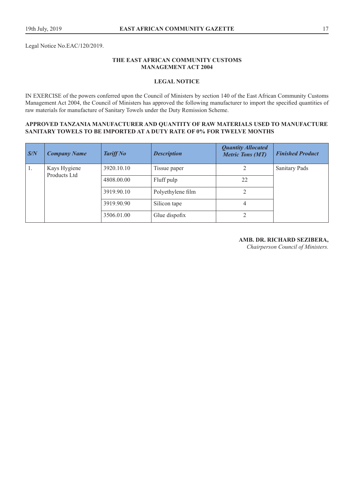Legal Notice No.EAC/120/2019.

### **THE EAST AFRICAN COMMUNITY CUSTOMS MANAGEMENT ACT 2004**

# **LEGAL NOTICE**

IN EXERCISE of the powers conferred upon the Council of Ministers by section 140 of the East African Community Customs Management Act 2004, the Council of Ministers has approved the following manufacturer to import the specified quantities of raw materials for manufacture of Sanitary Towels under the Duty Remission Scheme.

#### **APPROVED TANZANIA MANUFACTURER AND QUANTITY OF RAW MATERIALS USED TO MANUFACTURE SANITARY TOWELS TO BE IMPORTED AT A DUTY RATE OF 0% FOR TWELVE MONTHS**

| $\sqrt{S/N}$ | <b>Company Name</b>          | <b>Tariff No</b> | <b>Description</b> | <b>Quantity Allocated</b><br><b>Metric Tons (MT)</b> | <b>Finished Product</b> |
|--------------|------------------------------|------------------|--------------------|------------------------------------------------------|-------------------------|
| 1.           | Kays Hygiene<br>Products Ltd | 3920.10.10       | Tissue paper       |                                                      | <b>Sanitary Pads</b>    |
|              |                              | 4808.00.00       | Fluff pulp         | 22                                                   |                         |
|              |                              | 3919.90.10       | Polyethylene film  |                                                      |                         |
|              |                              | 3919.90.90       | Silicon tape       | 4                                                    |                         |
|              |                              | 3506.01.00       | Glue dispofix      |                                                      |                         |

# **AMB. DR. RICHARD SEZIBERA,**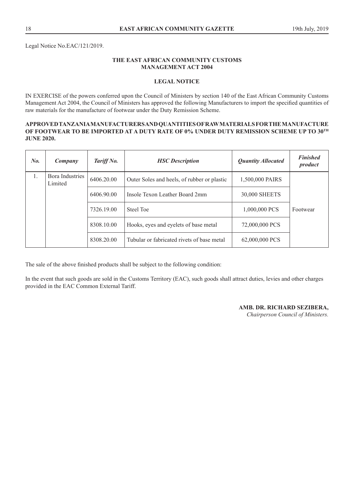Legal Notice No.EAC/121/2019.

# **THE EAST AFRICAN COMMUNITY CUSTOMS MANAGEMENT ACT 2004**

# **LEGAL NOTICE**

IN EXERCISE of the powers conferred upon the Council of Ministers by section 140 of the East African Community Customs Management Act 2004, the Council of Ministers has approved the following Manufacturers to import the specified quantities of raw materials for the manufacture of footwear under the Duty Remission Scheme.

#### **APPROVED TANZANIA MANUFACTURERS AND QUANTITIES OF RAW MATERIALS FOR THE MANUFACTURE OF FOOTWEAR TO BE IMPORTED AT A DUTY RATE OF 0% UNDER DUTY REMISSION SCHEME UP TO 30TH JUNE 2020.**

| $N_{0}$ | Company                    | Tariff No. | <b>HSC</b> Description                      | <b>Quantity Allocated</b> | <b>Finished</b><br>product |
|---------|----------------------------|------------|---------------------------------------------|---------------------------|----------------------------|
| 1.      | Bora Industries<br>Limited | 6406.20.00 | Outer Soles and heels, of rubber or plastic | 1,500,000 PAIRS           |                            |
|         |                            | 6406.90.00 | Insole Texon Leather Board 2mm              | 30,000 SHEETS             |                            |
|         |                            | 7326.19.00 | Steel Toe                                   | 1,000,000 PCS             | Footwear                   |
|         |                            | 8308.10.00 | Hooks, eyes and eyelets of base metal       | 72,000,000 PCS            |                            |
|         |                            | 8308.20.00 | Tubular or fabricated rivets of base metal  | 62,000,000 PCS            |                            |

The sale of the above finished products shall be subject to the following condition:

In the event that such goods are sold in the Customs Territory (EAC), such goods shall attract duties, levies and other charges provided in the EAC Common External Tariff.

#### **AMB. DR. RICHARD SEZIBERA,**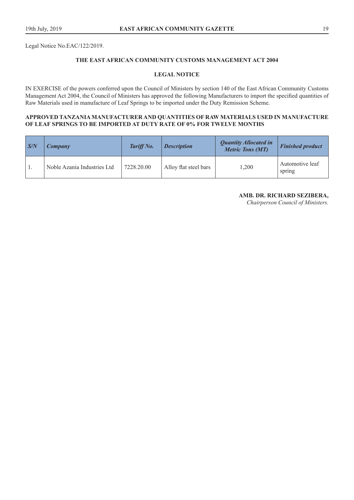Legal Notice No.EAC/122/2019.

# **THE EAST AFRICAN COMMUNITY CUSTOMS MANAGEMENT ACT 2004**

#### **LEGAL NOTICE**

IN EXERCISE of the powers conferred upon the Council of Ministers by section 140 of the East African Community Customs Management Act 2004, the Council of Ministers has approved the following Manufacturers to import the specified quantities of Raw Materials used in manufacture of Leaf Springs to be imported under the Duty Remission Scheme.

#### **APPROVED TANZANIA MANUFACTURER AND QUANTITIES OF RAW MATERIALS USED IN MANUFACTURE OF LEAF SPRINGS TO BE IMPORTED AT DUTY RATE OF 0% FOR TWELVE MONTHS**

| $\sqrt{S/N}$ | Company                     | Tariff No. | <b>Description</b>    | <b>Quantity Allocated in</b><br><b>Metric Tons (MT)</b> | <b>Finished product</b>   |
|--------------|-----------------------------|------------|-----------------------|---------------------------------------------------------|---------------------------|
|              | Noble Azania Industries Ltd | 7228.20.00 | Alloy flat steel bars | 1.200                                                   | Automotive leaf<br>spring |

**AMB. DR. RICHARD SEZIBERA,**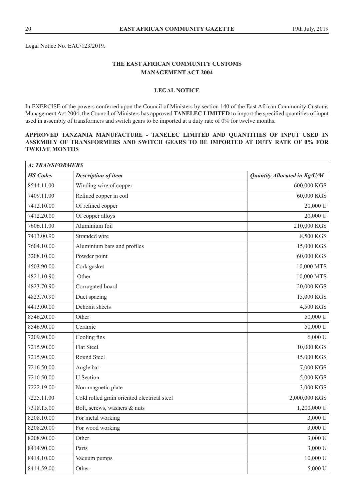Legal Notice No. EAC/123/2019.

# **THE EAST AFRICAN COMMUNITY CUSTOMS MANAGEMENT ACT 2004**

# **LEGAL NOTICE**

In EXERCISE of the powers conferred upon the Council of Ministers by section 140 of the East African Community Customs Management Act 2004, the Council of Ministers has approved **TANELEC LIMITED** to import the specified quantities of input used in assembly of transformers and switch gears to be imported at a duty rate of 0% for twelve months.

# **APPROVED TANZANIA MANUFACTURE - TANELEC LIMITED AND QUANTITIES OF INPUT USED IN ASSEMBLY OF TRANSFORMERS AND SWITCH GEARS TO BE IMPORTED AT DUTY RATE OF 0% FOR TWELVE MONTHS**

| A: TRANSFORMERS |                                             |                              |  |
|-----------------|---------------------------------------------|------------------------------|--|
| <b>HS</b> Codes | <b>Description of item</b>                  | Quantity Allocated in Kg/U/M |  |
| 8544.11.00      | Winding wire of copper                      | 600,000 KGS                  |  |
| 7409.11.00      | Refined copper in coil                      | 60,000 KGS                   |  |
| 7412.10.00      | Of refined copper                           | 20,000 U                     |  |
| 7412.20.00      | Of copper alloys                            | 20,000 U                     |  |
| 7606.11.00      | Aluminium foil                              | 210,000 KGS                  |  |
| 7413.00.90      | Stranded wire                               | 8,500 KGS                    |  |
| 7604.10.00      | Aluminium bars and profiles                 | 15,000 KGS                   |  |
| 3208.10.00      | Powder point                                | 60,000 KGS                   |  |
| 4503.90.00      | Cork gasket                                 | 10,000 MTS                   |  |
| 4821.10.90      | Other                                       | 10,000 MTS                   |  |
| 4823.70.90      | Corrugated board                            | 20,000 KGS                   |  |
| 4823.70.90      | Duct spacing                                | 15,000 KGS                   |  |
| 4413.00.00      | Dehonit sheets                              | 4,500 KGS                    |  |
| 8546.20.00      | Other                                       | 50,000 U                     |  |
| 8546.90.00      | Ceramic                                     | 50,000 U                     |  |
| 7209.90.00      | Cooling fins                                | 6,000 U                      |  |
| 7215.90.00      | <b>Flat Steel</b>                           | 10,000 KGS                   |  |
| 7215.90.00      | Round Steel                                 | 15,000 KGS                   |  |
| 7216.50.00      | Angle bar                                   | 7,000 KGS                    |  |
| 7216.50.00      | <b>U</b> Section                            | 5,000 KGS                    |  |
| 7222.19.00      | Non-magnetic plate                          | 3,000 KGS                    |  |
| 7225.11.00      | Cold rolled grain oriented electrical steel | 2,000,000 KGS                |  |
| 7318.15.00      | Bolt, screws, washers & nuts                | 1,200,000 U                  |  |
| 8208.10.00      | For metal working                           | 3,000 U                      |  |
| 8208.20.00      | For wood working                            | 3,000 U                      |  |
| 8208.90.00      | Other                                       | 3,000 U                      |  |
| 8414.90.00      | Parts                                       | 3,000 U                      |  |
| 8414.10.00      | Vacuum pumps                                | 10,000 U                     |  |
| 8414.59.00      | Other                                       | 5,000 U                      |  |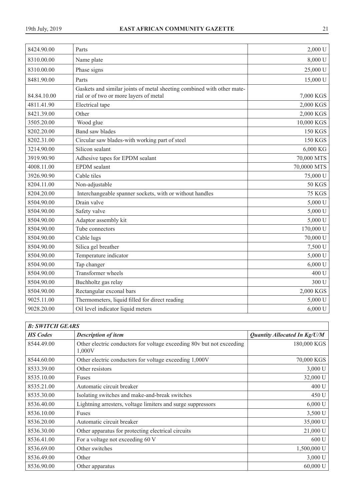| 8424.90.00  | Parts                                                                                                            | 2,000 U        |
|-------------|------------------------------------------------------------------------------------------------------------------|----------------|
| 8310.00.00  | Name plate                                                                                                       | 8,000 U        |
| 8310.00.00  | Phase signs                                                                                                      | 25,000 U       |
| 8481.90.00  | Parts                                                                                                            | 15,000 U       |
| 84.84.10.00 | Gaskets and similar joints of metal sheeting combined with other mate-<br>rial or of two or more layers of metal | 7,000 KGS      |
| 4811.41.90  | Electrical tape                                                                                                  | 2,000 KGS      |
| 8421.39.00  | Other                                                                                                            | 2,000 KGS      |
| 3505.20.00  | Wood glue                                                                                                        | 10,000 KGS     |
| 8202.20.00  | <b>Band saw blades</b>                                                                                           | <b>150 KGS</b> |
| 8202.31.00  | Circular saw blades-with working part of steel                                                                   | <b>150 KGS</b> |
| 3214.90.00  | Silicon sealant                                                                                                  | 6,000 KG       |
| 3919.90.90  | Adhesive tapes for EPDM sealant                                                                                  | 70,000 MTS     |
| 4008.11.00  | <b>EPDM</b> sealant                                                                                              | 70,0000 MTS    |
| 3926.90.90  | Cable tiles                                                                                                      | 75,000 U       |
| 8204.11.00  | Non-adjustable                                                                                                   | 50 KGS         |
| 8204.20.00  | Interchangeable spanner sockets, with or without handles                                                         | <b>75 KGS</b>  |
| 8504.90.00  | Drain valve                                                                                                      | 5,000 U        |
| 8504.90.00  | Safety valve                                                                                                     | 5,000 U        |
| 8504.90.00  | Adaptor assembly kit                                                                                             | 5,000 U        |
| 8504.90.00  | Tube connectors                                                                                                  | 170,000 U      |
| 8504.90.00  | Cable lugs                                                                                                       | 70,000 U       |
| 8504.90.00  | Silica gel breather                                                                                              | 7,500 U        |
| 8504.90.00  | Temperature indicator                                                                                            | 5,000 U        |
| 8504.90.00  | Tap changer                                                                                                      | 6,000 U        |
| 8504.90.00  | Transformer wheels                                                                                               | 400 U          |
| 8504.90.00  | Buchholtz gas relay                                                                                              | 300 U          |
| 8504.90.00  | Rectangular exconal bars                                                                                         | 2,000 KGS      |
| 9025.11.00  | Thermometers, liquid filled for direct reading                                                                   | 5,000 U        |
| 9028.20.00  | Oil level indicator liquid meters                                                                                | 6,000 U        |

| <b>B: SWITCH GEARS</b> |                                                                                 |                              |  |  |
|------------------------|---------------------------------------------------------------------------------|------------------------------|--|--|
| <b>HS</b> Codes        | <b>Description of item</b>                                                      | Quantity Allocated In Kg/U/M |  |  |
| 8544.49.00             | Other electric conductors for voltage exceeding 80v but not exceeding<br>1,000V | 180,000 KGS                  |  |  |
| 8544.60.00             | Other electric conductors for voltage exceeding 1,000V                          | 70,000 KGS                   |  |  |
| 8533.39.00             | Other resistors                                                                 | $3,000$ U                    |  |  |
| 8535.10.00             | Fuses                                                                           | 32,000 U                     |  |  |
| 8535.21.00             | Automatic circuit breaker                                                       | 400 U                        |  |  |
| 8535.30.00             | Isolating switches and make-and-break switches                                  | 450 U                        |  |  |
| 8536.40.00             | Lightning arresters, voltage limiters and surge suppressors                     | 6,000 U                      |  |  |
| 8536.10.00             | Fuses                                                                           | 3,500 U                      |  |  |
| 8536.20.00             | Automatic circuit breaker                                                       | 35,000 U                     |  |  |
| 8536.30.00             | Other apparatus for protecting electrical circuits                              | 21,000 U                     |  |  |
| 8536.41.00             | For a voltage not exceeding 60 V                                                | 600U                         |  |  |
| 8536.69.00             | Other switches                                                                  | 1,500,000 U                  |  |  |
| 8536.49.00             | Other                                                                           | 3,000 U                      |  |  |
| 8536.90.00             | Other apparatus                                                                 | $60,000$ U                   |  |  |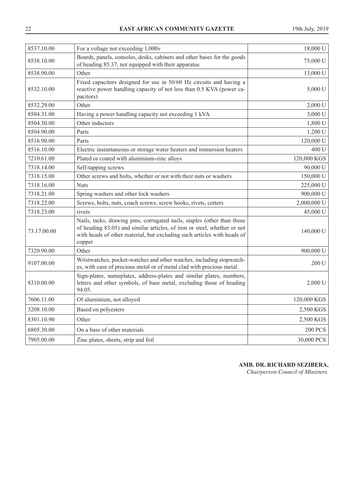| 8537.10.00  | For a voltage not exceeding 1,000v                                                                                                                                                                                                       | 18,000 U       |
|-------------|------------------------------------------------------------------------------------------------------------------------------------------------------------------------------------------------------------------------------------------|----------------|
| 8538.10.00  | Boards, panels, consoles, desks, cabinets and other bases for the goods<br>of heading 85.37, not equipped with their apparatus                                                                                                           | 75,000 U       |
| 8538.90.00  | Other                                                                                                                                                                                                                                    | 13,000 U       |
| 8532.10.00  | Fixed capacitors designed for use in 50/60 Hz circuits and having a<br>reactive power handling capacity of not less than 0.5 KVA (power ca-<br>pacitors)                                                                                 | 5,000 U        |
| 8532.29.00  | Other                                                                                                                                                                                                                                    | 2,000 U        |
| 8504.31.00  | Having a power handling capacity not exceeding 1 kVA                                                                                                                                                                                     | 3,000 U        |
| 8504.50.00  | Other inductors                                                                                                                                                                                                                          | 1,800 U        |
| 8504.90.00  | Parts                                                                                                                                                                                                                                    | 1,200 U        |
| 8516.90.00  | Parts                                                                                                                                                                                                                                    | 120,000 U      |
| 8516.10.00  | Electric instantaneous or storage water heaters and immersion heaters                                                                                                                                                                    | 400 U          |
| 7210.61.00  | Plated or coated with aluminium-zinc alloys                                                                                                                                                                                              | 120,000 KGS    |
| 7318.14.00  | Self-tapping screws                                                                                                                                                                                                                      | 90,000 U       |
| 7318.15.00  | Other screws and bolts, whether or not with their nuts or washers                                                                                                                                                                        | 150,000 U      |
| 7318.16.00  | <b>Nuts</b>                                                                                                                                                                                                                              | 225,000 U      |
| 7318.21.00  | Spring washers and other lock washers                                                                                                                                                                                                    | 900,000 U      |
| 7318.22.00  | Screws, bolts, nuts, coach screws, screw hooks, rivets, cotters                                                                                                                                                                          | 2,000,000 U    |
| 7318.23.00  | rivets                                                                                                                                                                                                                                   | 45,000 U       |
| 73.17.00.00 | Nails, tacks, drawing pins, corrugated nails, staples (other than those<br>of heading 83.05) and similar articles, of iron or steel, whether or not<br>with heads of other material, but excluding such articles with heads of<br>copper | 140,000 U      |
| 7320.90.00  | Other                                                                                                                                                                                                                                    | 900,000 U      |
| 9107.00.00  | Wristwatches, pocket-watches and other watches, including stopwatch-<br>es, with case of precious metal or of metal clad with precious metal.                                                                                            | 200 U          |
| 8310.00.00  | Sign-plates, nameplates, address-plates and similar plates, numbers,<br>letters and other symbols, of base metal, excluding those of heading<br>94.05.                                                                                   | $2,000$ U      |
| 7606.11.00  | Of aluminium, not alloyed                                                                                                                                                                                                                | 120,000 KGS    |
| 3208.10.00  | Based on polyesters                                                                                                                                                                                                                      | 2,500 KGS      |
| 8301.10.90  | Other                                                                                                                                                                                                                                    | 2,500 KGS      |
| 6805.30.00  | On a base of other materials                                                                                                                                                                                                             | <b>200 PCS</b> |
| 7905.00.00  | Zinc plates, sheets, strip and foil                                                                                                                                                                                                      | 30,000 PCS     |

**AMB. DR. RICHARD SEZIBERA,**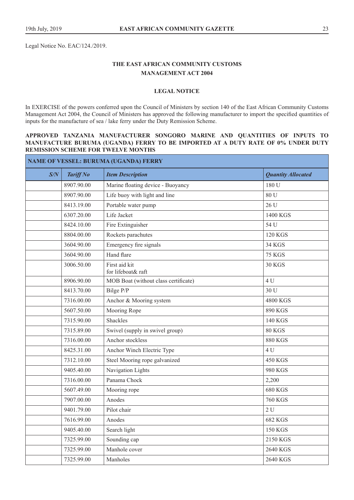Legal Notice No. EAC/124./2019.

# **THE EAST AFRICAN COMMUNITY CUSTOMS MANAGEMENT ACT 2004**

#### **LEGAL NOTICE**

In EXERCISE of the powers conferred upon the Council of Ministers by section 140 of the East African Community Customs Management Act 2004, the Council of Ministers has approved the following manufacturer to import the specified quantities of inputs for the manufacture of sea / lake ferry under the Duty Remission Scheme.

#### **APPROVED TANZANIA MANUFACTURER SONGORO MARINE AND QUANTITIES OF INPUTS TO MANUFACTURE BURUMA (UGANDA) FERRY TO BE IMPORTED AT A DUTY RATE OF 0% UNDER DUTY REMISSION SCHEME FOR TWELVE MONTHS**

| NAME OF VESSEL: BURUMA (UGANDA) FERRY |                  |                                      |                           |  |  |
|---------------------------------------|------------------|--------------------------------------|---------------------------|--|--|
| S/N                                   | <b>Tariff No</b> | <b>Item Description</b>              | <b>Quantity Allocated</b> |  |  |
|                                       | 8907.90.00       | Marine floating device - Buoyancy    | 180 U                     |  |  |
|                                       | 8907.90.00       | Life buoy with light and line        | 80 U                      |  |  |
|                                       | 8413.19.00       | Portable water pump                  | 26 U                      |  |  |
|                                       | 6307.20.00       | Life Jacket                          | 1400 KGS                  |  |  |
|                                       | 8424.10.00       | Fire Extinguisher                    | 54 U                      |  |  |
|                                       | 8804.00.00       | Rockets parachutes                   | <b>120 KGS</b>            |  |  |
|                                       | 3604.90.00       | Emergency fire signals               | <b>34 KGS</b>             |  |  |
|                                       | 3604.90.00       | Hand flare                           | <b>75 KGS</b>             |  |  |
|                                       | 3006.50.00       | First aid kit<br>for lifeboat& raft  | <b>30 KGS</b>             |  |  |
|                                       | 8906.90.00       | MOB Boat (without class certificate) | 4 U                       |  |  |
|                                       | 8413.70.00       | Bilge P/P                            | 30 U                      |  |  |
|                                       | 7316.00.00       | Anchor & Mooring system              | 4800 KGS                  |  |  |
|                                       | 5607.50.00       | Mooring Rope                         | 890 KGS                   |  |  |
|                                       | 7315.90.00       | <b>Shackles</b>                      | <b>140 KGS</b>            |  |  |
|                                       | 7315.89.00       | Swivel (supply in swivel group)      | <b>80 KGS</b>             |  |  |
|                                       | 7316.00.00       | Anchor stockless                     | <b>880 KGS</b>            |  |  |
|                                       | 8425.31.00       | Anchor Winch Electric Type           | 4 <sub>U</sub>            |  |  |
|                                       | 7312.10.00       | Steel Mooring rope galvanized        | 450 KGS                   |  |  |
|                                       | 9405.40.00       | Navigation Lights                    | 980 KGS                   |  |  |
|                                       | 7316.00.00       | Panama Chock                         | 2,200                     |  |  |
|                                       | 5607.49.00       | Mooring rope                         | <b>680 KGS</b>            |  |  |
|                                       | 7907.00.00       | Anodes                               | <b>760 KGS</b>            |  |  |
|                                       | 9401.79.00       | Pilot chair                          | 2U                        |  |  |
|                                       | 7616.99.00       | Anodes                               | <b>682 KGS</b>            |  |  |
|                                       | 9405.40.00       | Search light                         | <b>150 KGS</b>            |  |  |
|                                       | 7325.99.00       | Sounding cap                         | 2150 KGS                  |  |  |
|                                       | 7325.99.00       | Manhole cover                        | 2640 KGS                  |  |  |
|                                       | 7325.99.00       | Manholes                             | 2640 KGS                  |  |  |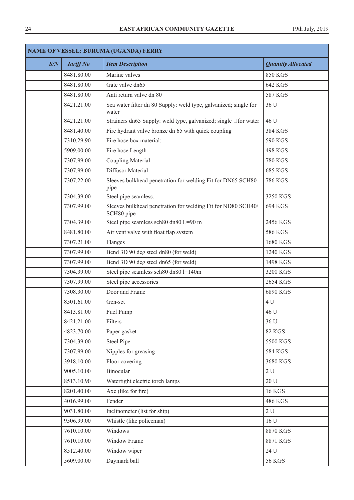| <b>NAME OF VESSEL: BURUMA (UGANDA) FERRY</b> |                  |                                                                            |                           |
|----------------------------------------------|------------------|----------------------------------------------------------------------------|---------------------------|
| S/N                                          | <b>Tariff No</b> | <b>Item Description</b>                                                    | <b>Quantity Allocated</b> |
|                                              | 8481.80.00       | Marine valves                                                              | <b>850 KGS</b>            |
|                                              | 8481.80.00       | Gate valve dn65                                                            | 642 KGS                   |
|                                              | 8481.80.00       | Anti return valve dn 80                                                    | <b>587 KGS</b>            |
|                                              | 8421.21.00       | Sea water filter dn 80 Supply: weld type, galvanized; single for<br>water  | 36 U                      |
|                                              | 8421.21.00       | Strainers dn65 Supply: weld type, galvanized; single □ for water           | 46 U                      |
|                                              | 8481.40.00       | Fire hydrant valve bronze dn 65 with quick coupling                        | 384 KGS                   |
|                                              | 7310.29.90       | Fire hose box material:                                                    | 590 KGS                   |
|                                              | 5909.00.00       | Fire hose Length                                                           | <b>498 KGS</b>            |
|                                              | 7307.99.00       | Coupling Material                                                          | <b>780 KGS</b>            |
|                                              | 7307.99.00       | Diffusor Material                                                          | <b>685 KGS</b>            |
|                                              | 7307.22.00       | Sleeves bulkhead penetration for welding Fit for DN65 SCH80<br>pipe        | <b>786 KGS</b>            |
|                                              | 7304.39.00       | Steel pipe seamless.                                                       | 3250 KGS                  |
|                                              | 7307.99.00       | Sleeves bulkhead penetration for welding Fit for ND80 SCH40/<br>SCH80 pipe | 694 KGS                   |
|                                              | 7304.39.00       | Steel pipe seamless sch80 dn80 L=90 m                                      | 2456 KGS                  |
|                                              | 8481.80.00       | Air vent valve with float flap system                                      | <b>586 KGS</b>            |
|                                              | 7307.21.00       | Flanges                                                                    | 1680 KGS                  |
|                                              | 7307.99.00       | Bend 3D 90 deg steel dn80 (for weld)                                       | 1240 KGS                  |
|                                              | 7307.99.00       | Bend 3D 90 deg steel dn65 (for weld)                                       | 1498 KGS                  |
|                                              | 7304.39.00       | Steel pipe seamless sch80 dn80 l=140m                                      | 3200 KGS                  |
|                                              | 7307.99.00       | Steel pipe accessories                                                     | 2654 KGS                  |
|                                              | 7308.30.00       | Door and Frame                                                             | 6890 KGS                  |
|                                              | 8501.61.00       | Gen-set                                                                    | 4 U                       |
|                                              | 8413.81.00       | Fuel Pump                                                                  | 46 U                      |
|                                              | 8421.21.00       | Filters                                                                    | 36 U                      |
|                                              | 4823.70.00       | Paper gasket                                                               | <b>82 KGS</b>             |
|                                              | 7304.39.00       | <b>Steel Pipe</b>                                                          | 5500 KGS                  |
|                                              | 7307.99.00       | Nipples for greasing                                                       | <b>584 KGS</b>            |
|                                              | 3918.10.00       | Floor covering                                                             | 3680 KGS                  |
|                                              | 9005.10.00       | Binocular                                                                  | $2 U$                     |
|                                              | 8513.10.90       | Watertight electric torch lamps                                            | 20U                       |
|                                              | 8201.40.00       | Axe (like for fire)                                                        | <b>16 KGS</b>             |
|                                              | 4016.99.00       | Fender                                                                     | <b>486 KGS</b>            |
|                                              | 9031.80.00       | Inclinometer (list for ship)                                               | 2U                        |
|                                              | 9506.99.00       | Whistle (like policeman)                                                   | 16 U                      |
|                                              | 7610.10.00       | Windows                                                                    | 8870 KGS                  |
|                                              | 7610.10.00       | Window Frame                                                               | 8871 KGS                  |
|                                              | 8512.40.00       | Window wiper                                                               | 24 U                      |
|                                              | 5609.00.00       | Daymark ball                                                               | <b>56 KGS</b>             |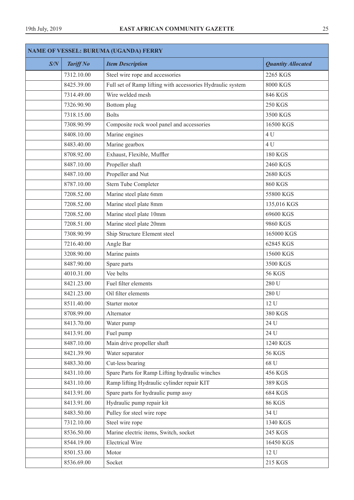| <b>NAME OF VESSEL: BURUMA (UGANDA) FERRY</b> |                  |                                                            |                           |
|----------------------------------------------|------------------|------------------------------------------------------------|---------------------------|
| S/N                                          | <b>Tariff No</b> | <b>Item Description</b>                                    | <b>Quantity Allocated</b> |
|                                              | 7312.10.00       | Steel wire rope and accessories                            | 2265 KGS                  |
|                                              | 8425.39.00       | Full set of Ramp lifting with accessories Hydraulic system | 8000 KGS                  |
|                                              | 7314.49.00       | Wire welded mesh                                           | 846 KGS                   |
|                                              | 7326.90.90       | Bottom plug                                                | <b>250 KGS</b>            |
|                                              | 7318.15.00       | <b>Bolts</b>                                               | 3500 KGS                  |
|                                              | 7308.90.99       | Composite rock wool panel and accessories                  | 16500 KGS                 |
|                                              | 8408.10.00       | Marine engines                                             | 4 U                       |
|                                              | 8483.40.00       | Marine gearbox                                             | 4 U                       |
|                                              | 8708.92.00       | Exhaust, Flexible, Muffler                                 | <b>180 KGS</b>            |
|                                              | 8487.10.00       | Propeller shaft                                            | 2460 KGS                  |
|                                              | 8487.10.00       | Propeller and Nut                                          | 2680 KGS                  |
|                                              | 8787.10.00       | Stern Tube Completer                                       | <b>860 KGS</b>            |
|                                              | 7208.52.00       | Marine steel plate 6mm                                     | 55800 KGS                 |
|                                              | 7208.52.00       | Marine steel plate 8mm                                     | 135,016 KGS               |
|                                              | 7208.52.00       | Marine steel plate 10mm                                    | 69600 KGS                 |
|                                              | 7208.51.00       | Marine steel plate 20mm                                    | 9860 KGS                  |
|                                              | 7308.90.99       | Ship Structure Element steel                               | 165000 KGS                |
|                                              | 7216.40.00       | Angle Bar                                                  | 62845 KGS                 |
|                                              | 3208.90.00       | Marine paints                                              | 15600 KGS                 |
|                                              | 8487.90.00       | Spare parts                                                | 3500 KGS                  |
|                                              | 4010.31.00       | Vee belts                                                  | <b>56 KGS</b>             |
|                                              | 8421.23.00       | Fuel filter elements                                       | 280 U                     |
|                                              | 8421.23.00       | Oil filter elements                                        | 280 U                     |
|                                              | 8511.40.00       | Starter motor                                              | 12 U                      |
|                                              | 8708.99.00       | Alternator                                                 | 380 KGS                   |
|                                              | 8413.70.00       | Water pump                                                 | 24 U                      |
|                                              | 8413.91.00       | Fuel pump                                                  | 24 U                      |
|                                              | 8487.10.00       | Main drive propeller shaft                                 | 1240 KGS                  |
|                                              | 8421.39.90       | Water separator                                            | <b>56 KGS</b>             |
|                                              | 8483.30.00       | Cut-less bearing                                           | 68 U                      |
|                                              | 8431.10.00       | Spare Parts for Ramp Lifting hydraulic winches             | 456 KGS                   |
|                                              | 8431.10.00       | Ramp lifting Hydraulic cylinder repair KIT                 | 389 KGS                   |
|                                              | 8413.91.00       | Spare parts for hydraulic pump assy                        | <b>684 KGS</b>            |
|                                              | 8413.91.00       | Hydraulic pump repair kit                                  | <b>86 KGS</b>             |
|                                              | 8483.50.00       | Pulley for steel wire rope                                 | 34 U                      |
|                                              | 7312.10.00       | Steel wire rope                                            | 1340 KGS                  |
|                                              | 8536.50.00       | Marine electric items, Switch, socket                      | 245 KGS                   |
|                                              | 8544.19.00       | <b>Electrical Wire</b>                                     | 16450 KGS                 |
|                                              | 8501.53.00       | Motor                                                      | $12 \mathrm{U}$           |
|                                              | 8536.69.00       | Socket                                                     | 215 KGS                   |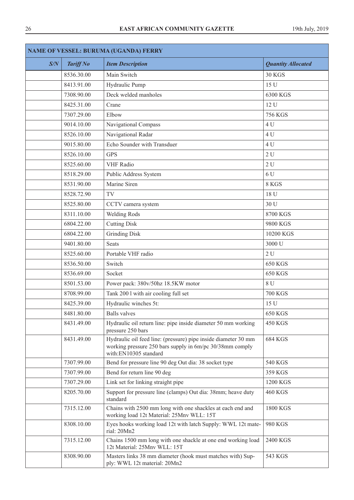| <b>NAME OF VESSEL: BURUMA (UGANDA) FERRY</b> |                  |                                                                                                                                                     |                           |
|----------------------------------------------|------------------|-----------------------------------------------------------------------------------------------------------------------------------------------------|---------------------------|
| S/N                                          | <b>Tariff No</b> | <b>Item Description</b>                                                                                                                             | <b>Quantity Allocated</b> |
|                                              | 8536.30.00       | Main Switch                                                                                                                                         | <b>30 KGS</b>             |
|                                              | 8413.91.00       | Hydraulic Pump                                                                                                                                      | 15 U                      |
|                                              | 7308.90.00       | Deck welded manholes                                                                                                                                | 6300 KGS                  |
|                                              | 8425.31.00       | Crane                                                                                                                                               | 12 U                      |
|                                              | 7307.29.00       | Elbow                                                                                                                                               | <b>756 KGS</b>            |
|                                              | 9014.10.00       | Navigational Compass                                                                                                                                | 4 U                       |
|                                              | 8526.10.00       | Navigational Radar                                                                                                                                  | 4 U                       |
|                                              | 9015.80.00       | Echo Sounder with Transduer                                                                                                                         | 4 U                       |
|                                              | 8526.10.00       | <b>GPS</b>                                                                                                                                          | 2U                        |
|                                              | 8525.60.00       | <b>VHF</b> Radio                                                                                                                                    | 2U                        |
|                                              | 8518.29.00       | Public Address System                                                                                                                               | 6 U                       |
|                                              | 8531.90.00       | Marine Siren                                                                                                                                        | 8 KGS                     |
|                                              | 8528.72.90       | TV                                                                                                                                                  | 18 U                      |
|                                              | 8525.80.00       | CCTV camera system                                                                                                                                  | 30 U                      |
|                                              | 8311.10.00       | <b>Welding Rods</b>                                                                                                                                 | 8700 KGS                  |
|                                              | 6804.22.00       | <b>Cutting Disk</b>                                                                                                                                 | 9800 KGS                  |
|                                              | 6804.22.00       | <b>Grinding Disk</b>                                                                                                                                | 10200 KGS                 |
|                                              | 9401.80.00       | <b>Seats</b>                                                                                                                                        | 3000 U                    |
|                                              | 8525.60.00       | Portable VHF radio                                                                                                                                  | 2U                        |
|                                              | 8536.50.00       | Switch                                                                                                                                              | <b>650 KGS</b>            |
|                                              | 8536.69.00       | Socket                                                                                                                                              | <b>650 KGS</b>            |
|                                              | 8501.53.00       | Power pack: 380v/50hz 18.5KW motor                                                                                                                  | 8 U                       |
|                                              | 8708.99.00       | Tank 2001 with air cooling full set                                                                                                                 | <b>700 KGS</b>            |
|                                              | 8425.39.00       | Hydraulic winches 5t:                                                                                                                               | 15 U                      |
|                                              | 8481.80.00       | <b>Balls</b> valves                                                                                                                                 | 650 KGS                   |
|                                              | 8431.49.00       | Hydraulic oil return line: pipe inside diameter 50 mm working<br>pressure 250 bars                                                                  | <b>450 KGS</b>            |
|                                              | 8431.49.00       | Hydraulic oil feed line: (pressure) pipe inside diameter 30 mm<br>working pressure 250 bars supply in 6m/pc 30/38mm comply<br>with:EN10305 standard | <b>684 KGS</b>            |
|                                              | 7307.99.00       | Bend for pressure line 90 deg Out dia: 38 socket type                                                                                               | <b>540 KGS</b>            |
|                                              | 7307.99.00       | Bend for return line 90 deg                                                                                                                         | 359 KGS                   |
|                                              | 7307.29.00       | Link set for linking straight pipe                                                                                                                  | 1200 KGS                  |
|                                              | 8205.70.00       | Support for pressure line (clamps) Out dia: 38mm; heave duty<br>standard                                                                            | <b>460 KGS</b>            |
|                                              | 7315.12.00       | Chains with 2500 mm long with one shackles at each end and<br>working load 12t Material: 25Mnv WLL: 15T                                             | 1800 KGS                  |
|                                              | 8308.10.00       | Eyes hooks working load 12t with latch Supply: WWL 12t mate-<br>rial: 20Mn2                                                                         | 980 KGS                   |
|                                              | 7315.12.00       | Chains 1500 mm long with one shackle at one end working load<br>12t Material: 25Mnv WLL: 15T                                                        | 2400 KGS                  |
|                                              | 8308.90.00       | Masters links 38 mm diameter (hook must matches with) Sup-<br>ply: WWL 12t material: 20Mn2                                                          | 543 KGS                   |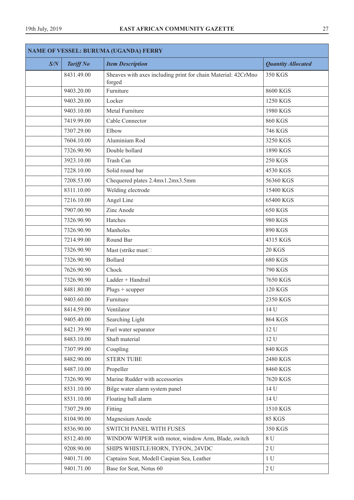| <b>NAME OF VESSEL: BURUMA (UGANDA) FERRY</b> |                  |                                                                         |                           |
|----------------------------------------------|------------------|-------------------------------------------------------------------------|---------------------------|
| S/N                                          | <b>Tariff No</b> | <b>Item Description</b>                                                 | <b>Quantity Allocated</b> |
|                                              | 8431.49.00       | Sheaves with axes including print for chain Material: 42CrMno<br>forged | 350 KGS                   |
|                                              | 9403.20.00       | Furniture                                                               | 8600 KGS                  |
|                                              | 9403.20.00       | Locker                                                                  | 1250 KGS                  |
|                                              | 9403.10.00       | Metal Furniture                                                         | 1980 KGS                  |
|                                              | 7419.99.00       | Cable Connector                                                         | <b>860 KGS</b>            |
|                                              | 7307.29.00       | Elbow                                                                   | 746 KGS                   |
|                                              | 7604.10.00       | Aluminium Rod                                                           | 3250 KGS                  |
|                                              | 7326.90.90       | Double bollard                                                          | 1890 KGS                  |
|                                              | 3923.10.00       | Trash Can                                                               | <b>250 KGS</b>            |
|                                              | 7228.10.00       | Solid round bar                                                         | 4530 KGS                  |
|                                              | 7208.53.00       | Chequered plates 2.4mx1.2mx3.5mm                                        | 56360 KGS                 |
|                                              | 8311.10.00       | Welding electrode                                                       | 15400 KGS                 |
|                                              | 7216.10.00       | Angel Line                                                              | 65400 KGS                 |
|                                              | 7907.00.90       | Zinc Anode                                                              | 650 KGS                   |
|                                              | 7326.90.90       | Hatches                                                                 | 980 KGS                   |
|                                              | 7326.90.90       | Manholes                                                                | 890 KGS                   |
|                                              | 7214.99.00       | Round Bar                                                               | 4315 KGS                  |
|                                              | 7326.90.90       | Mast (strike mast <sup>[1]</sup>                                        | <b>20 KGS</b>             |
|                                              | 7326.90.90       | <b>Bollard</b>                                                          | <b>680 KGS</b>            |
|                                              | 7626.90.90       | Chock                                                                   | <b>790 KGS</b>            |
|                                              | 7326.90.90       | Ladder + Handrail                                                       | 7650 KGS                  |
|                                              | 8481.80.00       | $Plugs + scupper$                                                       | <b>120 KGS</b>            |
|                                              | 9403.60.00       | Furniture                                                               | 2350 KGS                  |
|                                              | 8414.59.00       | Ventilator                                                              | 14 U                      |
|                                              | 9405.40.00       | Searching Light                                                         | <b>864 KGS</b>            |
|                                              | 8421.39.90       | Fuel water separator                                                    | 12 U                      |
|                                              | 8483.10.00       | Shaft material                                                          | 12 U                      |
|                                              | 7307.99.00       | Coupling                                                                | <b>840 KGS</b>            |
|                                              | 8482.90.00       | <b>STERN TUBE</b>                                                       | 2480 KGS                  |
|                                              | 8487.10.00       | Propeller                                                               | 8460 KGS                  |
|                                              | 7326.90.90       | Marine Rudder with accessories                                          | 7620 KGS                  |
|                                              | 8531.10.00       | Bilge water alarm system panel                                          | 14 U                      |
|                                              | 8531.10.00       | Floating ball alarm                                                     | 14 U                      |
|                                              | 7307.29.00       | Fitting                                                                 | 1510 KGS                  |
|                                              | 8104.90.00       | Magnesium Anode                                                         | <b>85 KGS</b>             |
|                                              | 8536.90.00       | SWITCH PANEL WITH FUSES                                                 | 350 KGS                   |
|                                              | 8512.40.00       | WINDOW WIPER with motor, window Arm, Blade, switch                      | 8 U                       |
|                                              | 9208.90.00       | SHIPS WHISTLE/HORN, TYFON, 24VDC                                        | $2 U$                     |
|                                              | 9401.71.00       | Captains Seat, Modell Caspian Sea, Leather                              | 1 <sub>U</sub>            |
|                                              | 9401.71.00       | Base for Seat, Notus 60                                                 | 2U                        |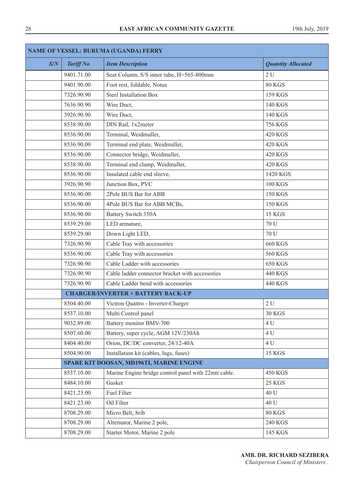| <b>NAME OF VESSEL: BURUMA (UGANDA) FERRY</b> |                  |                                                      |                           |
|----------------------------------------------|------------------|------------------------------------------------------|---------------------------|
| S/N                                          | <b>Tariff No</b> | <b>Item Description</b>                              | <b>Quantity Allocated</b> |
|                                              | 9401.71.00       | Seat Column, S/S inner tube, H=565-800mm             | 2U                        |
|                                              | 9401.90.00       | Foot rest, foldable, Notus                           | <b>80 KGS</b>             |
|                                              | 7326.90.90       | <b>Steel Installation Box</b>                        | 159 KGS                   |
|                                              | 7636.90.90       | Wire Duct,                                           | <b>140 KGS</b>            |
|                                              | 3926.90.90       | Wire Duct,                                           | <b>140 KGS</b>            |
|                                              | 8538.90.00       | DIN Rail, 1x2meter                                   | <b>756 KGS</b>            |
|                                              | 8536.90.00       | Terminal, Weidmuller,                                | <b>420 KGS</b>            |
|                                              | 8536.90.00       | Terminal end plate, Weidmuller,                      | <b>420 KGS</b>            |
|                                              | 8536.90.00       | Connector bridge, Weidmuller,                        | <b>420 KGS</b>            |
|                                              | 8538.90.00       | Terminal end clamp, Weidmuller,                      | <b>420 KGS</b>            |
|                                              | 8536.90.00       | Insulated cable end sleeve,                          | 1420 KGS                  |
|                                              | 3926.90.90       | Junction Box, PVC                                    | <b>100 KGS</b>            |
|                                              | 8536.90.00       | 2Pole BUS Bar for ABB                                | <b>150 KGS</b>            |
|                                              | 8536.90.00       | 4Pole BUS Bar for ABB MCBs,                          | <b>150 KGS</b>            |
|                                              | 8536.90.00       | <b>Battery Switch 350A</b>                           | <b>15 KGS</b>             |
|                                              | 8539.29.00       | LED armature,                                        | 70 U                      |
|                                              | 8539.29.00       | Down Light LED,                                      | 70 U                      |
|                                              | 7326.90.90       | Cable Tray with accessories                          | <b>660 KGS</b>            |
|                                              | 8536.90.00       | Cable Tray with accessories                          | <b>560 KGS</b>            |
|                                              | 7326.90.90       | Cable Ladder with accessories                        | <b>650 KGS</b>            |
|                                              | 7326.90.90       | Cable ladder connector bracket with accessories      | 440 KGS                   |
|                                              | 7326.90.90       | Cable Ladder bend with accessories                   | <b>440 KGS</b>            |
|                                              |                  | <b>CHARGER/INVERTER + BATTERY BACK-UP</b>            |                           |
|                                              | 8504.40.00       | Victron Quattro - Inverter-Charger                   | 2U                        |
|                                              | 8537.10.00       | Multi Control panel                                  | <b>30 KGS</b>             |
|                                              | 9032.89.00       | Battery monitor BMV-700                              | 4 U                       |
|                                              | 8507.60.00       | Battery, super cycle, AGM 12V/230Ah                  | 4 U                       |
|                                              | 8404.40.00       | Orion, DC/DC converter, 24/12-40A                    | 4 U                       |
|                                              | 8504.90.00       | Installation kit (cables, lugs, fuses)               | <b>15 KGS</b>             |
|                                              |                  | SPARE KIT DOOSAN, MD196TI, MARINE ENGINE             |                           |
|                                              | 8537.10.00       | Marine Engine bridge control panel with 22mtr cable. | <b>450 KGS</b>            |
|                                              | 8484.10.00       | Gasket                                               | <b>25 KGS</b>             |
|                                              | 8421.23.00       | Fuel Filter                                          | 40 U                      |
|                                              | 8421.23.00       | Oil Filter                                           | 40 U                      |
|                                              | 8708.29.00       | Micro Belt, 8rib                                     | <b>80 KGS</b>             |
|                                              | 8708.29.00       | Alternator, Marine 2 pole,                           | <b>240 KGS</b>            |
|                                              | 8708.29.00       | Starter Motor, Marine 2 pole                         | 145 KGS                   |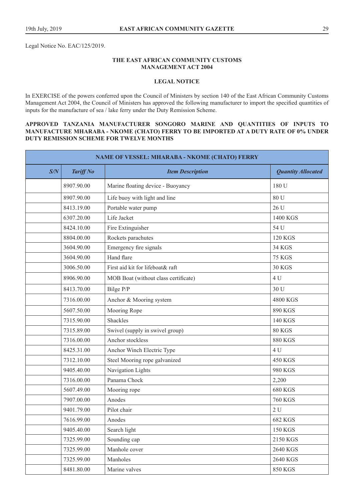Legal Notice No. EAC/125/2019.

## **THE EAST AFRICAN COMMUNITY CUSTOMS MANAGEMENT ACT 2004**

#### **LEGAL NOTICE**

In EXERCISE of the powers conferred upon the Council of Ministers by section 140 of the East African Community Customs Management Act 2004, the Council of Ministers has approved the following manufacturer to import the specified quantities of inputs for the manufacture of sea / lake ferry under the Duty Remission Scheme.

#### **APPROVED TANZANIA MANUFACTURER SONGORO MARINE AND QUANTITIES OF INPUTS TO MANUFACTURE MHARABA - NKOME (CHATO) FERRY TO BE IMPORTED AT A DUTY RATE OF 0% UNDER DUTY REMISSION SCHEME FOR TWELVE MONTHS**

| <b>NAME OF VESSEL: MHARABA - NKOME (CHATO) FERRY</b> |                  |                                      |                           |
|------------------------------------------------------|------------------|--------------------------------------|---------------------------|
| S/N                                                  | <b>Tariff No</b> | <b>Item Description</b>              | <b>Quantity Allocated</b> |
|                                                      | 8907.90.00       | Marine floating device - Buoyancy    | 180 U                     |
|                                                      | 8907.90.00       | Life buoy with light and line        | 80 U                      |
|                                                      | 8413.19.00       | Portable water pump                  | 26 U                      |
|                                                      | 6307.20.00       | Life Jacket                          | 1400 KGS                  |
|                                                      | 8424.10.00       | Fire Extinguisher                    | 54 U                      |
|                                                      | 8804.00.00       | Rockets parachutes                   | <b>120 KGS</b>            |
|                                                      | 3604.90.00       | Emergency fire signals               | 34 KGS                    |
|                                                      | 3604.90.00       | Hand flare                           | <b>75 KGS</b>             |
|                                                      | 3006.50.00       | First aid kit for lifeboat& raft     | <b>30 KGS</b>             |
|                                                      | 8906.90.00       | MOB Boat (without class certificate) | 4 U                       |
|                                                      | 8413.70.00       | Bilge P/P                            | 30 U                      |
|                                                      | 7316.00.00       | Anchor & Mooring system              | 4800 KGS                  |
|                                                      | 5607.50.00       | Mooring Rope                         | 890 KGS                   |
|                                                      | 7315.90.00       | Shackles                             | <b>140 KGS</b>            |
|                                                      | 7315.89.00       | Swivel (supply in swivel group)      | 80 KGS                    |
|                                                      | 7316.00.00       | Anchor stockless                     | <b>880 KGS</b>            |
|                                                      | 8425.31.00       | Anchor Winch Electric Type           | 4 U                       |
|                                                      | 7312.10.00       | Steel Mooring rope galvanized        | <b>450 KGS</b>            |
|                                                      | 9405.40.00       | Navigation Lights                    | 980 KGS                   |
|                                                      | 7316.00.00       | Panama Chock                         | 2,200                     |
|                                                      | 5607.49.00       | Mooring rope                         | <b>680 KGS</b>            |
|                                                      | 7907.00.00       | Anodes                               | <b>760 KGS</b>            |
|                                                      | 9401.79.00       | Pilot chair                          | 2U                        |
|                                                      | 7616.99.00       | Anodes                               | <b>682 KGS</b>            |
|                                                      | 9405.40.00       | Search light                         | 150 KGS                   |
|                                                      | 7325.99.00       | Sounding cap                         | 2150 KGS                  |
|                                                      | 7325.99.00       | Manhole cover                        | 2640 KGS                  |
|                                                      | 7325.99.00       | Manholes                             | 2640 KGS                  |
|                                                      | 8481.80.00       | Marine valves                        | <b>850 KGS</b>            |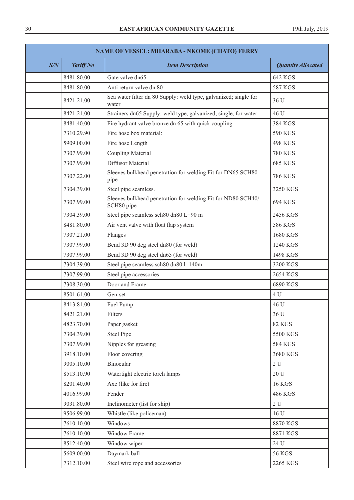| <b>NAME OF VESSEL: MHARABA - NKOME (CHATO) FERRY</b> |                  |                                                                            |                           |
|------------------------------------------------------|------------------|----------------------------------------------------------------------------|---------------------------|
| S/N                                                  | <b>Tariff No</b> | <b>Item Description</b>                                                    | <b>Quantity Allocated</b> |
|                                                      | 8481.80.00       | Gate valve dn65                                                            | <b>642 KGS</b>            |
|                                                      | 8481.80.00       | Anti return valve dn 80                                                    | <b>587 KGS</b>            |
|                                                      | 8421.21.00       | Sea water filter dn 80 Supply: weld type, galvanized; single for<br>water  | 36 U                      |
|                                                      | 8421.21.00       | Strainers dn65 Supply: weld type, galvanized; single, for water            | 46 U                      |
|                                                      | 8481.40.00       | Fire hydrant valve bronze dn 65 with quick coupling                        | 384 KGS                   |
|                                                      | 7310.29.90       | Fire hose box material:                                                    | 590 KGS                   |
|                                                      | 5909.00.00       | Fire hose Length                                                           | <b>498 KGS</b>            |
|                                                      | 7307.99.00       | <b>Coupling Material</b>                                                   | <b>780 KGS</b>            |
|                                                      | 7307.99.00       | Diffusor Material                                                          | <b>685 KGS</b>            |
|                                                      | 7307.22.00       | Sleeves bulkhead penetration for welding Fit for DN65 SCH80<br>pipe        | <b>786 KGS</b>            |
|                                                      | 7304.39.00       | Steel pipe seamless.                                                       | 3250 KGS                  |
|                                                      | 7307.99.00       | Sleeves bulkhead penetration for welding Fit for ND80 SCH40/<br>SCH80 pipe | 694 KGS                   |
|                                                      | 7304.39.00       | Steel pipe seamless sch80 dn80 L=90 m                                      | 2456 KGS                  |
|                                                      | 8481.80.00       | Air vent valve with float flap system                                      | 586 KGS                   |
|                                                      | 7307.21.00       | Flanges                                                                    | 1680 KGS                  |
|                                                      | 7307.99.00       | Bend 3D 90 deg steel dn80 (for weld)                                       | 1240 KGS                  |
|                                                      | 7307.99.00       | Bend 3D 90 deg steel dn65 (for weld)                                       | 1498 KGS                  |
|                                                      | 7304.39.00       | Steel pipe seamless sch80 dn80 l=140m                                      | 3200 KGS                  |
|                                                      | 7307.99.00       | Steel pipe accessories                                                     | 2654 KGS                  |
|                                                      | 7308.30.00       | Door and Frame                                                             | 6890 KGS                  |
|                                                      | 8501.61.00       | Gen-set                                                                    | 4 U                       |
|                                                      | 8413.81.00       | Fuel Pump                                                                  | 46 U                      |
|                                                      | 8421.21.00       | Filters                                                                    | 36 U                      |
|                                                      | 4823.70.00       | Paper gasket                                                               | <b>82 KGS</b>             |
|                                                      | 7304.39.00       | <b>Steel Pipe</b>                                                          | 5500 KGS                  |
|                                                      | 7307.99.00       | Nipples for greasing                                                       | <b>584 KGS</b>            |
|                                                      | 3918.10.00       | Floor covering                                                             | 3680 KGS                  |
|                                                      | 9005.10.00       | Binocular                                                                  | 2U                        |
|                                                      | 8513.10.90       | Watertight electric torch lamps                                            | 20 U                      |
|                                                      | 8201.40.00       | Axe (like for fire)                                                        | <b>16 KGS</b>             |
|                                                      | 4016.99.00       | Fender                                                                     | <b>486 KGS</b>            |
|                                                      | 9031.80.00       | Inclinometer (list for ship)                                               | 2U                        |
|                                                      | 9506.99.00       | Whistle (like policeman)                                                   | 16 U                      |
|                                                      | 7610.10.00       | Windows                                                                    | 8870 KGS                  |
|                                                      | 7610.10.00       | Window Frame                                                               | 8871 KGS                  |
|                                                      | 8512.40.00       | Window wiper                                                               | 24 U                      |
|                                                      | 5609.00.00       | Daymark ball                                                               | <b>56 KGS</b>             |
|                                                      | 7312.10.00       | Steel wire rope and accessories                                            | 2265 KGS                  |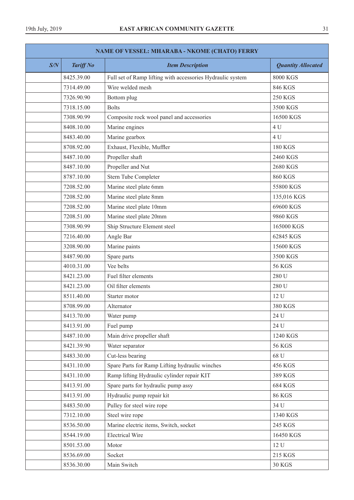| NAME OF VESSEL: MHARABA - NKOME (CHATO) FERRY |                  |                                                            |                           |
|-----------------------------------------------|------------------|------------------------------------------------------------|---------------------------|
| S/N                                           | <b>Tariff No</b> | <b>Item Description</b>                                    | <b>Quantity Allocated</b> |
|                                               | 8425.39.00       | Full set of Ramp lifting with accessories Hydraulic system | <b>8000 KGS</b>           |
|                                               | 7314.49.00       | Wire welded mesh                                           | 846 KGS                   |
|                                               | 7326.90.90       | Bottom plug                                                | <b>250 KGS</b>            |
|                                               | 7318.15.00       | <b>Bolts</b>                                               | 3500 KGS                  |
|                                               | 7308.90.99       | Composite rock wool panel and accessories                  | 16500 KGS                 |
|                                               | 8408.10.00       | Marine engines                                             | 4 U                       |
|                                               | 8483.40.00       | Marine gearbox                                             | 4 U                       |
|                                               | 8708.92.00       | Exhaust, Flexible, Muffler                                 | <b>180 KGS</b>            |
|                                               | 8487.10.00       | Propeller shaft                                            | 2460 KGS                  |
|                                               | 8487.10.00       | Propeller and Nut                                          | 2680 KGS                  |
|                                               | 8787.10.00       | Stern Tube Completer                                       | <b>860 KGS</b>            |
|                                               | 7208.52.00       | Marine steel plate 6mm                                     | 55800 KGS                 |
|                                               | 7208.52.00       | Marine steel plate 8mm                                     | 135,016 KGS               |
|                                               | 7208.52.00       | Marine steel plate 10mm                                    | 69600 KGS                 |
|                                               | 7208.51.00       | Marine steel plate 20mm                                    | 9860 KGS                  |
|                                               | 7308.90.99       | Ship Structure Element steel                               | 165000 KGS                |
|                                               | 7216.40.00       | Angle Bar                                                  | 62845 KGS                 |
|                                               | 3208.90.00       | Marine paints                                              | 15600 KGS                 |
|                                               | 8487.90.00       | Spare parts                                                | 3500 KGS                  |
|                                               | 4010.31.00       | Vee belts                                                  | <b>56 KGS</b>             |
|                                               | 8421.23.00       | Fuel filter elements                                       | 280 U                     |
|                                               | 8421.23.00       | Oil filter elements                                        | 280 U                     |
|                                               | 8511.40.00       | Starter motor                                              | 12 U                      |
|                                               | 8708.99.00       | Alternator                                                 | 380 KGS                   |
|                                               | 8413.70.00       | Water pump                                                 | 24 U                      |
|                                               | 8413.91.00       | Fuel pump                                                  | 24 U                      |
|                                               | 8487.10.00       | Main drive propeller shaft                                 | 1240 KGS                  |
|                                               | 8421.39.90       | Water separator                                            | <b>56 KGS</b>             |
|                                               | 8483.30.00       | Cut-less bearing                                           | 68 U                      |
|                                               | 8431.10.00       | Spare Parts for Ramp Lifting hydraulic winches             | 456 KGS                   |
|                                               | 8431.10.00       | Ramp lifting Hydraulic cylinder repair KIT                 | 389 KGS                   |
|                                               | 8413.91.00       | Spare parts for hydraulic pump assy                        | <b>684 KGS</b>            |
|                                               | 8413.91.00       | Hydraulic pump repair kit                                  | <b>86 KGS</b>             |
|                                               | 8483.50.00       | Pulley for steel wire rope                                 | 34 U                      |
|                                               | 7312.10.00       | Steel wire rope                                            | 1340 KGS                  |
|                                               | 8536.50.00       | Marine electric items, Switch, socket                      | 245 KGS                   |
|                                               | 8544.19.00       | <b>Electrical Wire</b>                                     | 16450 KGS                 |
|                                               | 8501.53.00       | Motor                                                      | 12 U                      |
|                                               | 8536.69.00       | Socket                                                     | 215 KGS                   |
|                                               | 8536.30.00       | Main Switch                                                | <b>30 KGS</b>             |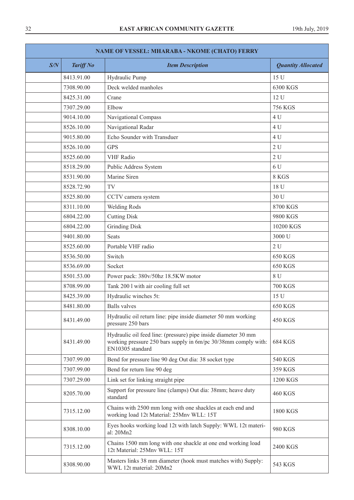| <b>NAME OF VESSEL: MHARABA - NKOME (CHATO) FERRY</b> |                  |                                                                                                                                                      |                           |
|------------------------------------------------------|------------------|------------------------------------------------------------------------------------------------------------------------------------------------------|---------------------------|
| S/N                                                  | <b>Tariff No</b> | <b>Item Description</b>                                                                                                                              | <b>Quantity Allocated</b> |
|                                                      | 8413.91.00       | Hydraulic Pump                                                                                                                                       | 15 U                      |
|                                                      | 7308.90.00       | Deck welded manholes                                                                                                                                 | 6300 KGS                  |
|                                                      | 8425.31.00       | Crane                                                                                                                                                | 12 U                      |
|                                                      | 7307.29.00       | Elbow                                                                                                                                                | <b>756 KGS</b>            |
|                                                      | 9014.10.00       | Navigational Compass                                                                                                                                 | 4 U                       |
|                                                      | 8526.10.00       | Navigational Radar                                                                                                                                   | 4 U                       |
|                                                      | 9015.80.00       | Echo Sounder with Transduer                                                                                                                          | 4 U                       |
|                                                      | 8526.10.00       | <b>GPS</b>                                                                                                                                           | 2U                        |
|                                                      | 8525.60.00       | <b>VHF</b> Radio                                                                                                                                     | 2U                        |
|                                                      | 8518.29.00       | Public Address System                                                                                                                                | 6 U                       |
|                                                      | 8531.90.00       | Marine Siren                                                                                                                                         | 8 KGS                     |
|                                                      | 8528.72.90       | TV                                                                                                                                                   | 18 U                      |
|                                                      | 8525.80.00       | CCTV camera system                                                                                                                                   | 30 U                      |
|                                                      | 8311.10.00       | Welding Rods                                                                                                                                         | 8700 KGS                  |
|                                                      | 6804.22.00       | <b>Cutting Disk</b>                                                                                                                                  | 9800 KGS                  |
|                                                      | 6804.22.00       | <b>Grinding Disk</b>                                                                                                                                 | 10200 KGS                 |
|                                                      | 9401.80.00       | <b>Seats</b>                                                                                                                                         | 3000 U                    |
|                                                      | 8525.60.00       | Portable VHF radio                                                                                                                                   | 2U                        |
|                                                      | 8536.50.00       | Switch                                                                                                                                               | <b>650 KGS</b>            |
|                                                      | 8536.69.00       | Socket                                                                                                                                               | <b>650 KGS</b>            |
|                                                      | 8501.53.00       | Power pack: 380v/50hz 18.5KW motor                                                                                                                   | 8 U                       |
|                                                      | 8708.99.00       | Tank 2001 with air cooling full set                                                                                                                  | <b>700 KGS</b>            |
|                                                      | 8425.39.00       | Hydraulic winches 5t:                                                                                                                                | 15 U                      |
|                                                      | 8481.80.00       | <b>Balls</b> valves                                                                                                                                  | <b>650 KGS</b>            |
|                                                      | 8431.49.00       | Hydraulic oil return line: pipe inside diameter 50 mm working<br>pressure 250 bars                                                                   | <b>450 KGS</b>            |
|                                                      | 8431.49.00       | Hydraulic oil feed line: (pressure) pipe inside diameter 30 mm<br>working pressure 250 bars supply in 6m/pc 30/38mm comply with:<br>EN10305 standard | <b>684 KGS</b>            |
|                                                      | 7307.99.00       | Bend for pressure line 90 deg Out dia: 38 socket type                                                                                                | 540 KGS                   |
|                                                      | 7307.99.00       | Bend for return line 90 deg                                                                                                                          | 359 KGS                   |
|                                                      | 7307.29.00       | Link set for linking straight pipe                                                                                                                   | 1200 KGS                  |
|                                                      | 8205.70.00       | Support for pressure line (clamps) Out dia: 38mm; heave duty<br>standard                                                                             | <b>460 KGS</b>            |
|                                                      | 7315.12.00       | Chains with 2500 mm long with one shackles at each end and<br>working load 12t Material: 25Mnv WLL: 15T                                              | 1800 KGS                  |
|                                                      | 8308.10.00       | Eyes hooks working load 12t with latch Supply: WWL 12t materi-<br>al: 20Mn2                                                                          | 980 KGS                   |
|                                                      | 7315.12.00       | Chains 1500 mm long with one shackle at one end working load<br>12t Material: 25Mnv WLL: 15T                                                         | 2400 KGS                  |
|                                                      | 8308.90.00       | Masters links 38 mm diameter (hook must matches with) Supply:<br>WWL 12t material: 20Mn2                                                             | 543 KGS                   |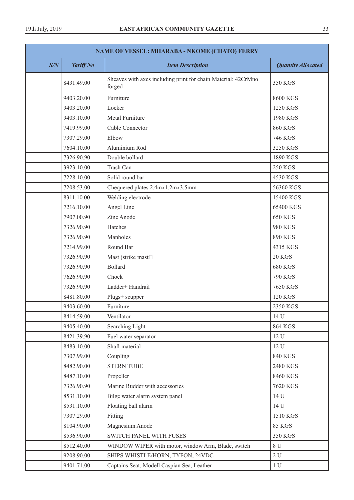| <b>NAME OF VESSEL: MHARABA - NKOME (CHATO) FERRY</b> |                  |                                                                         |                           |
|------------------------------------------------------|------------------|-------------------------------------------------------------------------|---------------------------|
| S/N                                                  | <b>Tariff No</b> | <b>Item Description</b>                                                 | <b>Quantity Allocated</b> |
|                                                      | 8431.49.00       | Sheaves with axes including print for chain Material: 42CrMno<br>forged | 350 KGS                   |
|                                                      | 9403.20.00       | Furniture                                                               | 8600 KGS                  |
|                                                      | 9403.20.00       | Locker                                                                  | 1250 KGS                  |
|                                                      | 9403.10.00       | Metal Furniture                                                         | 1980 KGS                  |
|                                                      | 7419.99.00       | Cable Connector                                                         | <b>860 KGS</b>            |
|                                                      | 7307.29.00       | Elbow                                                                   | <b>746 KGS</b>            |
|                                                      | 7604.10.00       | Aluminium Rod                                                           | 3250 KGS                  |
|                                                      | 7326.90.90       | Double bollard                                                          | 1890 KGS                  |
|                                                      | 3923.10.00       | Trash Can                                                               | <b>250 KGS</b>            |
|                                                      | 7228.10.00       | Solid round bar                                                         | 4530 KGS                  |
|                                                      | 7208.53.00       | Chequered plates 2.4mx1.2mx3.5mm                                        | 56360 KGS                 |
|                                                      | 8311.10.00       | Welding electrode                                                       | 15400 KGS                 |
|                                                      | 7216.10.00       | Angel Line                                                              | 65400 KGS                 |
|                                                      | 7907.00.90       | Zinc Anode                                                              | <b>650 KGS</b>            |
|                                                      | 7326.90.90       | Hatches                                                                 | 980 KGS                   |
|                                                      | 7326.90.90       | Manholes                                                                | 890 KGS                   |
|                                                      | 7214.99.00       | Round Bar                                                               | 4315 KGS                  |
|                                                      | 7326.90.90       | Mast (strike mast <sup>[1]</sup>                                        | <b>20 KGS</b>             |
|                                                      | 7326.90.90       | <b>Bollard</b>                                                          | <b>680 KGS</b>            |
|                                                      | 7626.90.90       | Chock                                                                   | 790 KGS                   |
|                                                      | 7326.90.90       | Ladder+ Handrail                                                        | 7650 KGS                  |
|                                                      | 8481.80.00       | Plugs+ scupper                                                          | <b>120 KGS</b>            |
|                                                      | 9403.60.00       | Furniture                                                               | 2350 KGS                  |
|                                                      | 8414.59.00       | Ventilator                                                              | 14 U                      |
|                                                      | 9405.40.00       | Searching Light                                                         | <b>864 KGS</b>            |
|                                                      | 8421.39.90       | Fuel water separator                                                    | 12 U                      |
|                                                      | 8483.10.00       | Shaft material                                                          | 12 U                      |
|                                                      | 7307.99.00       | Coupling                                                                | <b>840 KGS</b>            |
|                                                      | 8482.90.00       | <b>STERN TUBE</b>                                                       | 2480 KGS                  |
|                                                      | 8487.10.00       | Propeller                                                               | 8460 KGS                  |
|                                                      | 7326.90.90       | Marine Rudder with accessories                                          | 7620 KGS                  |
|                                                      | 8531.10.00       | Bilge water alarm system panel                                          | 14 U                      |
|                                                      | 8531.10.00       | Floating ball alarm                                                     | 14 U                      |
|                                                      | 7307.29.00       | Fitting                                                                 | 1510 KGS                  |
|                                                      | 8104.90.00       | Magnesium Anode                                                         | <b>85 KGS</b>             |
|                                                      | 8536.90.00       | SWITCH PANEL WITH FUSES                                                 | 350 KGS                   |
|                                                      | 8512.40.00       | WINDOW WIPER with motor, window Arm, Blade, switch                      | $8\,\mathrm{U}$           |
|                                                      | 9208.90.00       | SHIPS WHISTLE/HORN, TYFON, 24VDC                                        | 2U                        |
|                                                      | 9401.71.00       | Captains Seat, Modell Caspian Sea, Leather                              | 1 <sub>U</sub>            |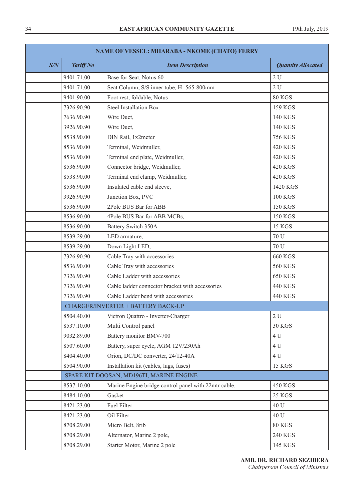| NAME OF VESSEL: MHARABA - NKOME (CHATO) FERRY |                                          |                                                      |                           |  |  |
|-----------------------------------------------|------------------------------------------|------------------------------------------------------|---------------------------|--|--|
| S/N                                           | <b>Tariff No</b>                         | <b>Item Description</b>                              | <b>Quantity Allocated</b> |  |  |
|                                               | 9401.71.00                               | Base for Seat, Notus 60                              | 2U                        |  |  |
|                                               | 9401.71.00                               | Seat Column, S/S inner tube, H=565-800mm             | 2U                        |  |  |
|                                               | 9401.90.00                               | Foot rest, foldable, Notus                           | 80 KGS                    |  |  |
|                                               | 7326.90.90                               | <b>Steel Installation Box</b>                        | 159 KGS                   |  |  |
|                                               | 7636.90.90                               | Wire Duct,                                           | 140 KGS                   |  |  |
|                                               | 3926.90.90                               | Wire Duct,                                           | 140 KGS                   |  |  |
|                                               | 8538.90.00                               | DIN Rail, 1x2meter                                   | <b>756 KGS</b>            |  |  |
|                                               | 8536.90.00                               | Terminal, Weidmuller,                                | <b>420 KGS</b>            |  |  |
|                                               | 8536.90.00                               | Terminal end plate, Weidmuller,                      | <b>420 KGS</b>            |  |  |
|                                               | 8536.90.00                               | Connector bridge, Weidmuller,                        | <b>420 KGS</b>            |  |  |
|                                               | 8538.90.00                               | Terminal end clamp, Weidmuller,                      | 420 KGS                   |  |  |
|                                               | 8536.90.00                               | Insulated cable end sleeve,                          | 1420 KGS                  |  |  |
|                                               | 3926.90.90                               | Junction Box, PVC                                    | <b>100 KGS</b>            |  |  |
|                                               | 8536.90.00                               | 2Pole BUS Bar for ABB                                | <b>150 KGS</b>            |  |  |
|                                               | 8536.90.00                               | 4Pole BUS Bar for ABB MCBs,                          | <b>150 KGS</b>            |  |  |
|                                               | 8536.90.00                               | Battery Switch 350A                                  | <b>15 KGS</b>             |  |  |
|                                               | 8539.29.00                               | LED armature,                                        | 70 U                      |  |  |
|                                               | 8539.29.00                               | Down Light LED,                                      | 70 U                      |  |  |
|                                               | 7326.90.90                               | Cable Tray with accessories                          | <b>660 KGS</b>            |  |  |
|                                               | 8536.90.00                               | Cable Tray with accessories                          | <b>560 KGS</b>            |  |  |
|                                               | 7326.90.90                               | Cable Ladder with accessories                        | <b>650 KGS</b>            |  |  |
|                                               | 7326.90.90                               | Cable ladder connector bracket with accessories      | 440 KGS                   |  |  |
|                                               | 7326.90.90                               | Cable Ladder bend with accessories                   | 440 KGS                   |  |  |
|                                               |                                          | <b>CHARGER/INVERTER + BATTERY BACK-UP</b>            |                           |  |  |
|                                               | 8504.40.00                               | Victron Quattro - Inverter-Charger                   | 2U                        |  |  |
|                                               | 8537.10.00                               | Multi Control panel                                  | <b>30 KGS</b>             |  |  |
|                                               | 9032.89.00                               | Battery monitor BMV-700                              | 4 U                       |  |  |
|                                               | 8507.60.00                               | Battery, super cycle, AGM 12V/230Ah                  | 4 U                       |  |  |
|                                               | 8404.40.00                               | Orion, DC/DC converter, 24/12-40A                    | 4 U                       |  |  |
|                                               | 8504.90.00                               | Installation kit (cables, lugs, fuses)               | <b>15 KGS</b>             |  |  |
|                                               | SPARE KIT DOOSAN, MD196TI, MARINE ENGINE |                                                      |                           |  |  |
|                                               | 8537.10.00                               | Marine Engine bridge control panel with 22mtr cable. | <b>450 KGS</b>            |  |  |
|                                               | 8484.10.00                               | Gasket                                               | <b>25 KGS</b>             |  |  |
|                                               | 8421.23.00                               | Fuel Filter                                          | 40 U                      |  |  |
|                                               | 8421.23.00                               | Oil Filter                                           | 40 U                      |  |  |
|                                               | 8708.29.00                               | Micro Belt, 8rib                                     | <b>80 KGS</b>             |  |  |
|                                               | 8708.29.00                               | Alternator, Marine 2 pole,                           | <b>240 KGS</b>            |  |  |
|                                               | 8708.29.00                               | Starter Motor, Marine 2 pole                         | 145 KGS                   |  |  |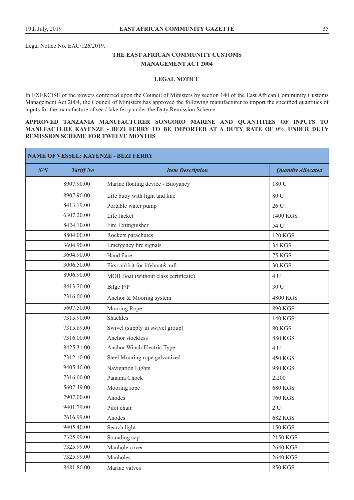Legal Notice No. EAC/126/2019.

# **THE EAST AFRICAN COMMUNITY CUSTOMS MANAGEMENT ACT 2004**

#### **LEGAL NOTICE**

In EXERCISE of the powers conferred upon the Council of Ministers by section 140 of the East African Community Customs Management Act 2004, the Council of Ministers has approved the following manufacturer to import the specified quantities of inputs for the manufacture of sea / lake ferry under the Duty Remission Scheme.

# **APPROVED TANZANIA MANUFACTURER SONGORO MARINE AND QUANTITIES OF INPUTS TO MANUFACTURE KAYENZE - BEZI FERRY TO BE IMPORTED AT A DUTY RATE OF 0% UNDER DUTY REMISSION SCHEME FOR TWELVE MONTHS**

| NAME OF VESSEL: KAYENZE - BEZI FERRY |                  |                                      |                           |
|--------------------------------------|------------------|--------------------------------------|---------------------------|
| S/N                                  | <b>Tariff No</b> | <b>Item Description</b>              | <b>Quantity Allocated</b> |
|                                      | 8907.90.00       | Marine floating device - Buoyancy    | 180 U                     |
|                                      | 8907.90.00       | Life buoy with light and line        | 80 U                      |
|                                      | 8413.19.00       | Portable water pump                  | 26 U                      |
|                                      | 6307.20.00       | Life Jacket                          | 1400 KGS                  |
|                                      | 8424.10.00       | Fire Extinguisher                    | 54 U                      |
|                                      | 8804.00.00       | Rockets parachutes                   | <b>120 KGS</b>            |
|                                      | 3604.90.00       | Emergency fire signals               | <b>34 KGS</b>             |
|                                      | 3604.90.00       | Hand flare                           | <b>75 KGS</b>             |
|                                      | 3006.50.00       | First aid kit for lifeboat& raft     | <b>30 KGS</b>             |
|                                      | 8906.90.00       | MOB Boat (without class certificate) | 4 U                       |
|                                      | 8413.70.00       | Bilge P/P                            | 30 U                      |
|                                      | 7316.00.00       | Anchor & Mooring system              | 4800 KGS                  |
|                                      | 5607.50.00       | Mooring Rope                         | 890 KGS                   |
|                                      | 7315.90.00       | Shackles                             | 140 KGS                   |
|                                      | 7315.89.00       | Swivel (supply in swivel group)      | <b>80 KGS</b>             |
|                                      | 7316.00.00       | Anchor stockless                     | <b>880 KGS</b>            |
|                                      | 8425.31.00       | Anchor Winch Electric Type           | 4 U                       |
|                                      | 7312.10.00       | Steel Mooring rope galvanized        | <b>450 KGS</b>            |
|                                      | 9405.40.00       | Navigation Lights                    | 980 KGS                   |
|                                      | 7316.00.00       | Panama Chock                         | 2,200                     |
|                                      | 5607.49.00       | Mooring rope                         | <b>680 KGS</b>            |
|                                      | 7907.00.00       | Anodes                               | <b>760 KGS</b>            |
|                                      | 9401.79.00       | Pilot chair                          | 2U                        |
|                                      | 7616.99.00       | Anodes                               | 682 KGS                   |
|                                      | 9405.40.00       | Search light                         | <b>150 KGS</b>            |
|                                      | 7325.99.00       | Sounding cap                         | 2150 KGS                  |
|                                      | 7325.99.00       | Manhole cover                        | 2640 KGS                  |
|                                      | 7325.99.00       | Manholes                             | 2640 KGS                  |
|                                      | 8481.80.00       | Marine valves                        | <b>850 KGS</b>            |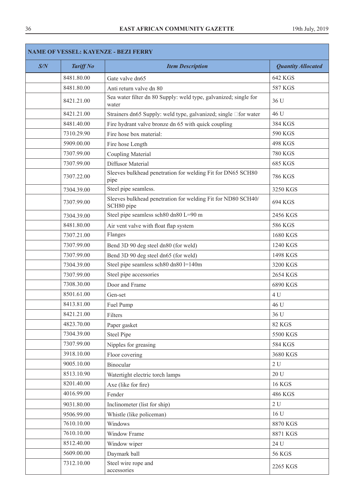٦

|     | <b>NAME OF VESSEL: KAYENZE - BEZI FERRY</b> |                                                                            |                           |  |
|-----|---------------------------------------------|----------------------------------------------------------------------------|---------------------------|--|
| S/N | <b>Tariff No</b>                            | <b>Item Description</b>                                                    | <b>Quantity Allocated</b> |  |
|     | 8481.80.00                                  | Gate valve dn65                                                            | 642 KGS                   |  |
|     | 8481.80.00                                  | Anti return valve dn 80                                                    | <b>587 KGS</b>            |  |
|     | 8421.21.00                                  | Sea water filter dn 80 Supply: weld type, galvanized; single for<br>water  | 36 U                      |  |
|     | 8421.21.00                                  | Strainers dn65 Supply: weld type, galvanized; single □for water            | 46 U                      |  |
|     | 8481.40.00                                  | Fire hydrant valve bronze dn 65 with quick coupling                        | 384 KGS                   |  |
|     | 7310.29.90                                  | Fire hose box material:                                                    | 590 KGS                   |  |
|     | 5909.00.00                                  | Fire hose Length                                                           | <b>498 KGS</b>            |  |
|     | 7307.99.00                                  | Coupling Material                                                          | <b>780 KGS</b>            |  |
|     | 7307.99.00                                  | Diffusor Material                                                          | 685 KGS                   |  |
|     | 7307.22.00                                  | Sleeves bulkhead penetration for welding Fit for DN65 SCH80<br>pipe        | <b>786 KGS</b>            |  |
|     | 7304.39.00                                  | Steel pipe seamless.                                                       | 3250 KGS                  |  |
|     | 7307.99.00                                  | Sleeves bulkhead penetration for welding Fit for ND80 SCH40/<br>SCH80 pipe | 694 KGS                   |  |
|     | 7304.39.00                                  | Steel pipe seamless sch80 dn80 L=90 m                                      | 2456 KGS                  |  |
|     | 8481.80.00                                  | Air vent valve with float flap system                                      | 586 KGS                   |  |
|     | 7307.21.00                                  | Flanges                                                                    | 1680 KGS                  |  |
|     | 7307.99.00                                  | Bend 3D 90 deg steel dn80 (for weld)                                       | 1240 KGS                  |  |
|     | 7307.99.00                                  | Bend 3D 90 deg steel dn65 (for weld)                                       | 1498 KGS                  |  |
|     | 7304.39.00                                  | Steel pipe seamless sch80 dn80 l=140m                                      | 3200 KGS                  |  |
|     | 7307.99.00                                  | Steel pipe accessories                                                     | 2654 KGS                  |  |
|     | 7308.30.00                                  | Door and Frame                                                             | 6890 KGS                  |  |
|     | 8501.61.00                                  | Gen-set                                                                    | 4 U                       |  |
|     | 8413.81.00                                  | Fuel Pump                                                                  | 46 U                      |  |
|     | 8421.21.00                                  | Filters                                                                    | 36 U                      |  |
|     | 4823.70.00                                  | Paper gasket                                                               | <b>82 KGS</b>             |  |
|     | 7304.39.00                                  | <b>Steel Pipe</b>                                                          | 5500 KGS                  |  |
|     | 7307.99.00                                  | Nipples for greasing                                                       | 584 KGS                   |  |
|     | 3918.10.00                                  | Floor covering                                                             | 3680 KGS                  |  |
|     | 9005.10.00                                  | Binocular                                                                  | 2U                        |  |
|     | 8513.10.90                                  | Watertight electric torch lamps                                            | 20U                       |  |
|     | 8201.40.00                                  | Axe (like for fire)                                                        | <b>16 KGS</b>             |  |
|     | 4016.99.00                                  | Fender                                                                     | 486 KGS                   |  |
|     | 9031.80.00                                  | Inclinometer (list for ship)                                               | 2U                        |  |
|     | 9506.99.00                                  | Whistle (like policeman)                                                   | 16 U                      |  |
|     | 7610.10.00                                  | Windows                                                                    | 8870 KGS                  |  |
|     | 7610.10.00                                  | Window Frame                                                               | 8871 KGS                  |  |
|     | 8512.40.00                                  | Window wiper                                                               | 24 U                      |  |
|     | 5609.00.00                                  | Daymark ball                                                               | <b>56 KGS</b>             |  |
|     | 7312.10.00                                  | Steel wire rope and<br>accessories                                         | 2265 KGS                  |  |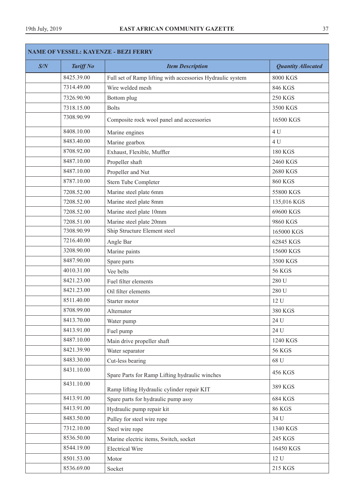ı

| S/N | <b>Tariff No</b> | <b>Item Description</b>                                    | <b>Quantity Allocated</b> |
|-----|------------------|------------------------------------------------------------|---------------------------|
|     | 8425.39.00       | Full set of Ramp lifting with accessories Hydraulic system | <b>8000 KGS</b>           |
|     | 7314.49.00       | Wire welded mesh                                           | 846 KGS                   |
|     | 7326.90.90       | Bottom plug                                                | <b>250 KGS</b>            |
|     | 7318.15.00       | <b>Bolts</b>                                               | 3500 KGS                  |
|     | 7308.90.99       | Composite rock wool panel and accessories                  | 16500 KGS                 |
|     | 8408.10.00       | Marine engines                                             | 4 U                       |
|     | 8483.40.00       | Marine gearbox                                             | 4 U                       |
|     | 8708.92.00       | Exhaust, Flexible, Muffler                                 | <b>180 KGS</b>            |
|     | 8487.10.00       | Propeller shaft                                            | 2460 KGS                  |
|     | 8487.10.00       | Propeller and Nut                                          | 2680 KGS                  |
|     | 8787.10.00       | Stern Tube Completer                                       | <b>860 KGS</b>            |
|     | 7208.52.00       | Marine steel plate 6mm                                     | 55800 KGS                 |
|     | 7208.52.00       | Marine steel plate 8mm                                     | 135,016 KGS               |
|     | 7208.52.00       | Marine steel plate 10mm                                    | 69600 KGS                 |
|     | 7208.51.00       | Marine steel plate 20mm                                    | 9860 KGS                  |
|     | 7308.90.99       | Ship Structure Element steel                               | 165000 KGS                |
|     | 7216.40.00       | Angle Bar                                                  | 62845 KGS                 |
|     | 3208.90.00       | Marine paints                                              | 15600 KGS                 |
|     | 8487.90.00       | Spare parts                                                | 3500 KGS                  |
|     | 4010.31.00       | Vee belts                                                  | <b>56 KGS</b>             |
|     | 8421.23.00       | Fuel filter elements                                       | 280 U                     |
|     | 8421.23.00       | Oil filter elements                                        | 280 U                     |
|     | 8511.40.00       | Starter motor                                              | 12 U                      |
|     | 8708.99.00       | Alternator                                                 | 380 KGS                   |
|     | 8413.70.00       | Water pump                                                 | 24 U                      |
|     | 8413.91.00       | Fuel pump                                                  | 24 U                      |
|     | 8487.10.00       | Main drive propeller shaft                                 | 1240 KGS                  |
|     | 8421.39.90       | Water separator                                            | <b>56 KGS</b>             |
|     | 8483.30.00       | Cut-less bearing                                           | 68 U                      |
|     | 8431.10.00       | Spare Parts for Ramp Lifting hydraulic winches             | 456 KGS                   |
|     | 8431.10.00       | Ramp lifting Hydraulic cylinder repair KIT                 | 389 KGS                   |
|     | 8413.91.00       | Spare parts for hydraulic pump assy                        | 684 KGS                   |
|     | 8413.91.00       | Hydraulic pump repair kit                                  | <b>86 KGS</b>             |
|     | 8483.50.00       | Pulley for steel wire rope                                 | 34 U                      |
|     | 7312.10.00       | Steel wire rope                                            | 1340 KGS                  |
|     | 8536.50.00       | Marine electric items, Switch, socket                      | 245 KGS                   |
|     | 8544.19.00       | <b>Electrical Wire</b>                                     | 16450 KGS                 |
|     | 8501.53.00       | Motor                                                      | 12 U                      |
|     | 8536.69.00       | Socket                                                     | 215 KGS                   |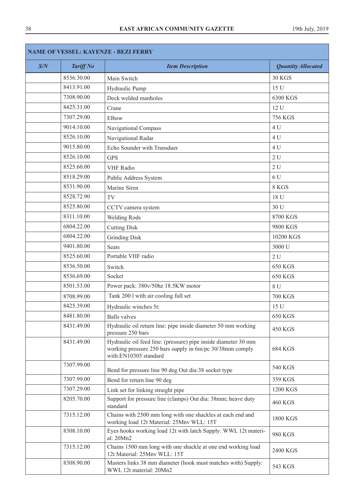| <b>NAME OF VESSEL: KAYENZE - BEZI FERRY</b> |                  |                                                                                                                                                     |                           |
|---------------------------------------------|------------------|-----------------------------------------------------------------------------------------------------------------------------------------------------|---------------------------|
| S/N                                         | <b>Tariff No</b> | <b>Item Description</b>                                                                                                                             | <b>Quantity Allocated</b> |
|                                             | 8536.30.00       | Main Switch                                                                                                                                         | <b>30 KGS</b>             |
|                                             | 8413.91.00       | Hydraulic Pump                                                                                                                                      | 15 U                      |
|                                             | 7308.90.00       | Deck welded manholes                                                                                                                                | 6300 KGS                  |
|                                             | 8425.31.00       | Crane                                                                                                                                               | 12 U                      |
|                                             | 7307.29.00       | Elbow                                                                                                                                               | <b>756 KGS</b>            |
|                                             | 9014.10.00       | Navigational Compass                                                                                                                                | 4 U                       |
|                                             | 8526.10.00       | Navigational Radar                                                                                                                                  | 4 U                       |
|                                             | 9015.80.00       | Echo Sounder with Transduer                                                                                                                         | 4 U                       |
|                                             | 8526.10.00       | <b>GPS</b>                                                                                                                                          | 2U                        |
|                                             | 8525.60.00       | <b>VHF</b> Radio                                                                                                                                    | 2U                        |
|                                             | 8518.29.00       | Public Address System                                                                                                                               | 6 U                       |
|                                             | 8531.90.00       | Marine Siren                                                                                                                                        | 8 KGS                     |
|                                             | 8528.72.90       | TV                                                                                                                                                  | 18 U                      |
|                                             | 8525.80.00       | CCTV camera system                                                                                                                                  | 30 U                      |
|                                             | 8311.10.00       | <b>Welding Rods</b>                                                                                                                                 | 8700 KGS                  |
|                                             | 6804.22.00       | <b>Cutting Disk</b>                                                                                                                                 | 9800 KGS                  |
|                                             | 6804.22.00       | <b>Grinding Disk</b>                                                                                                                                | 10200 KGS                 |
|                                             | 9401.80.00       | <b>Seats</b>                                                                                                                                        | 3000 U                    |
|                                             | 8525.60.00       | Portable VHF radio                                                                                                                                  | 2U                        |
|                                             | 8536.50.00       | Switch                                                                                                                                              | <b>650 KGS</b>            |
|                                             | 8536.69.00       | Socket                                                                                                                                              | 650 KGS                   |
|                                             | 8501.53.00       | Power pack: 380v/50hz 18.5KW motor                                                                                                                  | 8 U                       |
|                                             | 8708.99.00       | Tank 2001 with air cooling full set                                                                                                                 | <b>700 KGS</b>            |
|                                             | 8425.39.00       | Hydraulic winches 5t:                                                                                                                               | 15 U                      |
|                                             | 8481.80.00       | <b>Balls</b> valves                                                                                                                                 | <b>650 KGS</b>            |
|                                             | 8431.49.00       | Hydraulic oil return line: pipe inside diameter 50 mm working<br>pressure 250 bars                                                                  | 450 KGS                   |
|                                             | 8431.49.00       | Hydraulic oil feed line: (pressure) pipe inside diameter 30 mm<br>working pressure 250 bars supply in 6m/pc 30/38mm comply<br>with:EN10305 standard | <b>684 KGS</b>            |
|                                             | 7307.99.00       | Bend for pressure line 90 deg Out dia:38 socket type                                                                                                | 540 KGS                   |
|                                             | 7307.99.00       | Bend for return line 90 deg                                                                                                                         | 359 KGS                   |
|                                             | 7307.29.00       | Link set for linking straight pipe                                                                                                                  | 1200 KGS                  |
|                                             | 8205.70.00       | Support for pressure line (clamps) Out dia: 38mm; heave duty<br>standard                                                                            | 460 KGS                   |
|                                             | 7315.12.00       | Chains with 2500 mm long with one shackles at each end and<br>working load 12t Material: 25Mnv WLL: 15T                                             | 1800 KGS                  |
|                                             | 8308.10.00       | Eyes hooks working load 12t with latch Supply: WWL 12t materi-<br>al: 20Mn2                                                                         | 980 KGS                   |
|                                             | 7315.12.00       | Chains 1500 mm long with one shackle at one end working load<br>12t Material: 25Mnv WLL: 15T                                                        | 2400 KGS                  |
|                                             | 8308.90.00       | Masters links 38 mm diameter (hook must matches with) Supply:<br>WWL 12t material: 20Mn2                                                            | 543 KGS                   |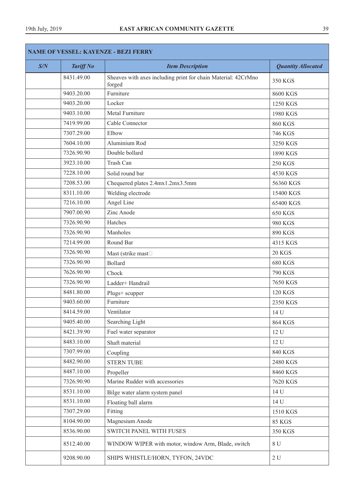Г

| <b>NAME OF VESSEL: KAYENZE - BEZI FERRY</b> |                  |                                                                         |                           |
|---------------------------------------------|------------------|-------------------------------------------------------------------------|---------------------------|
| S/N                                         | <b>Tariff No</b> | <b>Item Description</b>                                                 | <b>Quantity Allocated</b> |
|                                             | 8431.49.00       | Sheaves with axes including print for chain Material: 42CrMno<br>forged | 350 KGS                   |
|                                             | 9403.20.00       | Furniture                                                               | 8600 KGS                  |
|                                             | 9403.20.00       | Locker                                                                  | 1250 KGS                  |
|                                             | 9403.10.00       | Metal Furniture                                                         | 1980 KGS                  |
|                                             | 7419.99.00       | Cable Connector                                                         | <b>860 KGS</b>            |
|                                             | 7307.29.00       | Elbow                                                                   | 746 KGS                   |
|                                             | 7604.10.00       | Aluminium Rod                                                           | 3250 KGS                  |
|                                             | 7326.90.90       | Double bollard                                                          | 1890 KGS                  |
|                                             | 3923.10.00       | Trash Can                                                               | <b>250 KGS</b>            |
|                                             | 7228.10.00       | Solid round bar                                                         | 4530 KGS                  |
|                                             | 7208.53.00       | Chequered plates 2.4mx1.2mx3.5mm                                        | 56360 KGS                 |
|                                             | 8311.10.00       | Welding electrode                                                       | 15400 KGS                 |
|                                             | 7216.10.00       | Angel Line                                                              | 65400 KGS                 |
|                                             | 7907.00.90       | Zinc Anode                                                              | 650 KGS                   |
|                                             | 7326.90.90       | Hatches                                                                 | 980 KGS                   |
|                                             | 7326.90.90       | Manholes                                                                | 890 KGS                   |
|                                             | 7214.99.00       | Round Bar                                                               | 4315 KGS                  |
|                                             | 7326.90.90       | Mast (strike mast <sup>[1]</sup>                                        | <b>20 KGS</b>             |
|                                             | 7326.90.90       | <b>Bollard</b>                                                          | <b>680 KGS</b>            |
|                                             | 7626.90.90       | Chock                                                                   | <b>790 KGS</b>            |
|                                             | 7326.90.90       | Ladder+ Handrail                                                        | 7650 KGS                  |
|                                             | 8481.80.00       | Plugs+ scupper                                                          | <b>120 KGS</b>            |
|                                             | 9403.60.00       | Furniture                                                               | 2350 KGS                  |
|                                             | 8414.59.00       | Ventilator                                                              | 14 U                      |
|                                             | 9405.40.00       | Searching Light                                                         | <b>864 KGS</b>            |
|                                             | 8421.39.90       | Fuel water separator                                                    | 12 U                      |
|                                             | 8483.10.00       | Shaft material                                                          | 12 U                      |
|                                             | 7307.99.00       | Coupling                                                                | <b>840 KGS</b>            |
|                                             | 8482.90.00       | <b>STERN TUBE</b>                                                       | 2480 KGS                  |
|                                             | 8487.10.00       | Propeller                                                               | 8460 KGS                  |
|                                             | 7326.90.90       | Marine Rudder with accessories                                          | 7620 KGS                  |
|                                             | 8531.10.00       | Bilge water alarm system panel                                          | 14 U                      |
|                                             | 8531.10.00       | Floating ball alarm                                                     | 14 U                      |
|                                             | 7307.29.00       | Fitting                                                                 | 1510 KGS                  |
|                                             | 8104.90.00       | Magnesium Anode                                                         | <b>85 KGS</b>             |
|                                             | 8536.90.00       | <b>SWITCH PANEL WITH FUSES</b>                                          | 350 KGS                   |
|                                             | 8512.40.00       | WINDOW WIPER with motor, window Arm, Blade, switch                      | 8 U                       |
|                                             | 9208.90.00       | SHIPS WHISTLE/HORN, TYFON, 24VDC                                        | 2U                        |

٦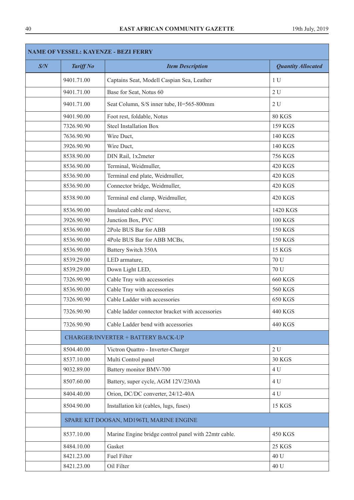| <b>NAME OF VESSEL: KAYENZE - BEZI FERRY</b> |                  |                                                      |                           |  |
|---------------------------------------------|------------------|------------------------------------------------------|---------------------------|--|
| S/N                                         | <b>Tariff No</b> | <b>Item Description</b>                              | <b>Quantity Allocated</b> |  |
|                                             | 9401.71.00       | Captains Seat, Modell Caspian Sea, Leather           | 1 <sub>U</sub>            |  |
|                                             | 9401.71.00       | Base for Seat, Notus 60                              | 2U                        |  |
|                                             | 9401.71.00       | Seat Column, S/S inner tube, H=565-800mm             | 2U                        |  |
|                                             | 9401.90.00       | Foot rest, foldable, Notus                           | <b>80 KGS</b>             |  |
|                                             | 7326.90.90       | <b>Steel Installation Box</b>                        | 159 KGS                   |  |
|                                             | 7636.90.90       | Wire Duct,                                           | 140 KGS                   |  |
|                                             | 3926.90.90       | Wire Duct,                                           | 140 KGS                   |  |
|                                             | 8538.90.00       | DIN Rail, 1x2meter                                   | <b>756 KGS</b>            |  |
|                                             | 8536.90.00       | Terminal, Weidmuller,                                | 420 KGS                   |  |
|                                             | 8536.90.00       | Terminal end plate, Weidmuller,                      | <b>420 KGS</b>            |  |
|                                             | 8536.90.00       | Connector bridge, Weidmuller,                        | 420 KGS                   |  |
|                                             | 8538.90.00       | Terminal end clamp, Weidmuller,                      | 420 KGS                   |  |
|                                             | 8536.90.00       | Insulated cable end sleeve,                          | 1420 KGS                  |  |
|                                             | 3926.90.90       | Junction Box, PVC                                    | <b>100 KGS</b>            |  |
|                                             | 8536.90.00       | 2Pole BUS Bar for ABB                                | <b>150 KGS</b>            |  |
|                                             | 8536.90.00       | 4Pole BUS Bar for ABB MCBs,                          | <b>150 KGS</b>            |  |
|                                             | 8536.90.00       | Battery Switch 350A                                  | <b>15 KGS</b>             |  |
|                                             | 8539.29.00       | LED armature,                                        | 70 U                      |  |
|                                             | 8539.29.00       | Down Light LED,                                      | 70 U                      |  |
|                                             | 7326.90.90       | Cable Tray with accessories                          | <b>660 KGS</b>            |  |
|                                             | 8536.90.00       | Cable Tray with accessories                          | <b>560 KGS</b>            |  |
|                                             | 7326.90.90       | Cable Ladder with accessories                        | 650 KGS                   |  |
|                                             | 7326.90.90       | Cable ladder connector bracket with accessories      | 440 KGS                   |  |
|                                             | 7326.90.90       | Cable Ladder bend with accessories                   | 440 KGS                   |  |
|                                             |                  | <b>CHARGER/INVERTER + BATTERY BACK-UP</b>            |                           |  |
|                                             | 8504.40.00       | Victron Quattro - Inverter-Charger                   | 2U                        |  |
|                                             | 8537.10.00       | Multi Control panel                                  | <b>30 KGS</b>             |  |
|                                             | 9032.89.00       | Battery monitor BMV-700                              | 4 U                       |  |
|                                             | 8507.60.00       | Battery, super cycle, AGM 12V/230Ah                  | 4 U                       |  |
|                                             | 8404.40.00       | Orion, DC/DC converter, 24/12-40A                    | 4 U                       |  |
|                                             | 8504.90.00       | Installation kit (cables, lugs, fuses)               | <b>15 KGS</b>             |  |
|                                             |                  | SPARE KIT DOOSAN, MD196TI, MARINE ENGINE             |                           |  |
|                                             | 8537.10.00       | Marine Engine bridge control panel with 22mtr cable. | 450 KGS                   |  |
|                                             | 8484.10.00       | Gasket                                               | <b>25 KGS</b>             |  |
|                                             | 8421.23.00       | <b>Fuel Filter</b>                                   | 40 U                      |  |
|                                             | 8421.23.00       | Oil Filter                                           | 40 U                      |  |
|                                             |                  |                                                      |                           |  |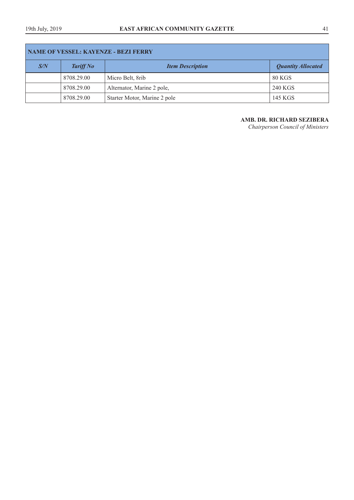| <b>NAME OF VESSEL: KAYENZE - BEZI FERRY</b> |                  |                              |                           |  |
|---------------------------------------------|------------------|------------------------------|---------------------------|--|
| S/N                                         | <b>Tariff No</b> | <b>Item Description</b>      | <b>Quantity Allocated</b> |  |
|                                             | 8708.29.00       | Micro Belt, 8rib             | 80 KGS                    |  |
|                                             | 8708.29.00       | Alternator, Marine 2 pole,   | 240 KGS                   |  |
|                                             | 8708.29.00       | Starter Motor, Marine 2 pole | 145 KGS                   |  |

**AMB. DR. RICHARD SEZIBERA**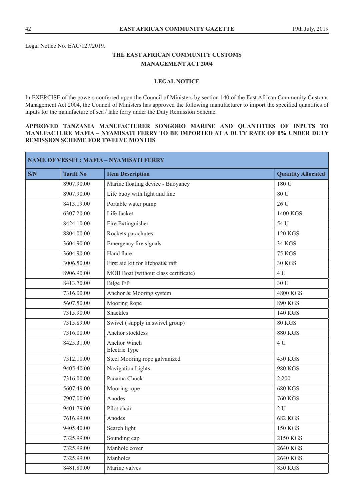Legal Notice No. EAC/127/2019.

# **THE EAST AFRICAN COMMUNITY CUSTOMS MANAGEMENT ACT 2004**

# **LEGAL NOTICE**

In EXERCISE of the powers conferred upon the Council of Ministers by section 140 of the East African Community Customs Management Act 2004, the Council of Ministers has approved the following manufacturer to import the specified quantities of inputs for the manufacture of sea / lake ferry under the Duty Remission Scheme.

# **APPROVED TANZANIA MANUFACTURER SONGORO MARINE AND QUANTITIES OF INPUTS TO MANUFACTURE MAFIA – NYAMISATI FERRY TO BE IMPORTED AT A DUTY RATE OF 0% UNDER DUTY REMISSION SCHEME FOR TWELVE MONTHS**

| <b>NAME OF VESSEL: MAFIA - NYAMISATI FERRY</b> |                  |                                      |                           |
|------------------------------------------------|------------------|--------------------------------------|---------------------------|
| S/N                                            | <b>Tariff No</b> | <b>Item Description</b>              | <b>Quantity Allocated</b> |
|                                                | 8907.90.00       | Marine floating device - Buoyancy    | 180 U                     |
|                                                | 8907.90.00       | Life buoy with light and line        | 80 U                      |
|                                                | 8413.19.00       | Portable water pump                  | 26 U                      |
|                                                | 6307.20.00       | Life Jacket                          | 1400 KGS                  |
|                                                | 8424.10.00       | Fire Extinguisher                    | 54 U                      |
|                                                | 8804.00.00       | Rockets parachutes                   | <b>120 KGS</b>            |
|                                                | 3604.90.00       | Emergency fire signals               | <b>34 KGS</b>             |
|                                                | 3604.90.00       | Hand flare                           | <b>75 KGS</b>             |
|                                                | 3006.50.00       | First aid kit for lifeboat& raft     | <b>30 KGS</b>             |
|                                                | 8906.90.00       | MOB Boat (without class certificate) | 4 U                       |
|                                                | 8413.70.00       | Bilge P/P                            | 30 U                      |
|                                                | 7316.00.00       | Anchor & Mooring system              | 4800 KGS                  |
|                                                | 5607.50.00       | Mooring Rope                         | 890 KGS                   |
|                                                | 7315.90.00       | <b>Shackles</b>                      | 140 KGS                   |
|                                                | 7315.89.00       | Swivel (supply in swivel group)      | <b>80 KGS</b>             |
|                                                | 7316.00.00       | Anchor stockless                     | <b>880 KGS</b>            |
|                                                | 8425.31.00       | Anchor Winch<br>Electric Type        | 4 U                       |
|                                                | 7312.10.00       | Steel Mooring rope galvanized        | <b>450 KGS</b>            |
|                                                | 9405.40.00       | Navigation Lights                    | 980 KGS                   |
|                                                | 7316.00.00       | Panama Chock                         | 2,200                     |
|                                                | 5607.49.00       | Mooring rope                         | <b>680 KGS</b>            |
|                                                | 7907.00.00       | Anodes                               | <b>760 KGS</b>            |
|                                                | 9401.79.00       | Pilot chair                          | 2U                        |
|                                                | 7616.99.00       | Anodes                               | <b>682 KGS</b>            |
|                                                | 9405.40.00       | Search light                         | <b>150 KGS</b>            |
|                                                | 7325.99.00       | Sounding cap                         | 2150 KGS                  |
|                                                | 7325.99.00       | Manhole cover                        | 2640 KGS                  |
|                                                | 7325.99.00       | Manholes                             | 2640 KGS                  |
|                                                | 8481.80.00       | Marine valves                        | <b>850 KGS</b>            |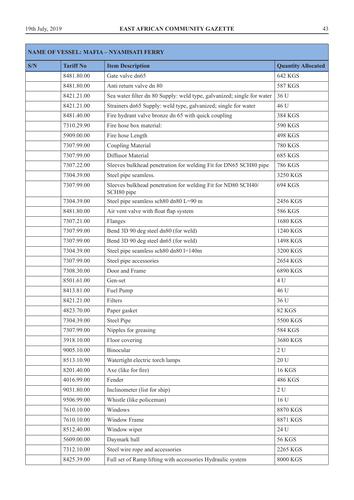| <b>NAME OF VESSEL: MAFIA - NYAMISATI FERRY</b> |                  |                                                                            |                           |
|------------------------------------------------|------------------|----------------------------------------------------------------------------|---------------------------|
| S/N                                            | <b>Tariff No</b> | <b>Item Description</b>                                                    | <b>Quantity Allocated</b> |
|                                                | 8481.80.00       | Gate valve dn65                                                            | <b>642 KGS</b>            |
|                                                | 8481.80.00       | Anti return valve dn 80                                                    | <b>587 KGS</b>            |
|                                                | 8421.21.00       | Sea water filter dn 80 Supply: weld type, galvanized; single for water     | 36 U                      |
|                                                | 8421.21.00       | Strainers dn65 Supply: weld type, galvanized; single for water             | 46 U                      |
|                                                | 8481.40.00       | Fire hydrant valve bronze dn 65 with quick coupling                        | 384 KGS                   |
|                                                | 7310.29.90       | Fire hose box material:                                                    | 590 KGS                   |
|                                                | 5909.00.00       | Fire hose Length                                                           | <b>498 KGS</b>            |
|                                                | 7307.99.00       | <b>Coupling Material</b>                                                   | <b>780 KGS</b>            |
|                                                | 7307.99.00       | Diffusor Material                                                          | <b>685 KGS</b>            |
|                                                | 7307.22.00       | Sleeves bulkhead penetration for welding Fit for DN65 SCH80 pipe           | <b>786 KGS</b>            |
|                                                | 7304.39.00       | Steel pipe seamless.                                                       | 3250 KGS                  |
|                                                | 7307.99.00       | Sleeves bulkhead penetration for welding Fit for ND80 SCH40/<br>SCH80 pipe | 694 KGS                   |
|                                                | 7304.39.00       | Steel pipe seamless sch80 dn80 L=90 m                                      | 2456 KGS                  |
|                                                | 8481.80.00       | Air vent valve with float flap system                                      | 586 KGS                   |
|                                                | 7307.21.00       | Flanges                                                                    | 1680 KGS                  |
|                                                | 7307.99.00       | Bend 3D 90 deg steel dn80 (for weld)                                       | 1240 KGS                  |
|                                                | 7307.99.00       | Bend 3D 90 deg steel dn65 (for weld)                                       | 1498 KGS                  |
|                                                | 7304.39.00       | Steel pipe seamless sch80 dn80 l=140m                                      | 3200 KGS                  |
|                                                | 7307.99.00       | Steel pipe accessories                                                     | 2654 KGS                  |
|                                                | 7308.30.00       | Door and Frame                                                             | 6890 KGS                  |
|                                                | 8501.61.00       | Gen-set                                                                    | 4 U                       |
|                                                | 8413.81.00       | Fuel Pump                                                                  | 46 U                      |
|                                                | 8421.21.00       | Filters                                                                    | 36 U                      |
|                                                | 4823.70.00       | Paper gasket                                                               | <b>82 KGS</b>             |
|                                                | 7304.39.00       | <b>Steel Pipe</b>                                                          | 5500 KGS                  |
|                                                | 7307.99.00       | Nipples for greasing                                                       | <b>584 KGS</b>            |
|                                                | 3918.10.00       | Floor covering                                                             | 3680 KGS                  |
|                                                | 9005.10.00       | <b>Binocular</b>                                                           | 2U                        |
|                                                | 8513.10.90       | Watertight electric torch lamps                                            | 20 U                      |
|                                                | 8201.40.00       | Axe (like for fire)                                                        | <b>16 KGS</b>             |
|                                                | 4016.99.00       | Fender                                                                     | 486 KGS                   |
|                                                | 9031.80.00       | Inclinometer (list for ship)                                               | 2U                        |
|                                                | 9506.99.00       | Whistle (like policeman)                                                   | 16 U                      |
|                                                | 7610.10.00       | Windows                                                                    | 8870 KGS                  |
|                                                | 7610.10.00       | Window Frame                                                               | 8871 KGS                  |
|                                                | 8512.40.00       | Window wiper                                                               | 24 U                      |
|                                                | 5609.00.00       | Daymark ball                                                               | <b>56 KGS</b>             |
|                                                | 7312.10.00       | Steel wire rope and accessories                                            | 2265 KGS                  |
|                                                | 8425.39.00       | Full set of Ramp lifting with accessories Hydraulic system                 | 8000 KGS                  |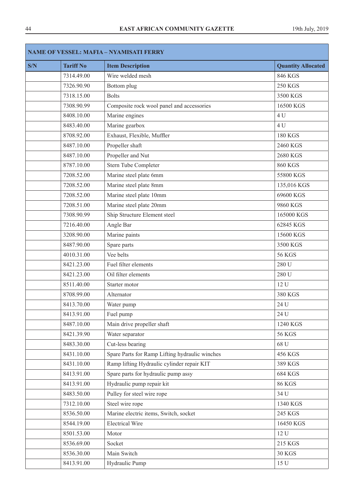| S/N | <b>Tariff No</b> | <b>Item Description</b>                        | <b>Quantity Allocated</b> |
|-----|------------------|------------------------------------------------|---------------------------|
|     | 7314.49.00       | Wire welded mesh                               | 846 KGS                   |
|     | 7326.90.90       | Bottom plug                                    | <b>250 KGS</b>            |
|     | 7318.15.00       | <b>Bolts</b>                                   | 3500 KGS                  |
|     | 7308.90.99       | Composite rock wool panel and accessories      | 16500 KGS                 |
|     | 8408.10.00       | Marine engines                                 | 4 U                       |
|     | 8483.40.00       | Marine gearbox                                 | 4 U                       |
|     | 8708.92.00       | Exhaust, Flexible, Muffler                     | <b>180 KGS</b>            |
|     | 8487.10.00       | Propeller shaft                                | 2460 KGS                  |
|     | 8487.10.00       | Propeller and Nut                              | 2680 KGS                  |
|     | 8787.10.00       | Stern Tube Completer                           | <b>860 KGS</b>            |
|     | 7208.52.00       | Marine steel plate 6mm                         | 55800 KGS                 |
|     | 7208.52.00       | Marine steel plate 8mm                         | 135,016 KGS               |
|     | 7208.52.00       | Marine steel plate 10mm                        | 69600 KGS                 |
|     | 7208.51.00       | Marine steel plate 20mm                        | 9860 KGS                  |
|     | 7308.90.99       | Ship Structure Element steel                   | 165000 KGS                |
|     | 7216.40.00       | Angle Bar                                      | 62845 KGS                 |
|     | 3208.90.00       | Marine paints                                  | 15600 KGS                 |
|     | 8487.90.00       | Spare parts                                    | 3500 KGS                  |
|     | 4010.31.00       | Vee belts                                      | <b>56 KGS</b>             |
|     | 8421.23.00       | Fuel filter elements                           | 280 U                     |
|     | 8421.23.00       | Oil filter elements                            | 280 U                     |
|     | 8511.40.00       | Starter motor                                  | 12 U                      |
|     | 8708.99.00       | Alternator                                     | 380 KGS                   |
|     | 8413.70.00       | Water pump                                     | 24 U                      |
|     | 8413.91.00       | Fuel pump                                      | 24 U                      |
|     | 8487.10.00       | Main drive propeller shaft                     | 1240 KGS                  |
|     | 8421.39.90       | Water separator                                | <b>56 KGS</b>             |
|     | 8483.30.00       | Cut-less bearing                               | 68 U                      |
|     | 8431.10.00       | Spare Parts for Ramp Lifting hydraulic winches | 456 KGS                   |
|     | 8431.10.00       | Ramp lifting Hydraulic cylinder repair KIT     | 389 KGS                   |
|     | 8413.91.00       | Spare parts for hydraulic pump assy            | <b>684 KGS</b>            |
|     | 8413.91.00       | Hydraulic pump repair kit                      | <b>86 KGS</b>             |
|     | 8483.50.00       | Pulley for steel wire rope                     | 34 U                      |
|     | 7312.10.00       | Steel wire rope                                | 1340 KGS                  |
|     | 8536.50.00       | Marine electric items, Switch, socket          | 245 KGS                   |
|     | 8544.19.00       | <b>Electrical Wire</b>                         | 16450 KGS                 |
|     | 8501.53.00       | Motor                                          | 12 U                      |
|     | 8536.69.00       | Socket                                         | 215 KGS                   |
|     | 8536.30.00       | Main Switch                                    | <b>30 KGS</b>             |
|     | 8413.91.00       | Hydraulic Pump                                 | 15 U                      |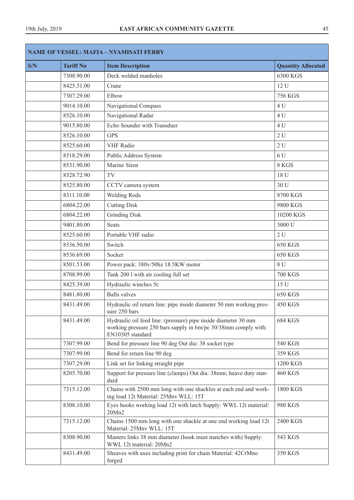| <b>NAME OF VESSEL: MAFIA - NYAMISATI FERRY</b> |                  |                                                                                                                                                      |                           |
|------------------------------------------------|------------------|------------------------------------------------------------------------------------------------------------------------------------------------------|---------------------------|
| S/N                                            | <b>Tariff No</b> | <b>Item Description</b>                                                                                                                              | <b>Quantity Allocated</b> |
|                                                | 7308.90.00       | Deck welded manholes                                                                                                                                 | 6300 KGS                  |
|                                                | 8425.31.00       | Crane                                                                                                                                                | 12 U                      |
|                                                | 7307.29.00       | Elbow                                                                                                                                                | <b>756 KGS</b>            |
|                                                | 9014.10.00       | Navigational Compass                                                                                                                                 | 4 U                       |
|                                                | 8526.10.00       | Navigational Radar                                                                                                                                   | 4 U                       |
|                                                | 9015.80.00       | Echo Sounder with Transduer                                                                                                                          | 4 U                       |
|                                                | 8526.10.00       | <b>GPS</b>                                                                                                                                           | 2U                        |
|                                                | 8525.60.00       | <b>VHF</b> Radio                                                                                                                                     | 2U                        |
|                                                | 8518.29.00       | Public Address System                                                                                                                                | 6 U                       |
|                                                | 8531.90.00       | Marine Siren                                                                                                                                         | 8 KGS                     |
|                                                | 8528.72.90       | TV                                                                                                                                                   | 18 U                      |
|                                                | 8525.80.00       | CCTV camera system                                                                                                                                   | 30 U                      |
|                                                | 8311.10.00       | Welding Rods                                                                                                                                         | 8700 KGS                  |
|                                                | 6804.22.00       | <b>Cutting Disk</b>                                                                                                                                  | 9800 KGS                  |
|                                                | 6804.22.00       | <b>Grinding Disk</b>                                                                                                                                 | 10200 KGS                 |
|                                                | 9401.80.00       | <b>Seats</b>                                                                                                                                         | 3000 U                    |
|                                                | 8525.60.00       | Portable VHF radio                                                                                                                                   | 2U                        |
|                                                | 8536.50.00       | Switch                                                                                                                                               | <b>650 KGS</b>            |
|                                                | 8536.69.00       | Socket                                                                                                                                               | <b>650 KGS</b>            |
|                                                | 8501.53.00       | Power pack: 380v/50hz 18.5KW motor                                                                                                                   | 8 U                       |
|                                                | 8708.99.00       | Tank 2001 with air cooling full set                                                                                                                  | <b>700 KGS</b>            |
|                                                | 8425.39.00       | Hydraulic winches 5t:                                                                                                                                | 15 U                      |
|                                                | 8481.80.00       | <b>Balls</b> valves                                                                                                                                  | <b>650 KGS</b>            |
|                                                | 8431.49.00       | Hydraulic oil return line: pipe inside diameter 50 mm working pres-<br>sure 250 bars                                                                 | <b>450 KGS</b>            |
|                                                | 8431.49.00       | Hydraulic oil feed line: (pressure) pipe inside diameter 30 mm<br>working pressure 250 bars supply in 6m/pc 30/38mm comply with:<br>EN10305 standard | <b>684 KGS</b>            |
|                                                | 7307.99.00       | Bend for pressure line 90 deg Out dia: 38 socket type                                                                                                | 540 KGS                   |
|                                                | 7307.99.00       | Bend for return line 90 deg                                                                                                                          | 359 KGS                   |
|                                                | 7307.29.00       | Link set for linking straight pipe                                                                                                                   | 1200 KGS                  |
|                                                | 8205.70.00       | Support for pressure line (clamps) Out dia: 38mm; heave duty stan-<br>dard                                                                           | <b>460 KGS</b>            |
|                                                | 7315.12.00       | Chains with 2500 mm long with one shackles at each end and work-<br>ing load 12t Material: 25Mnv WLL: 15T                                            | 1800 KGS                  |
|                                                | 8308.10.00       | Eyes hooks working load 12t with latch Supply: WWL 12t material:<br>20Mn2                                                                            | 980 KGS                   |
|                                                | 7315.12.00       | Chains 1500 mm long with one shackle at one end working load 12t<br>Material: 25Mnv WLL: 15T                                                         | 2400 KGS                  |
|                                                | 8308.90.00       | Masters links 38 mm diameter (hook must matches with) Supply:<br>WWL 12t material: 20Mn2                                                             | 543 KGS                   |
|                                                | 8431.49.00       | Sheaves with axes including print for chain Material: 42CrMno<br>forged                                                                              | 350 KGS                   |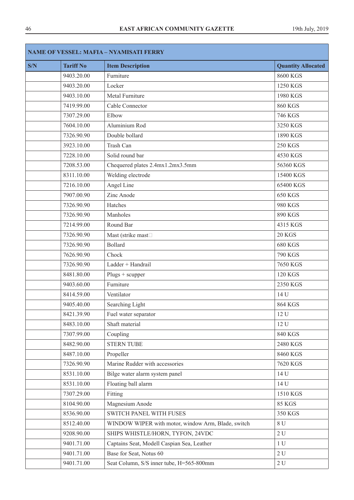| <b>NAME OF VESSEL: MAFIA - NYAMISATI FERRY</b> |                  |                                                    |                           |
|------------------------------------------------|------------------|----------------------------------------------------|---------------------------|
| S/N                                            | <b>Tariff No</b> | <b>Item Description</b>                            | <b>Quantity Allocated</b> |
|                                                | 9403.20.00       | Furniture                                          | 8600 KGS                  |
|                                                | 9403.20.00       | Locker                                             | 1250 KGS                  |
|                                                | 9403.10.00       | Metal Furniture                                    | 1980 KGS                  |
|                                                | 7419.99.00       | Cable Connector                                    | <b>860 KGS</b>            |
|                                                | 7307.29.00       | Elbow                                              | <b>746 KGS</b>            |
|                                                | 7604.10.00       | Aluminium Rod                                      | 3250 KGS                  |
|                                                | 7326.90.90       | Double bollard                                     | 1890 KGS                  |
|                                                | 3923.10.00       | Trash Can                                          | <b>250 KGS</b>            |
|                                                | 7228.10.00       | Solid round bar                                    | 4530 KGS                  |
|                                                | 7208.53.00       | Chequered plates 2.4mx1.2mx3.5mm                   | 56360 KGS                 |
|                                                | 8311.10.00       | Welding electrode                                  | 15400 KGS                 |
|                                                | 7216.10.00       | Angel Line                                         | 65400 KGS                 |
|                                                | 7907.00.90       | Zinc Anode                                         | <b>650 KGS</b>            |
|                                                | 7326.90.90       | Hatches                                            | 980 KGS                   |
|                                                | 7326.90.90       | Manholes                                           | 890 KGS                   |
|                                                | 7214.99.00       | Round Bar                                          | 4315 KGS                  |
|                                                | 7326.90.90       | Mast (strike mast                                  | <b>20 KGS</b>             |
|                                                | 7326.90.90       | <b>Bollard</b>                                     | <b>680 KGS</b>            |
|                                                | 7626.90.90       | Chock                                              | <b>790 KGS</b>            |
|                                                | 7326.90.90       | Ladder + Handrail                                  | 7650 KGS                  |
|                                                | 8481.80.00       | $Plugs + scupper$                                  | <b>120 KGS</b>            |
|                                                | 9403.60.00       | Furniture                                          | 2350 KGS                  |
|                                                | 8414.59.00       | Ventilator                                         | 14 U                      |
|                                                | 9405.40.00       | Searching Light                                    | <b>864 KGS</b>            |
|                                                | 8421.39.90       | Fuel water separator                               | 12 U                      |
|                                                | 8483.10.00       | Shaft material                                     | 12 U                      |
|                                                | 7307.99.00       | Coupling                                           | <b>840 KGS</b>            |
|                                                | 8482.90.00       | <b>STERN TUBE</b>                                  | 2480 KGS                  |
|                                                | 8487.10.00       | Propeller                                          | 8460 KGS                  |
|                                                | 7326.90.90       | Marine Rudder with accessories                     | 7620 KGS                  |
|                                                | 8531.10.00       | Bilge water alarm system panel                     | 14 U                      |
|                                                | 8531.10.00       | Floating ball alarm                                | 14 U                      |
|                                                | 7307.29.00       | Fitting                                            | 1510 KGS                  |
|                                                | 8104.90.00       | Magnesium Anode                                    | <b>85 KGS</b>             |
|                                                | 8536.90.00       | <b>SWITCH PANEL WITH FUSES</b>                     | 350 KGS                   |
|                                                | 8512.40.00       | WINDOW WIPER with motor, window Arm, Blade, switch | 8 U                       |
|                                                | 9208.90.00       | SHIPS WHISTLE/HORN, TYFON, 24VDC                   | $2 U$                     |
|                                                | 9401.71.00       | Captains Seat, Modell Caspian Sea, Leather         | 1 <sub>U</sub>            |
|                                                | 9401.71.00       | Base for Seat, Notus 60                            | 2U                        |
|                                                | 9401.71.00       | Seat Column, S/S inner tube, H=565-800mm           | $2\,\mathrm{U}$           |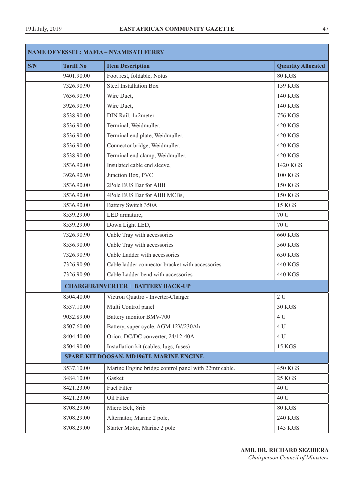| <b>NAME OF VESSEL: MAFIA - NYAMISATI FERRY</b> |                  |                                                      |                           |  |  |  |
|------------------------------------------------|------------------|------------------------------------------------------|---------------------------|--|--|--|
| S/N                                            | <b>Tariff No</b> | <b>Item Description</b>                              | <b>Quantity Allocated</b> |  |  |  |
|                                                | 9401.90.00       | Foot rest, foldable, Notus                           | 80 KGS                    |  |  |  |
|                                                | 7326.90.90       | <b>Steel Installation Box</b>                        | <b>159 KGS</b>            |  |  |  |
|                                                | 7636.90.90       | Wire Duct,                                           | 140 KGS                   |  |  |  |
|                                                | 3926.90.90       | Wire Duct,                                           | <b>140 KGS</b>            |  |  |  |
|                                                | 8538.90.00       | DIN Rail, 1x2meter                                   | <b>756 KGS</b>            |  |  |  |
|                                                | 8536.90.00       | Terminal, Weidmuller,                                | <b>420 KGS</b>            |  |  |  |
|                                                | 8536.90.00       | Terminal end plate, Weidmuller,                      | <b>420 KGS</b>            |  |  |  |
|                                                | 8536.90.00       | Connector bridge, Weidmuller,                        | <b>420 KGS</b>            |  |  |  |
|                                                | 8538.90.00       | Terminal end clamp, Weidmuller,                      | <b>420 KGS</b>            |  |  |  |
|                                                | 8536.90.00       | Insulated cable end sleeve,                          | 1420 KGS                  |  |  |  |
|                                                | 3926.90.90       | Junction Box, PVC                                    | <b>100 KGS</b>            |  |  |  |
|                                                | 8536.90.00       | 2Pole BUS Bar for ABB                                | <b>150 KGS</b>            |  |  |  |
|                                                | 8536.90.00       | 4Pole BUS Bar for ABB MCBs,                          | <b>150 KGS</b>            |  |  |  |
|                                                | 8536.90.00       | <b>Battery Switch 350A</b>                           | <b>15 KGS</b>             |  |  |  |
|                                                | 8539.29.00       | LED armature,                                        | 70 U                      |  |  |  |
|                                                | 8539.29.00       | Down Light LED,                                      | 70 U                      |  |  |  |
|                                                | 7326.90.90       | Cable Tray with accessories                          | <b>660 KGS</b>            |  |  |  |
|                                                | 8536.90.00       | Cable Tray with accessories                          | <b>560 KGS</b>            |  |  |  |
|                                                | 7326.90.90       | Cable Ladder with accessories                        | <b>650 KGS</b>            |  |  |  |
|                                                | 7326.90.90       | Cable ladder connector bracket with accessories      | 440 KGS                   |  |  |  |
|                                                | 7326.90.90       | Cable Ladder bend with accessories                   | 440 KGS                   |  |  |  |
|                                                |                  | <b>CHARGER/INVERTER + BATTERY BACK-UP</b>            |                           |  |  |  |
|                                                | 8504.40.00       | Victron Quattro - Inverter-Charger                   | 2U                        |  |  |  |
|                                                | 8537.10.00       | Multi Control panel                                  | <b>30 KGS</b>             |  |  |  |
|                                                | 9032.89.00       | Battery monitor BMV-700                              | 4 U                       |  |  |  |
|                                                | 8507.60.00       | Battery, super cycle, AGM 12V/230Ah                  | 4 U                       |  |  |  |
|                                                | 8404.40.00       | Orion, DC/DC converter, 24/12-40A                    | 4 U                       |  |  |  |
|                                                | 8504.90.00       | Installation kit (cables, lugs, fuses)               | <b>15 KGS</b>             |  |  |  |
|                                                |                  | SPARE KIT DOOSAN, MD196TI, MARINE ENGINE             |                           |  |  |  |
|                                                | 8537.10.00       | Marine Engine bridge control panel with 22mtr cable. | <b>450 KGS</b>            |  |  |  |
|                                                | 8484.10.00       | Gasket                                               | <b>25 KGS</b>             |  |  |  |
|                                                | 8421.23.00       | <b>Fuel Filter</b>                                   | 40 U                      |  |  |  |
|                                                | 8421.23.00       | Oil Filter                                           | 40 U                      |  |  |  |
|                                                | 8708.29.00       | Micro Belt, 8rib                                     | <b>80 KGS</b>             |  |  |  |
|                                                | 8708.29.00       | Alternator, Marine 2 pole,                           | <b>240 KGS</b>            |  |  |  |
|                                                | 8708.29.00       | Starter Motor, Marine 2 pole                         | 145 KGS                   |  |  |  |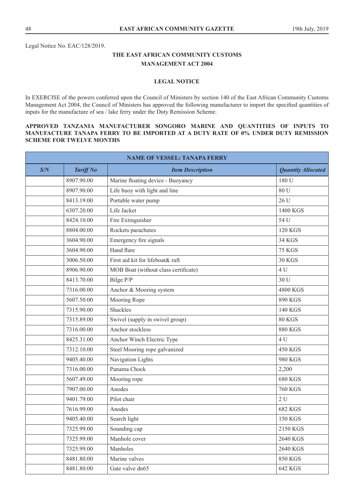Legal Notice No. EAC/128/2019.

# **THE EAST AFRICAN COMMUNITY CUSTOMS MANAGEMENT ACT 2004**

# **LEGAL NOTICE**

In EXERCISE of the powers conferred upon the Council of Ministers by section 140 of the East African Community Customs Management Act 2004, the Council of Ministers has approved the following manufacturer to import the specified quantities of inputs for the manufacture of sea / lake ferry under the Duty Remission Scheme.

# **APPROVED TANZANIA MANUFACTURER SONGORO MARINE AND QUANTITIES OF INPUTS TO MANUFACTURE TANAPA FERRY TO BE IMPORTED AT A DUTY RATE OF 0% UNDER DUTY REMISSION SCHEME FOR TWELVE MONTHS**

| <b>NAME OF VESSEL: TANAPA FERRY</b> |                  |                                      |                           |  |
|-------------------------------------|------------------|--------------------------------------|---------------------------|--|
| S/N                                 | <b>Tariff No</b> | <b>Item Description</b>              | <b>Quantity Allocated</b> |  |
|                                     | 8907.90.00       | Marine floating device - Buoyancy    | 180 U                     |  |
|                                     | 8907.90.00       | Life buoy with light and line        | 80 U                      |  |
|                                     | 8413.19.00       | Portable water pump                  | 26 U                      |  |
|                                     | 6307.20.00       | Life Jacket                          | 1400 KGS                  |  |
|                                     | 8424.10.00       | Fire Extinguisher                    | 54 U                      |  |
|                                     | 8804.00.00       | Rockets parachutes                   | <b>120 KGS</b>            |  |
|                                     | 3604.90.00       | Emergency fire signals               | <b>34 KGS</b>             |  |
|                                     | 3604.90.00       | Hand flare                           | <b>75 KGS</b>             |  |
|                                     | 3006.50.00       | First aid kit for lifeboat& raft     | <b>30 KGS</b>             |  |
|                                     | 8906.90.00       | MOB Boat (without class certificate) | 4 U                       |  |
|                                     | 8413.70.00       | Bilge P/P                            | 30 U                      |  |
|                                     | 7316.00.00       | Anchor & Mooring system              | 4800 KGS                  |  |
|                                     | 5607.50.00       | Mooring Rope                         | 890 KGS                   |  |
|                                     | 7315.90.00       | Shackles                             | 140 KGS                   |  |
|                                     | 7315.89.00       | Swivel (supply in swivel group)      | 80 KGS                    |  |
|                                     | 7316.00.00       | Anchor stockless                     | <b>880 KGS</b>            |  |
|                                     | 8425.31.00       | Anchor Winch Electric Type           | 4 U                       |  |
|                                     | 7312.10.00       | Steel Mooring rope galvanized        | <b>450 KGS</b>            |  |
|                                     | 9405.40.00       | Navigation Lights                    | 980 KGS                   |  |
|                                     | 7316.00.00       | Panama Chock                         | 2,200                     |  |
|                                     | 5607.49.00       | Mooring rope                         | <b>680 KGS</b>            |  |
|                                     | 7907.00.00       | Anodes                               | <b>760 KGS</b>            |  |
|                                     | 9401.79.00       | Pilot chair                          | 2U                        |  |
|                                     | 7616.99.00       | Anodes                               | <b>682 KGS</b>            |  |
|                                     | 9405.40.00       | Search light                         | 150 KGS                   |  |
|                                     | 7325.99.00       | Sounding cap                         | 2150 KGS                  |  |
|                                     | 7325.99.00       | Manhole cover                        | 2640 KGS                  |  |
|                                     | 7325.99.00       | Manholes                             | 2640 KGS                  |  |
|                                     | 8481.80.00       | Marine valves                        | <b>850 KGS</b>            |  |
|                                     | 8481.80.00       | Gate valve dn65                      | 642 KGS                   |  |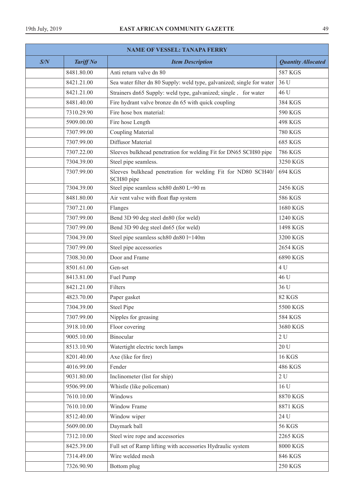| <b>NAME OF VESSEL: TANAPA FERRY</b> |                  |                                                                            |                           |
|-------------------------------------|------------------|----------------------------------------------------------------------------|---------------------------|
| S/N                                 | <b>Tariff No</b> | <b>Item Description</b>                                                    | <b>Quantity Allocated</b> |
|                                     | 8481.80.00       | Anti return valve dn 80                                                    | <b>587 KGS</b>            |
|                                     | 8421.21.00       | Sea water filter dn 80 Supply: weld type, galvanized; single for water     | 36 U                      |
|                                     | 8421.21.00       | Strainers dn65 Supply: weld type, galvanized; single, for water            | 46 U                      |
|                                     | 8481.40.00       | Fire hydrant valve bronze dn 65 with quick coupling                        | 384 KGS                   |
|                                     | 7310.29.90       | Fire hose box material:                                                    | 590 KGS                   |
|                                     | 5909.00.00       | Fire hose Length                                                           | <b>498 KGS</b>            |
|                                     | 7307.99.00       | <b>Coupling Material</b>                                                   | <b>780 KGS</b>            |
|                                     | 7307.99.00       | Diffusor Material                                                          | <b>685 KGS</b>            |
|                                     | 7307.22.00       | Sleeves bulkhead penetration for welding Fit for DN65 SCH80 pipe           | 786 KGS                   |
|                                     | 7304.39.00       | Steel pipe seamless.                                                       | 3250 KGS                  |
|                                     | 7307.99.00       | Sleeves bulkhead penetration for welding Fit for ND80 SCH40/<br>SCH80 pipe | 694 KGS                   |
|                                     | 7304.39.00       | Steel pipe seamless sch80 dn80 L=90 m                                      | 2456 KGS                  |
|                                     | 8481.80.00       | Air vent valve with float flap system                                      | 586 KGS                   |
|                                     | 7307.21.00       | Flanges                                                                    | 1680 KGS                  |
|                                     | 7307.99.00       | Bend 3D 90 deg steel dn80 (for weld)                                       | 1240 KGS                  |
|                                     | 7307.99.00       | Bend 3D 90 deg steel dn65 (for weld)                                       | 1498 KGS                  |
|                                     | 7304.39.00       | Steel pipe seamless sch80 dn80 l=140m                                      | 3200 KGS                  |
|                                     | 7307.99.00       | Steel pipe accessories                                                     | 2654 KGS                  |
|                                     | 7308.30.00       | Door and Frame                                                             | 6890 KGS                  |
|                                     | 8501.61.00       | Gen-set                                                                    | 4 U                       |
|                                     | 8413.81.00       | Fuel Pump                                                                  | 46 U                      |
|                                     | 8421.21.00       | Filters                                                                    | 36 U                      |
|                                     | 4823.70.00       | Paper gasket                                                               | <b>82 KGS</b>             |
|                                     | 7304.39.00       | <b>Steel Pipe</b>                                                          | 5500 KGS                  |
|                                     | 7307.99.00       | Nipples for greasing                                                       | <b>584 KGS</b>            |
|                                     | 3918.10.00       | Floor covering                                                             | 3680 KGS                  |
|                                     | 9005.10.00       | Binocular                                                                  | 2U                        |
|                                     | 8513.10.90       | Watertight electric torch lamps                                            | 20U                       |
|                                     | 8201.40.00       | Axe (like for fire)                                                        | <b>16 KGS</b>             |
|                                     | 4016.99.00       | Fender                                                                     | 486 KGS                   |
|                                     | 9031.80.00       | Inclinometer (list for ship)                                               | 2U                        |
|                                     | 9506.99.00       | Whistle (like policeman)                                                   | 16 U                      |
|                                     | 7610.10.00       | Windows                                                                    | 8870 KGS                  |
|                                     | 7610.10.00       | Window Frame                                                               | 8871 KGS                  |
|                                     | 8512.40.00       | Window wiper                                                               | 24 U                      |
|                                     | 5609.00.00       | Daymark ball                                                               | <b>56 KGS</b>             |
|                                     | 7312.10.00       | Steel wire rope and accessories                                            | 2265 KGS                  |
|                                     | 8425.39.00       | Full set of Ramp lifting with accessories Hydraulic system                 | 8000 KGS                  |
|                                     | 7314.49.00       | Wire welded mesh                                                           | <b>846 KGS</b>            |
|                                     | 7326.90.90       | Bottom plug                                                                | <b>250 KGS</b>            |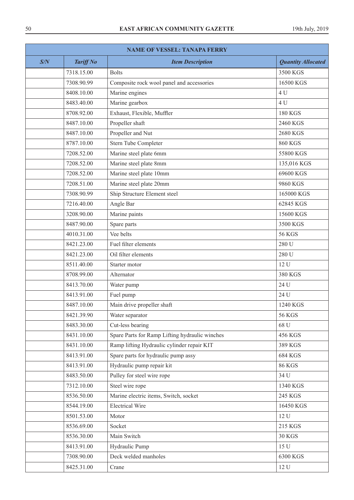| <b>NAME OF VESSEL: TANAPA FERRY</b> |                  |                                                |                           |  |
|-------------------------------------|------------------|------------------------------------------------|---------------------------|--|
| S/N                                 | <b>Tariff No</b> | <b>Item Description</b>                        | <b>Quantity Allocated</b> |  |
|                                     | 7318.15.00       | <b>Bolts</b>                                   | 3500 KGS                  |  |
|                                     | 7308.90.99       | Composite rock wool panel and accessories      | 16500 KGS                 |  |
|                                     | 8408.10.00       | Marine engines                                 | 4 U                       |  |
|                                     | 8483.40.00       | Marine gearbox                                 | 4 U                       |  |
|                                     | 8708.92.00       | Exhaust, Flexible, Muffler                     | <b>180 KGS</b>            |  |
|                                     | 8487.10.00       | Propeller shaft                                | 2460 KGS                  |  |
|                                     | 8487.10.00       | Propeller and Nut                              | 2680 KGS                  |  |
|                                     | 8787.10.00       | Stern Tube Completer                           | <b>860 KGS</b>            |  |
|                                     | 7208.52.00       | Marine steel plate 6mm                         | 55800 KGS                 |  |
|                                     | 7208.52.00       | Marine steel plate 8mm                         | 135,016 KGS               |  |
|                                     | 7208.52.00       | Marine steel plate 10mm                        | 69600 KGS                 |  |
|                                     | 7208.51.00       | Marine steel plate 20mm                        | 9860 KGS                  |  |
|                                     | 7308.90.99       | Ship Structure Element steel                   | 165000 KGS                |  |
|                                     | 7216.40.00       | Angle Bar                                      | 62845 KGS                 |  |
|                                     | 3208.90.00       | Marine paints                                  | 15600 KGS                 |  |
|                                     | 8487.90.00       | Spare parts                                    | 3500 KGS                  |  |
|                                     | 4010.31.00       | Vee belts                                      | <b>56 KGS</b>             |  |
|                                     | 8421.23.00       | Fuel filter elements                           | 280 U                     |  |
|                                     | 8421.23.00       | Oil filter elements                            | 280 U                     |  |
|                                     | 8511.40.00       | Starter motor                                  | 12 U                      |  |
|                                     | 8708.99.00       | Alternator                                     | 380 KGS                   |  |
|                                     | 8413.70.00       | Water pump                                     | 24 U                      |  |
|                                     | 8413.91.00       | Fuel pump                                      | 24 U                      |  |
|                                     | 8487.10.00       | Main drive propeller shaft                     | 1240 KGS                  |  |
|                                     | 8421.39.90       | Water separator                                | <b>56 KGS</b>             |  |
|                                     | 8483.30.00       | Cut-less bearing                               | 68 U                      |  |
|                                     | 8431.10.00       | Spare Parts for Ramp Lifting hydraulic winches | 456 KGS                   |  |
|                                     | 8431.10.00       | Ramp lifting Hydraulic cylinder repair KIT     | 389 KGS                   |  |
|                                     | 8413.91.00       | Spare parts for hydraulic pump assy            | 684 KGS                   |  |
|                                     | 8413.91.00       | Hydraulic pump repair kit                      | <b>86 KGS</b>             |  |
|                                     | 8483.50.00       | Pulley for steel wire rope                     | 34 U                      |  |
|                                     | 7312.10.00       | Steel wire rope                                | 1340 KGS                  |  |
|                                     | 8536.50.00       | Marine electric items, Switch, socket          | 245 KGS                   |  |
|                                     | 8544.19.00       | <b>Electrical Wire</b>                         | 16450 KGS                 |  |
|                                     | 8501.53.00       | Motor                                          | 12 U                      |  |
|                                     | 8536.69.00       | Socket                                         | 215 KGS                   |  |
|                                     | 8536.30.00       | Main Switch                                    | <b>30 KGS</b>             |  |
|                                     | 8413.91.00       | Hydraulic Pump                                 | 15 U                      |  |
|                                     | 7308.90.00       | Deck welded manholes                           | 6300 KGS                  |  |
|                                     | 8425.31.00       | Crane                                          | 12 U                      |  |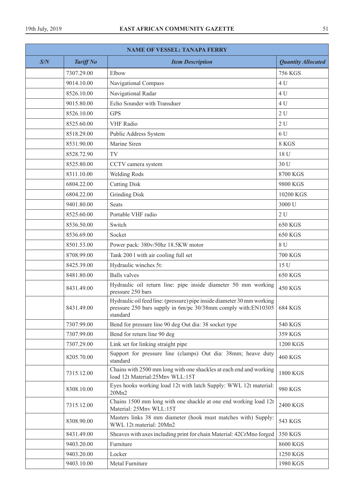| <b>NAME OF VESSEL: TANAPA FERRY</b> |                  |                                                                                                                                                               |                           |
|-------------------------------------|------------------|---------------------------------------------------------------------------------------------------------------------------------------------------------------|---------------------------|
| S/N                                 | <b>Tariff No</b> | <b>Item Description</b>                                                                                                                                       | <b>Quantity Allocated</b> |
|                                     | 7307.29.00       | Elbow                                                                                                                                                         | <b>756 KGS</b>            |
|                                     | 9014.10.00       | Navigational Compass                                                                                                                                          | 4 U                       |
|                                     | 8526.10.00       | Navigational Radar                                                                                                                                            | 4 U                       |
|                                     | 9015.80.00       | Echo Sounder with Transduer                                                                                                                                   | 4 U                       |
|                                     | 8526.10.00       | <b>GPS</b>                                                                                                                                                    | 2U                        |
|                                     | 8525.60.00       | <b>VHF Radio</b>                                                                                                                                              | 2U                        |
|                                     | 8518.29.00       | Public Address System                                                                                                                                         | 6 U                       |
|                                     | 8531.90.00       | Marine Siren                                                                                                                                                  | 8 KGS                     |
|                                     | 8528.72.90       | TV                                                                                                                                                            | 18 U                      |
|                                     | 8525.80.00       | CCTV camera system                                                                                                                                            | 30 U                      |
|                                     | 8311.10.00       | <b>Welding Rods</b>                                                                                                                                           | 8700 KGS                  |
|                                     | 6804.22.00       | <b>Cutting Disk</b>                                                                                                                                           | 9800 KGS                  |
|                                     | 6804.22.00       | <b>Grinding Disk</b>                                                                                                                                          | 10200 KGS                 |
|                                     | 9401.80.00       | <b>Seats</b>                                                                                                                                                  | 3000 U                    |
|                                     | 8525.60.00       | Portable VHF radio                                                                                                                                            | 2U                        |
|                                     | 8536.50.00       | Switch                                                                                                                                                        | <b>650 KGS</b>            |
|                                     | 8536.69.00       | Socket                                                                                                                                                        | <b>650 KGS</b>            |
|                                     | 8501.53.00       | Power pack: 380v/50hz 18.5KW motor                                                                                                                            | 8 U                       |
|                                     | 8708.99.00       | Tank 200 l with air cooling full set                                                                                                                          | <b>700 KGS</b>            |
|                                     | 8425.39.00       | Hydraulic winches 5t:                                                                                                                                         | 15 U                      |
|                                     | 8481.80.00       | <b>Balls</b> valves                                                                                                                                           | <b>650 KGS</b>            |
|                                     | 8431.49.00       | Hydraulic oil return line: pipe inside diameter 50 mm working<br>pressure 250 bars                                                                            | <b>450 KGS</b>            |
|                                     | 8431.49.00       | Hydraulic oil feed line: (pressure) pipe inside diameter 30 mm working<br>pressure 250 bars supply in 6m/pc 30/38mm comply with:EN10305   684 KGS<br>standard |                           |
|                                     | 7307.99.00       | Bend for pressure line 90 deg Out dia: 38 socket type                                                                                                         | 540 KGS                   |
|                                     | 7307.99.00       | Bend for return line 90 deg                                                                                                                                   | 359 KGS                   |
|                                     | 7307.29.00       | Link set for linking straight pipe                                                                                                                            | 1200 KGS                  |
|                                     | 8205.70.00       | Support for pressure line (clamps) Out dia: 38mm; heave duty<br>standard                                                                                      | <b>460 KGS</b>            |
|                                     | 7315.12.00       | Chains with 2500 mm long with one shackles at each end and working<br>load 12t Material:25Mnv WLL:15T                                                         | 1800 KGS                  |
|                                     | 8308.10.00       | Eyes hooks working load 12t with latch Supply: WWL 12t material:<br>20Mn2                                                                                     | 980 KGS                   |
|                                     | 7315.12.00       | Chains 1500 mm long with one shackle at one end working load 12t<br>Material: 25Mnv WLL:15T                                                                   | 2400 KGS                  |
|                                     | 8308.90.00       | Masters links 38 mm diameter (hook must matches with) Supply:<br>WWL 12t material: 20Mn2                                                                      | 543 KGS                   |
|                                     | 8431.49.00       | Sheaves with axes including print for chain Material: 42CrMno forged                                                                                          | 350 KGS                   |
|                                     | 9403.20.00       | Furniture                                                                                                                                                     | 8600 KGS                  |
|                                     | 9403.20.00       | Locker                                                                                                                                                        | 1250 KGS                  |
|                                     | 9403.10.00       | Metal Furniture                                                                                                                                               | 1980 KGS                  |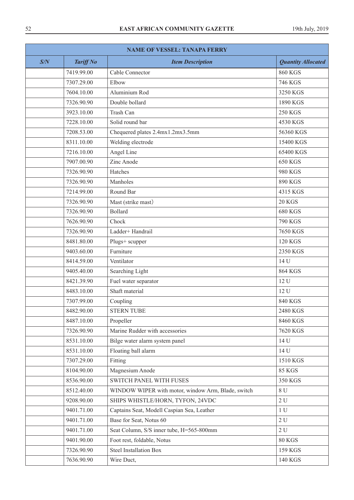| <b>NAME OF VESSEL: TANAPA FERRY</b> |                  |                                                    |                           |
|-------------------------------------|------------------|----------------------------------------------------|---------------------------|
| S/N                                 | <b>Tariff No</b> | <b>Item Description</b>                            | <b>Quantity Allocated</b> |
|                                     | 7419.99.00       | Cable Connector                                    | <b>860 KGS</b>            |
|                                     | 7307.29.00       | Elbow                                              | 746 KGS                   |
|                                     | 7604.10.00       | Aluminium Rod                                      | 3250 KGS                  |
|                                     | 7326.90.90       | Double bollard                                     | 1890 KGS                  |
|                                     | 3923.10.00       | Trash Can                                          | <b>250 KGS</b>            |
|                                     | 7228.10.00       | Solid round bar                                    | 4530 KGS                  |
|                                     | 7208.53.00       | Chequered plates 2.4mx1.2mx3.5mm                   | 56360 KGS                 |
|                                     | 8311.10.00       | Welding electrode                                  | 15400 KGS                 |
|                                     | 7216.10.00       | Angel Line                                         | 65400 KGS                 |
|                                     | 7907.00.90       | Zinc Anode                                         | 650 KGS                   |
|                                     | 7326.90.90       | Hatches                                            | 980 KGS                   |
|                                     | 7326.90.90       | Manholes                                           | 890 KGS                   |
|                                     | 7214.99.00       | Round Bar                                          | 4315 KGS                  |
|                                     | 7326.90.90       | Mast (strike mast)                                 | <b>20 KGS</b>             |
|                                     | 7326.90.90       | <b>Bollard</b>                                     | <b>680 KGS</b>            |
|                                     | 7626.90.90       | Chock                                              | 790 KGS                   |
|                                     | 7326.90.90       | Ladder+ Handrail                                   | 7650 KGS                  |
|                                     | 8481.80.00       | Plugs+ scupper                                     | <b>120 KGS</b>            |
|                                     | 9403.60.00       | Furniture                                          | 2350 KGS                  |
|                                     | 8414.59.00       | Ventilator                                         | 14 U                      |
|                                     | 9405.40.00       | Searching Light                                    | <b>864 KGS</b>            |
|                                     | 8421.39.90       | Fuel water separator                               | 12 U                      |
|                                     | 8483.10.00       | Shaft material                                     | 12 U                      |
|                                     | 7307.99.00       | Coupling                                           | 840 KGS                   |
|                                     | 8482.90.00       | <b>STERN TUBE</b>                                  | 2480 KGS                  |
|                                     | 8487.10.00       | Propeller                                          | 8460 KGS                  |
|                                     | 7326.90.90       | Marine Rudder with accessories                     | 7620 KGS                  |
|                                     | 8531.10.00       | Bilge water alarm system panel                     | 14 U                      |
|                                     | 8531.10.00       | Floating ball alarm                                | 14 U                      |
|                                     | 7307.29.00       | Fitting                                            | 1510 KGS                  |
|                                     | 8104.90.00       | Magnesium Anode                                    | <b>85 KGS</b>             |
|                                     | 8536.90.00       | SWITCH PANEL WITH FUSES                            | 350 KGS                   |
|                                     | 8512.40.00       | WINDOW WIPER with motor, window Arm, Blade, switch | 8 U                       |
|                                     | 9208.90.00       | SHIPS WHISTLE/HORN, TYFON, 24VDC                   | $2 U$                     |
|                                     | 9401.71.00       | Captains Seat, Modell Caspian Sea, Leather         | $1\,\mathrm{U}$           |
|                                     | 9401.71.00       | Base for Seat, Notus 60                            | $2\,\mathrm{U}$           |
|                                     | 9401.71.00       | Seat Column, S/S inner tube, H=565-800mm           | 2U                        |
|                                     | 9401.90.00       | Foot rest, foldable, Notus                         | <b>80 KGS</b>             |
|                                     | 7326.90.90       | <b>Steel Installation Box</b>                      | 159 KGS                   |
|                                     | 7636.90.90       | Wire Duct,                                         | 140 KGS                   |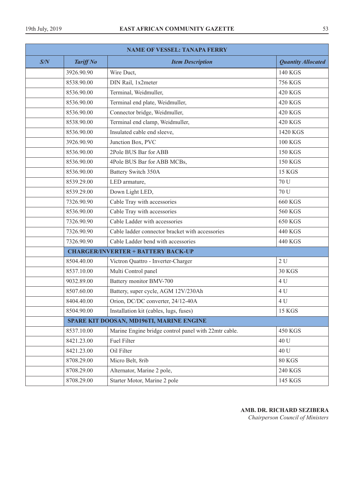| <b>NAME OF VESSEL: TANAPA FERRY</b> |                  |                                                      |                           |  |
|-------------------------------------|------------------|------------------------------------------------------|---------------------------|--|
| S/N                                 | <b>Tariff No</b> | <b>Item Description</b>                              | <b>Quantity Allocated</b> |  |
|                                     | 3926.90.90       | Wire Duct,                                           | 140 KGS                   |  |
|                                     | 8538.90.00       | DIN Rail, 1x2meter                                   | <b>756 KGS</b>            |  |
|                                     | 8536.90.00       | Terminal, Weidmuller,                                | <b>420 KGS</b>            |  |
|                                     | 8536.90.00       | Terminal end plate, Weidmuller,                      | <b>420 KGS</b>            |  |
|                                     | 8536.90.00       | Connector bridge, Weidmuller,                        | 420 KGS                   |  |
|                                     | 8538.90.00       | Terminal end clamp, Weidmuller,                      | <b>420 KGS</b>            |  |
|                                     | 8536.90.00       | Insulated cable end sleeve,                          | 1420 KGS                  |  |
|                                     | 3926.90.90       | Junction Box, PVC                                    | <b>100 KGS</b>            |  |
|                                     | 8536.90.00       | 2Pole BUS Bar for ABB                                | <b>150 KGS</b>            |  |
|                                     | 8536.90.00       | 4Pole BUS Bar for ABB MCBs,                          | <b>150 KGS</b>            |  |
|                                     | 8536.90.00       | <b>Battery Switch 350A</b>                           | <b>15 KGS</b>             |  |
|                                     | 8539.29.00       | LED armature,                                        | 70 U                      |  |
|                                     | 8539.29.00       | Down Light LED,                                      | 70 U                      |  |
|                                     | 7326.90.90       | Cable Tray with accessories                          | <b>660 KGS</b>            |  |
|                                     | 8536.90.00       | Cable Tray with accessories                          | <b>560 KGS</b>            |  |
|                                     | 7326.90.90       | Cable Ladder with accessories                        | <b>650 KGS</b>            |  |
|                                     | 7326.90.90       | Cable ladder connector bracket with accessories      | 440 KGS                   |  |
|                                     | 7326.90.90       | Cable Ladder bend with accessories                   | 440 KGS                   |  |
|                                     |                  | <b>CHARGER/INVERTER + BATTERY BACK-UP</b>            |                           |  |
|                                     | 8504.40.00       | Victron Quattro - Inverter-Charger                   | 2U                        |  |
|                                     | 8537.10.00       | Multi Control panel                                  | <b>30 KGS</b>             |  |
|                                     | 9032.89.00       | Battery monitor BMV-700                              | 4 U                       |  |
|                                     | 8507.60.00       | Battery, super cycle, AGM 12V/230Ah                  | 4 U                       |  |
|                                     | 8404.40.00       | Orion, DC/DC converter, 24/12-40A                    | 4 U                       |  |
|                                     | 8504.90.00       | Installation kit (cables, lugs, fuses)               | <b>15 KGS</b>             |  |
|                                     |                  | SPARE KIT DOOSAN, MD196TI, MARINE ENGINE             |                           |  |
|                                     | 8537.10.00       | Marine Engine bridge control panel with 22mtr cable. | <b>450 KGS</b>            |  |
|                                     | 8421.23.00       | Fuel Filter                                          | 40 U                      |  |
|                                     | 8421.23.00       | Oil Filter                                           | 40 U                      |  |
|                                     | 8708.29.00       | Micro Belt, 8rib                                     | 80 KGS                    |  |
|                                     | 8708.29.00       | Alternator, Marine 2 pole,                           | 240 KGS                   |  |
|                                     | 8708.29.00       | Starter Motor, Marine 2 pole                         | 145 KGS                   |  |

**AMB. DR. RICHARD SEZIBERA**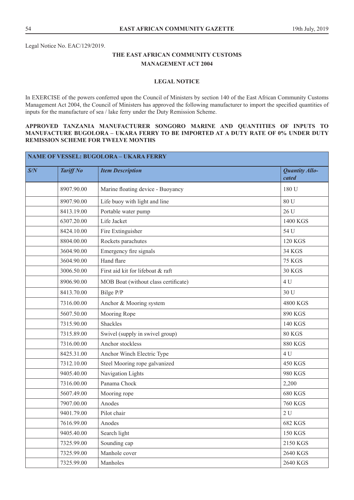Legal Notice No. EAC/129/2019.

# **THE EAST AFRICAN COMMUNITY CUSTOMS MANAGEMENT ACT 2004**

# **LEGAL NOTICE**

In EXERCISE of the powers conferred upon the Council of Ministers by section 140 of the East African Community Customs Management Act 2004, the Council of Ministers has approved the following manufacturer to import the specified quantities of inputs for the manufacture of sea / lake ferry under the Duty Remission Scheme.

# **APPROVED TANZANIA MANUFACTURER SONGORO MARINE AND QUANTITIES OF INPUTS TO MANUFACTURE BUGOLORA – UKARA FERRY TO BE IMPORTED AT A DUTY RATE OF 0% UNDER DUTY REMISSION SCHEME FOR TWELVE MONTHS**

| S/N | <b>Tariff No</b> | <b>Item Description</b>              | <b>Quantity Allo-</b><br>cated |
|-----|------------------|--------------------------------------|--------------------------------|
|     | 8907.90.00       | Marine floating device - Buoyancy    | 180 U                          |
|     | 8907.90.00       | Life buoy with light and line        | 80 U                           |
|     | 8413.19.00       | Portable water pump                  | 26 U                           |
|     | 6307.20.00       | Life Jacket                          | 1400 KGS                       |
|     | 8424.10.00       | Fire Extinguisher                    | 54 U                           |
|     | 8804.00.00       | Rockets parachutes                   | <b>120 KGS</b>                 |
|     | 3604.90.00       | Emergency fire signals               | 34 KGS                         |
|     | 3604.90.00       | Hand flare                           | <b>75 KGS</b>                  |
|     | 3006.50.00       | First aid kit for lifeboat & raft    | <b>30 KGS</b>                  |
|     | 8906.90.00       | MOB Boat (without class certificate) | 4 U                            |
|     | 8413.70.00       | Bilge P/P                            | 30 U                           |
|     | 7316.00.00       | Anchor & Mooring system              | 4800 KGS                       |
|     | 5607.50.00       | Mooring Rope                         | 890 KGS                        |
|     | 7315.90.00       | Shackles                             | 140 KGS                        |
|     | 7315.89.00       | Swivel (supply in swivel group)      | 80 KGS                         |
|     | 7316.00.00       | Anchor stockless                     | <b>880 KGS</b>                 |
|     | 8425.31.00       | Anchor Winch Electric Type           | 4 U                            |
|     | 7312.10.00       | Steel Mooring rope galvanized        | <b>450 KGS</b>                 |
|     | 9405.40.00       | Navigation Lights                    | 980 KGS                        |
|     | 7316.00.00       | Panama Chock                         | 2,200                          |
|     | 5607.49.00       | Mooring rope                         | <b>680 KGS</b>                 |
|     | 7907.00.00       | Anodes                               | <b>760 KGS</b>                 |
|     | 9401.79.00       | Pilot chair                          | 2U                             |
|     | 7616.99.00       | Anodes                               | <b>682 KGS</b>                 |
|     | 9405.40.00       | Search light                         | <b>150 KGS</b>                 |
|     | 7325.99.00       | Sounding cap                         | 2150 KGS                       |
|     | 7325.99.00       | Manhole cover                        | 2640 KGS                       |
|     | 7325.99.00       | Manholes                             | 2640 KGS                       |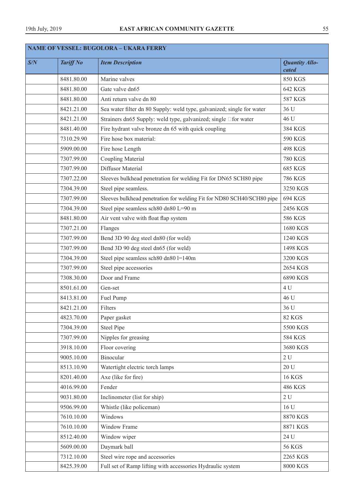| <b>NAME OF VESSEL: BUGOLORA - UKARA FERRY</b> |                                                                                      |                                                                        |                                |
|-----------------------------------------------|--------------------------------------------------------------------------------------|------------------------------------------------------------------------|--------------------------------|
| S/N                                           | <b>Tariff No</b>                                                                     | <b>Item Description</b>                                                | <b>Quantity Allo-</b><br>cated |
|                                               | 8481.80.00                                                                           | Marine valves                                                          | <b>850 KGS</b>                 |
|                                               | 8481.80.00                                                                           | Gate valve dn65                                                        | 642 KGS                        |
|                                               | 8481.80.00<br>Anti return valve dn 80                                                |                                                                        | <b>587 KGS</b>                 |
|                                               | 8421.21.00<br>Sea water filter dn 80 Supply: weld type, galvanized; single for water |                                                                        | 36 U                           |
|                                               | 8421.21.00                                                                           | Strainers dn65 Supply: weld type, galvanized; single □for water        | 46 U                           |
|                                               | 8481.40.00                                                                           | Fire hydrant valve bronze dn 65 with quick coupling                    | 384 KGS                        |
|                                               | 7310.29.90                                                                           | Fire hose box material:                                                | 590 KGS                        |
|                                               | 5909.00.00                                                                           | Fire hose Length                                                       | <b>498 KGS</b>                 |
|                                               | 7307.99.00                                                                           | <b>Coupling Material</b>                                               | <b>780 KGS</b>                 |
|                                               | 7307.99.00                                                                           | Diffusor Material                                                      | <b>685 KGS</b>                 |
|                                               | 7307.22.00                                                                           | Sleeves bulkhead penetration for welding Fit for DN65 SCH80 pipe       | <b>786 KGS</b>                 |
|                                               | 7304.39.00                                                                           | Steel pipe seamless.                                                   | 3250 KGS                       |
|                                               | 7307.99.00                                                                           | Sleeves bulkhead penetration for welding Fit for ND80 SCH40/SCH80 pipe | 694 KGS                        |
|                                               | 7304.39.00                                                                           | Steel pipe seamless sch80 dn80 L=90 m                                  | 2456 KGS                       |
|                                               | 8481.80.00                                                                           | Air vent valve with float flap system                                  | 586 KGS                        |
|                                               | 7307.21.00                                                                           | Flanges                                                                | 1680 KGS                       |
|                                               | 7307.99.00                                                                           | Bend 3D 90 deg steel dn80 (for weld)                                   | 1240 KGS                       |
|                                               | 7307.99.00                                                                           | Bend 3D 90 deg steel dn65 (for weld)                                   | 1498 KGS                       |
|                                               | 7304.39.00                                                                           | Steel pipe seamless sch80 dn80 l=140m                                  | 3200 KGS                       |
|                                               | 7307.99.00                                                                           | Steel pipe accessories                                                 | 2654 KGS                       |
|                                               | 7308.30.00                                                                           | Door and Frame                                                         | 6890 KGS                       |
|                                               | 8501.61.00                                                                           | Gen-set                                                                | 4 U                            |
|                                               | 8413.81.00                                                                           | Fuel Pump                                                              | 46 U                           |
|                                               | 8421.21.00                                                                           | Filters                                                                | 36 U                           |
|                                               | 4823.70.00                                                                           | Paper gasket                                                           | <b>82 KGS</b>                  |
|                                               | 7304.39.00                                                                           | <b>Steel Pipe</b>                                                      | 5500 KGS                       |
|                                               | 7307.99.00                                                                           | Nipples for greasing                                                   | 584 KGS                        |
|                                               | 3918.10.00                                                                           | Floor covering                                                         | 3680 KGS                       |
|                                               | 9005.10.00                                                                           | Binocular                                                              | 2U                             |
|                                               | 8513.10.90                                                                           | Watertight electric torch lamps                                        | 20U                            |
|                                               | 8201.40.00                                                                           | Axe (like for fire)                                                    | <b>16 KGS</b>                  |
|                                               | 4016.99.00                                                                           | Fender                                                                 | 486 KGS                        |
|                                               | 9031.80.00                                                                           | Inclinometer (list for ship)                                           | 2U                             |
|                                               | 9506.99.00                                                                           | Whistle (like policeman)                                               | 16 U                           |
|                                               | 7610.10.00                                                                           | Windows                                                                | 8870 KGS                       |
|                                               | 7610.10.00                                                                           | Window Frame                                                           | 8871 KGS                       |
|                                               | 8512.40.00                                                                           | Window wiper                                                           | 24 U                           |
|                                               | 5609.00.00                                                                           | Daymark ball                                                           | <b>56 KGS</b>                  |
|                                               | 7312.10.00                                                                           | Steel wire rope and accessories                                        | 2265 KGS                       |
|                                               | 8425.39.00                                                                           | Full set of Ramp lifting with accessories Hydraulic system             | 8000 KGS                       |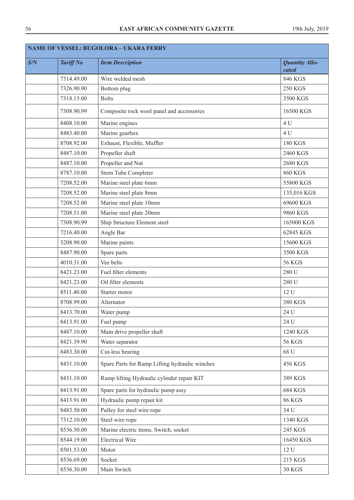| <b>NAME OF VESSEL: BUGOLORA - UKARA FERRY</b> |                  |                                                |                                |
|-----------------------------------------------|------------------|------------------------------------------------|--------------------------------|
| S/N                                           | <b>Tariff No</b> | <b>Item Description</b>                        | <b>Quantity Allo-</b><br>cated |
|                                               | 7314.49.00       | Wire welded mesh                               | 846 KGS                        |
|                                               | 7326.90.90       | Bottom plug                                    | <b>250 KGS</b>                 |
|                                               | 7318.15.00       | <b>Bolts</b>                                   | 3500 KGS                       |
|                                               | 7308.90.99       | Composite rock wool panel and accessories      | 16500 KGS                      |
|                                               | 8408.10.00       | Marine engines                                 | 4 U                            |
|                                               | 8483.40.00       | Marine gearbox                                 | 4 U                            |
|                                               | 8708.92.00       | Exhaust, Flexible, Muffler                     | <b>180 KGS</b>                 |
|                                               | 8487.10.00       | Propeller shaft                                | 2460 KGS                       |
|                                               | 8487.10.00       | Propeller and Nut                              | 2680 KGS                       |
|                                               | 8787.10.00       | Stern Tube Completer                           | <b>860 KGS</b>                 |
|                                               | 7208.52.00       | Marine steel plate 6mm                         | 55800 KGS                      |
|                                               | 7208.52.00       | Marine steel plate 8mm                         | 135,016 KGS                    |
|                                               | 7208.52.00       | Marine steel plate 10mm                        | 69600 KGS                      |
|                                               | 7208.51.00       | Marine steel plate 20mm                        | 9860 KGS                       |
|                                               | 7308.90.99       | Ship Structure Element steel                   | 165000 KGS                     |
|                                               | 7216.40.00       | Angle Bar                                      | 62845 KGS                      |
|                                               | 3208.90.00       | Marine paints                                  | 15600 KGS                      |
|                                               | 8487.90.00       | Spare parts                                    | 3500 KGS                       |
|                                               | 4010.31.00       | Vee belts                                      | <b>56 KGS</b>                  |
|                                               | 8421.23.00       | Fuel filter elements                           | 280 U                          |
|                                               | 8421.23.00       | Oil filter elements                            | 280 U                          |
|                                               | 8511.40.00       | Starter motor                                  | 12 U                           |
|                                               | 8708.99.00       | Alternator                                     | 380 KGS                        |
|                                               | 8413.70.00       | Water pump                                     | 24 U                           |
|                                               | 8413.91.00       | Fuel pump                                      | 24 U                           |
|                                               | 8487.10.00       | Main drive propeller shaft                     | 1240 KGS                       |
|                                               | 8421.39.90       | Water separator                                | <b>56 KGS</b>                  |
|                                               | 8483.30.00       | Cut-less bearing                               | 68 U                           |
|                                               | 8431.10.00       | Spare Parts for Ramp Lifting hydraulic winches | 456 KGS                        |
|                                               | 8431.10.00       | Ramp lifting Hydraulic cylinder repair KIT     | 389 KGS                        |
|                                               | 8413.91.00       | Spare parts for hydraulic pump assy            | <b>684 KGS</b>                 |
|                                               | 8413.91.00       | Hydraulic pump repair kit                      | <b>86 KGS</b>                  |
|                                               | 8483.50.00       | Pulley for steel wire rope                     | 34 U                           |
|                                               | 7312.10.00       | Steel wire rope                                | 1340 KGS                       |
|                                               | 8536.50.00       | Marine electric items, Switch, socket          | 245 KGS                        |
|                                               | 8544.19.00       | <b>Electrical Wire</b>                         | 16450 KGS                      |
|                                               | 8501.53.00       | Motor                                          | 12 U                           |
|                                               | 8536.69.00       | Socket                                         | 215 KGS                        |
|                                               | 8536.30.00       | Main Switch                                    | <b>30 KGS</b>                  |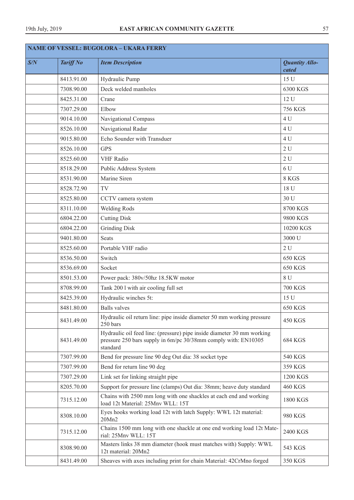| <b>NAME OF VESSEL: BUGOLORA - UKARA FERRY</b> |                  |                                                                                                                                                      |                                |
|-----------------------------------------------|------------------|------------------------------------------------------------------------------------------------------------------------------------------------------|--------------------------------|
| S/N                                           | <b>Tariff No</b> | <b>Item Description</b>                                                                                                                              | <b>Quantity Allo-</b><br>cated |
|                                               | 8413.91.00       | Hydraulic Pump                                                                                                                                       | 15 U                           |
|                                               | 7308.90.00       | Deck welded manholes                                                                                                                                 | 6300 KGS                       |
|                                               | 8425.31.00       | Crane                                                                                                                                                | 12 U                           |
|                                               | 7307.29.00       | Elbow                                                                                                                                                | <b>756 KGS</b>                 |
|                                               | 9014.10.00       | Navigational Compass                                                                                                                                 | 4 U                            |
|                                               | 8526.10.00       | Navigational Radar                                                                                                                                   | 4 U                            |
|                                               | 9015.80.00       | Echo Sounder with Transduer                                                                                                                          | 4 U                            |
|                                               | 8526.10.00       | <b>GPS</b>                                                                                                                                           | 2U                             |
|                                               | 8525.60.00       | <b>VHF</b> Radio                                                                                                                                     | 2U                             |
|                                               | 8518.29.00       | Public Address System                                                                                                                                | 6 U                            |
|                                               | 8531.90.00       | Marine Siren                                                                                                                                         | 8 KGS                          |
|                                               | 8528.72.90       | TV                                                                                                                                                   | 18 U                           |
|                                               | 8525.80.00       | CCTV camera system                                                                                                                                   | 30 U                           |
|                                               | 8311.10.00       | <b>Welding Rods</b>                                                                                                                                  | 8700 KGS                       |
|                                               | 6804.22.00       | <b>Cutting Disk</b>                                                                                                                                  | 9800 KGS                       |
|                                               | 6804.22.00       | <b>Grinding Disk</b>                                                                                                                                 | 10200 KGS                      |
|                                               | 9401.80.00       | <b>Seats</b>                                                                                                                                         | 3000 U                         |
|                                               | 8525.60.00       | Portable VHF radio                                                                                                                                   | 2U                             |
|                                               | 8536.50.00       | Switch                                                                                                                                               | 650 KGS                        |
|                                               | 8536.69.00       | Socket                                                                                                                                               | 650 KGS                        |
|                                               | 8501.53.00       | Power pack: 380v/50hz 18.5KW motor                                                                                                                   | 8 U                            |
|                                               | 8708.99.00       | Tank 200 l with air cooling full set                                                                                                                 | <b>700 KGS</b>                 |
|                                               | 8425.39.00       | Hydraulic winches 5t:                                                                                                                                | 15 U                           |
|                                               | 8481.80.00       | <b>Balls</b> valves                                                                                                                                  | <b>650 KGS</b>                 |
|                                               | 8431.49.00       | Hydraulic oil return line: pipe inside diameter 50 mm working pressure<br>250 bars                                                                   | <b>450 KGS</b>                 |
|                                               | 8431.49.00       | Hydraulic oil feed line: (pressure) pipe inside diameter 30 mm working<br>pressure 250 bars supply in 6m/pc 30/38mm comply with: EN10305<br>standard | <b>684 KGS</b>                 |
|                                               | 7307.99.00       | Bend for pressure line 90 deg Out dia: 38 socket type                                                                                                | <b>540 KGS</b>                 |
|                                               | 7307.99.00       | Bend for return line 90 deg                                                                                                                          | 359 KGS                        |
|                                               | 7307.29.00       | Link set for linking straight pipe                                                                                                                   | 1200 KGS                       |
|                                               | 8205.70.00       | Support for pressure line (clamps) Out dia: 38mm; heave duty standard                                                                                | <b>460 KGS</b>                 |
|                                               | 7315.12.00       | Chains with 2500 mm long with one shackles at each end and working<br>load 12t Material: 25Mnv WLL: 15T                                              | 1800 KGS                       |
|                                               | 8308.10.00       | Eyes hooks working load 12t with latch Supply: WWL 12t material:<br>20Mn2                                                                            | 980 KGS                        |
|                                               | 7315.12.00       | Chains 1500 mm long with one shackle at one end working load 12t Mate-<br>rial: 25Mnv WLL: 15T                                                       | 2400 KGS                       |
|                                               | 8308.90.00       | Masters links 38 mm diameter (hook must matches with) Supply: WWL<br>12t material: 20Mn2                                                             | 543 KGS                        |
|                                               | 8431.49.00       | Sheaves with axes including print for chain Material: 42CrMno forged                                                                                 | 350 KGS                        |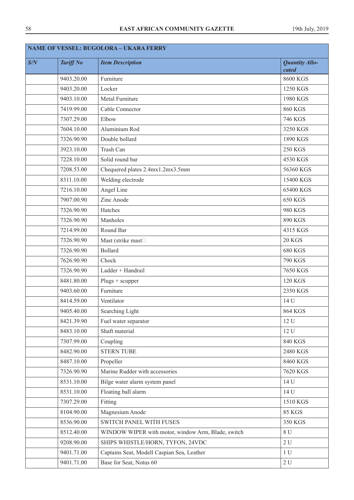| <b>NAME OF VESSEL: BUGOLORA - UKARA FERRY</b> |                  |                                                    |                                |
|-----------------------------------------------|------------------|----------------------------------------------------|--------------------------------|
| S/N                                           | <b>Tariff No</b> | <b>Item Description</b>                            | <b>Quantity Allo-</b><br>cated |
|                                               | 9403.20.00       | Furniture                                          | 8600 KGS                       |
|                                               | 9403.20.00       | Locker                                             | 1250 KGS                       |
|                                               | 9403.10.00       | Metal Furniture                                    | 1980 KGS                       |
|                                               | 7419.99.00       | Cable Connector                                    | <b>860 KGS</b>                 |
|                                               | 7307.29.00       | Elbow                                              | <b>746 KGS</b>                 |
|                                               | 7604.10.00       | Aluminium Rod                                      | 3250 KGS                       |
|                                               | 7326.90.90       | Double bollard                                     | 1890 KGS                       |
|                                               | 3923.10.00       | Trash Can                                          | <b>250 KGS</b>                 |
|                                               | 7228.10.00       | Solid round bar                                    | 4530 KGS                       |
|                                               | 7208.53.00       | Chequered plates 2.4mx1.2mx3.5mm                   | 56360 KGS                      |
|                                               | 8311.10.00       | Welding electrode                                  | 15400 KGS                      |
|                                               | 7216.10.00       | Angel Line                                         | 65400 KGS                      |
|                                               | 7907.00.90       | Zinc Anode                                         | <b>650 KGS</b>                 |
|                                               | 7326.90.90       | Hatches                                            | <b>980 KGS</b>                 |
|                                               | 7326.90.90       | Manholes                                           | 890 KGS                        |
|                                               | 7214.99.00       | Round Bar                                          | 4315 KGS                       |
|                                               | 7326.90.90       | Mast (strike mast <sup>[1]</sup>                   | <b>20 KGS</b>                  |
|                                               | 7326.90.90       | <b>Bollard</b>                                     | <b>680 KGS</b>                 |
|                                               | 7626.90.90       | Chock                                              | <b>790 KGS</b>                 |
|                                               | 7326.90.90       | Ladder + Handrail                                  | 7650 KGS                       |
|                                               | 8481.80.00       | $Plugs + scupper$                                  | <b>120 KGS</b>                 |
|                                               | 9403.60.00       | Furniture                                          | 2350 KGS                       |
|                                               | 8414.59.00       | Ventilator                                         | 14 U                           |
|                                               | 9405.40.00       | Searching Light                                    | 864 KGS                        |
|                                               | 8421.39.90       | Fuel water separator                               | 12 U                           |
|                                               | 8483.10.00       | Shaft material                                     | 12 U                           |
|                                               | 7307.99.00       | Coupling                                           | <b>840 KGS</b>                 |
|                                               | 8482.90.00       | <b>STERN TUBE</b>                                  | 2480 KGS                       |
|                                               | 8487.10.00       | Propeller                                          | 8460 KGS                       |
|                                               | 7326.90.90       | Marine Rudder with accessories                     | 7620 KGS                       |
|                                               | 8531.10.00       | Bilge water alarm system panel                     | 14 U                           |
|                                               | 8531.10.00       | Floating ball alarm                                | 14 U                           |
|                                               | 7307.29.00       | Fitting                                            | 1510 KGS                       |
|                                               | 8104.90.00       | Magnesium Anode                                    | <b>85 KGS</b>                  |
|                                               | 8536.90.00       | SWITCH PANEL WITH FUSES                            | 350 KGS                        |
|                                               | 8512.40.00       | WINDOW WIPER with motor, window Arm, Blade, switch | 8U                             |
|                                               | 9208.90.00       | SHIPS WHISTLE/HORN, TYFON, 24VDC                   | 2U                             |
|                                               | 9401.71.00       | Captains Seat, Modell Caspian Sea, Leather         | 1 <sub>U</sub>                 |
|                                               | 9401.71.00       | Base for Seat, Notus 60                            | $2\,\mathrm{U}$                |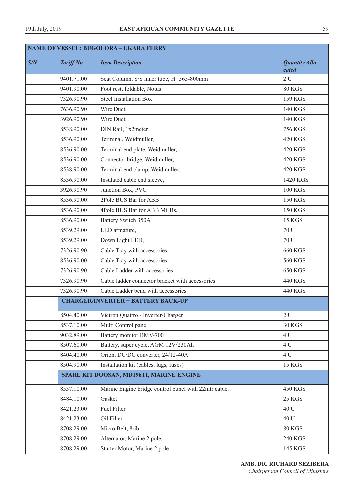| <b>NAME OF VESSEL: BUGOLORA - UKARA FERRY</b> |                  |                                                      |                                |
|-----------------------------------------------|------------------|------------------------------------------------------|--------------------------------|
| S/N                                           | <b>Tariff No</b> | <b>Item Description</b>                              | <b>Quantity Allo-</b><br>cated |
|                                               | 9401.71.00       | Seat Column, S/S inner tube, H=565-800mm             | 2U                             |
|                                               | 9401.90.00       | Foot rest, foldable, Notus                           | 80 KGS                         |
|                                               | 7326.90.90       | <b>Steel Installation Box</b>                        | 159 KGS                        |
|                                               | 7636.90.90       | Wire Duct,                                           | <b>140 KGS</b>                 |
|                                               | 3926.90.90       | Wire Duct,                                           | 140 KGS                        |
|                                               | 8538.90.00       | DIN Rail, 1x2meter                                   | <b>756 KGS</b>                 |
|                                               | 8536.90.00       | Terminal, Weidmuller,                                | <b>420 KGS</b>                 |
|                                               | 8536.90.00       | Terminal end plate, Weidmuller,                      | <b>420 KGS</b>                 |
|                                               | 8536.90.00       | Connector bridge, Weidmuller,                        | <b>420 KGS</b>                 |
|                                               | 8538.90.00       | Terminal end clamp, Weidmuller,                      | <b>420 KGS</b>                 |
|                                               | 8536.90.00       | Insulated cable end sleeve,                          | 1420 KGS                       |
|                                               | 3926.90.90       | Junction Box, PVC                                    | <b>100 KGS</b>                 |
|                                               | 8536.90.00       | 2Pole BUS Bar for ABB                                | <b>150 KGS</b>                 |
|                                               | 8536.90.00       | 4Pole BUS Bar for ABB MCBs,                          | <b>150 KGS</b>                 |
|                                               | 8536.90.00       | Battery Switch 350A                                  | <b>15 KGS</b>                  |
|                                               | 8539.29.00       | LED armature,                                        | 70 U                           |
|                                               | 8539.29.00       | Down Light LED,                                      | 70 U                           |
|                                               | 7326.90.90       | Cable Tray with accessories                          | <b>660 KGS</b>                 |
|                                               | 8536.90.00       | Cable Tray with accessories                          | <b>560 KGS</b>                 |
|                                               | 7326.90.90       | Cable Ladder with accessories                        | <b>650 KGS</b>                 |
|                                               | 7326.90.90       | Cable ladder connector bracket with accessories      | 440 KGS                        |
|                                               | 7326.90.90       | Cable Ladder bend with accessories                   | 440 KGS                        |
|                                               |                  | <b>CHARGER/INVERTER + BATTERY BACK-UP</b>            |                                |
|                                               | 8504.40.00       | Victron Quattro - Inverter-Charger                   | 2U                             |
|                                               | 8537.10.00       | Multi Control panel                                  | <b>30 KGS</b>                  |
|                                               | 9032.89.00       | Battery monitor BMV-700                              | 4 U                            |
|                                               | 8507.60.00       | Battery, super cycle, AGM 12V/230Ah                  | 4 U                            |
|                                               | 8404.40.00       | Orion, DC/DC converter, 24/12-40A                    | 4 U                            |
|                                               | 8504.90.00       | Installation kit (cables, lugs, fuses)               | <b>15 KGS</b>                  |
|                                               |                  | SPARE KIT DOOSAN, MD196TI, MARINE ENGINE             |                                |
|                                               | 8537.10.00       | Marine Engine bridge control panel with 22mtr cable. | <b>450 KGS</b>                 |
|                                               | 8484.10.00       | Gasket                                               | <b>25 KGS</b>                  |
|                                               | 8421.23.00       | Fuel Filter                                          | 40 U                           |
|                                               | 8421.23.00       | Oil Filter                                           | 40 U                           |
|                                               | 8708.29.00       | Micro Belt, 8rib                                     | <b>80 KGS</b>                  |
|                                               | 8708.29.00       | Alternator, Marine 2 pole,                           | <b>240 KGS</b>                 |
|                                               | 8708.29.00       | Starter Motor, Marine 2 pole                         | 145 KGS                        |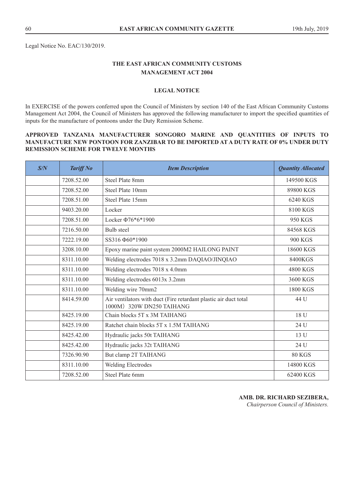Legal Notice No. EAC/130/2019.

# **THE EAST AFRICAN COMMUNITY CUSTOMS MANAGEMENT ACT 2004**

# **LEGAL NOTICE**

In EXERCISE of the powers conferred upon the Council of Ministers by section 140 of the East African Community Customs Management Act 2004, the Council of Ministers has approved the following manufacturer to import the specified quantities of inputs for the manufacture of pontoons under the Duty Remission Scheme.

## **APPROVED TANZANIA MANUFACTURER SONGORO MARINE AND QUANTITIES OF INPUTS TO MANUFACTURE NEW PONTOON FOR ZANZIBAR TO BE IMPORTED AT A DUTY RATE OF 0% UNDER DUTY REMISSION SCHEME FOR TWELVE MONTHS**

| S/N | <b>Tariff No</b> | <b>Item Description</b>                                                                       | <b>Quantity Allocated</b> |
|-----|------------------|-----------------------------------------------------------------------------------------------|---------------------------|
|     | 7208.52.00       | <b>Steel Plate 8mm</b>                                                                        | 149500 KGS                |
|     | 7208.52.00       | Steel Plate 10mm                                                                              | 89800 KGS                 |
|     | 7208.51.00       | Steel Plate 15mm                                                                              | 6240 KGS                  |
|     | 9403.20.00       | Locker                                                                                        | 8100 KGS                  |
|     | 7208.51.00       | Locker $\Phi$ 76*6*1900                                                                       | 950 KGS                   |
|     | 7216.50.00       | <b>Bulb</b> steel                                                                             | 84568 KGS                 |
|     | 7222.19.00       | SS316 \tip60*1900                                                                             | <b>900 KGS</b>            |
|     | 3208.10.00       | Epoxy marine paint system 2000M2 HAILONG PAINT                                                | 18600 KGS                 |
|     | 8311.10.00       | Welding electrodes 7018 x 3.2mm DAQIAO/JINQIAO                                                | 8400KGS                   |
|     | 8311.10.00       | Welding electrodes 7018 x 4.0mm                                                               | 4800 KGS                  |
|     | 8311.10.00       | Welding electrodes 6013x 3.2mm                                                                | 3600 KGS                  |
|     | 8311.10.00       | Welding wire 70mm2                                                                            | 1800 KGS                  |
|     | 8414.59.00       | Air ventilators with duct (Fire retardant plastic air duct total<br>1000M) 320W DN250 TAIHANG | 44 U                      |
|     | 8425.19.00       | Chain blocks 5T x 3M TAIHANG                                                                  | 18 U                      |
|     | 8425.19.00       | Ratchet chain blocks 5T x 1.5M TAIHANG                                                        | 24 U                      |
|     | 8425.42.00       | Hydraulic jacks 50t TAIHANG                                                                   | 13 U                      |
|     | 8425.42.00       | Hydraulic jacks 32t TAIHANG                                                                   | 24 U                      |
|     | 7326.90.90       | But clamp 2T TAIHANG                                                                          | <b>80 KGS</b>             |
|     | 8311.10.00       | Welding Electrodes                                                                            | 14800 KGS                 |
|     | 7208.52.00       | Steel Plate 6mm                                                                               | 62400 KGS                 |

**AMB. DR. RICHARD SEZIBERA,**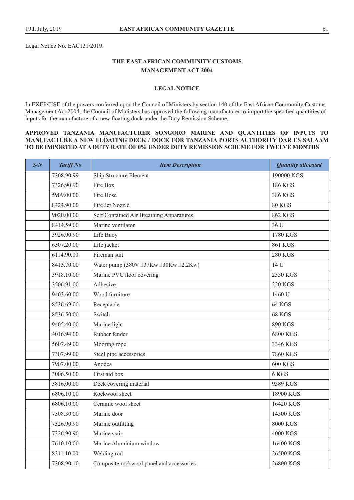Legal Notice No. EAC131/2019.

# **THE EAST AFRICAN COMMUNITY CUSTOMS MANAGEMENT ACT 2004**

#### **LEGAL NOTICE**

In EXERCISE of the powers conferred upon the Council of Ministers by section 140 of the East African Community Customs Management Act 2004, the Council of Ministers has approved the following manufacturer to import the specified quantities of inputs for the manufacture of a new floating dock under the Duty Remission Scheme.

# **APPROVED TANZANIA MANUFACTURER SONGORO MARINE AND QUANTITIES OF INPUTS TO MANUFACTURE A NEW FLOATING DECK / DOCK FOR TANZANIA PORTS AUTHORITY DAR ES SALAAM TO BE IMPORTED AT A DUTY RATE OF 0% UNDER DUTY REMISSION SCHEME FOR TWELVE MONTHS**

| S/N | <b>Tariff No</b> | <b>Item Description</b>                                     | <b>Quantity allocated</b> |
|-----|------------------|-------------------------------------------------------------|---------------------------|
|     | 7308.90.99       | Ship Structure Element                                      | 190000 KGS                |
|     | 7326.90.90       | Fire Box                                                    | 186 KGS                   |
|     | 5909.00.00       | Fire Hose                                                   | 386 KGS                   |
|     | 8424.90.00       | Fire Jet Nozzle                                             | <b>80 KGS</b>             |
|     | 9020.00.00       | Self Contained Air Breathing Apparatures                    | <b>862 KGS</b>            |
|     | 8414.59.00       | Marine ventilator                                           | 36 U                      |
|     | 3926.90.90       | Life Buoy                                                   | 1780 KGS                  |
|     | 6307.20.00       | Life jacket                                                 | 861 KGS                   |
|     | 6114.90.00       | Fireman suit                                                | <b>280 KGS</b>            |
|     | 8413.70.00       | Water pump $(380V \square 37Kw \square 30Kw \square 2.2Kw)$ | 14 U                      |
|     | 3918.10.00       | Marine PVC floor covering                                   | 2350 KGS                  |
|     | 3506.91.00       | Adhesive                                                    | <b>220 KGS</b>            |
|     | 9403.60.00       | Wood furniture                                              | 1460 U                    |
|     | 8536.69.00       | Receptacle                                                  | <b>64 KGS</b>             |
|     | 8536.50.00       | Switch                                                      | 68 KGS                    |
|     | 9405.40.00       | Marine light                                                | 890 KGS                   |
|     | 4016.94.00       | Rubber fender                                               | 6800 KGS                  |
|     | 5607.49.00       | Mooring rope                                                | 3346 KGS                  |
|     | 7307.99.00       | Steel pipe accessories                                      | 7860 KGS                  |
|     | 7907.00.00       | Anodes                                                      | <b>600 KGS</b>            |
|     | 3006.50.00       | First aid box                                               | 6 KGS                     |
|     | 3816.00.00       | Deck covering material                                      | 9589 KGS                  |
|     | 6806.10.00       | Rockwool sheet                                              | 18900 KGS                 |
|     | 6806.10.00       | Ceramic wool sheet                                          | 16420 KGS                 |
|     | 7308.30.00       | Marine door                                                 | 14500 KGS                 |
|     | 7326.90.90       | Marine outfitting                                           | 8000 KGS                  |
|     | 7326.90.90       | Marine stair                                                | 4000 KGS                  |
|     | 7610.10.00       | Marine Aluminium window                                     | 16400 KGS                 |
|     | 8311.10.00       | Welding rod                                                 | 26500 KGS                 |
|     | 7308.90.10       | Composite rockwool panel and accessories                    | 26800 KGS                 |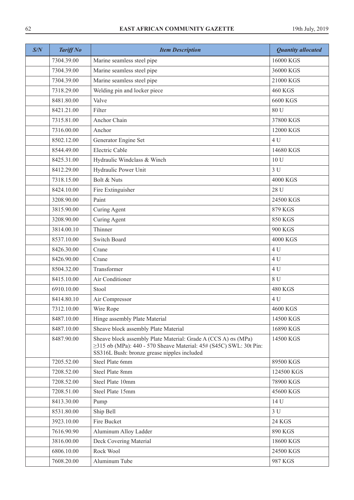| S/N | <b>Tariff No</b> | <b>Item Description</b>                                                                                                                                                                                   | <b>Quantity allocated</b> |
|-----|------------------|-----------------------------------------------------------------------------------------------------------------------------------------------------------------------------------------------------------|---------------------------|
|     | 7304.39.00       | Marine seamless steel pipe                                                                                                                                                                                | 16000 KGS                 |
|     | 7304.39.00       | Marine seamless steel pipe                                                                                                                                                                                | 36000 KGS                 |
|     | 7304.39.00       | Marine seamless steel pipe                                                                                                                                                                                | 21000 KGS                 |
|     | 7318.29.00       | Welding pin and locker piece                                                                                                                                                                              | <b>460 KGS</b>            |
|     | 8481.80.00       | Valve                                                                                                                                                                                                     | 6600 KGS                  |
|     | 8421.21.00       | Filter                                                                                                                                                                                                    | 80 U                      |
|     | 7315.81.00       | Anchor Chain                                                                                                                                                                                              | 37800 KGS                 |
|     | 7316.00.00       | Anchor                                                                                                                                                                                                    | 12000 KGS                 |
|     | 8502.12.00       | Generator Engine Set                                                                                                                                                                                      | 4 <sub>U</sub>            |
|     | 8544.49.00       | <b>Electric Cable</b>                                                                                                                                                                                     | 14680 KGS                 |
|     | 8425.31.00       | Hydraulic Windclass & Winch                                                                                                                                                                               | 10 U                      |
|     | 8412.29.00       | Hydraulic Power Unit                                                                                                                                                                                      | 3U                        |
|     | 7318.15.00       | Bolt & Nuts                                                                                                                                                                                               | 4000 KGS                  |
|     | 8424.10.00       | Fire Extinguisher                                                                                                                                                                                         | 28 U                      |
|     | 3208.90.00       | Paint                                                                                                                                                                                                     | 24500 KGS                 |
|     | 3815.90.00       | Curing Agent                                                                                                                                                                                              | 879 KGS                   |
|     | 3208.90.00       | Curing Agent                                                                                                                                                                                              | 850 KGS                   |
|     | 3814.00.10       | Thinner                                                                                                                                                                                                   | <b>900 KGS</b>            |
|     | 8537.10.00       | <b>Switch Board</b>                                                                                                                                                                                       | 4000 KGS                  |
|     | 8426.30.00       | Crane                                                                                                                                                                                                     | 4 U                       |
|     | 8426.90.00       | Crane                                                                                                                                                                                                     | 4 U                       |
|     | 8504.32.00       | Transformer                                                                                                                                                                                               | 4 U                       |
|     | 8415.10.00       | Air Conditioner                                                                                                                                                                                           | 8 U                       |
|     | 6910.10.00       | Stool                                                                                                                                                                                                     | <b>480 KGS</b>            |
|     | 8414.80.10       | Air Compressor                                                                                                                                                                                            | 4 U                       |
|     | 7312.10.00       | Wire Rope                                                                                                                                                                                                 | 4600 KGS                  |
|     | 8487.10.00       | Hinge assembly Plate Material                                                                                                                                                                             | 14500 KGS                 |
|     | 8487.10.00       | Sheave block assembly Plate Material                                                                                                                                                                      | 16890 KGS                 |
|     | 8487.90.00       | Sheave block assembly Plate Material: Grade A (CCS A) $\sigma s$ (MPa)<br>$\geq$ 315 $\sigma$ b (MPa): 440 - 570 Sheave Material: 45# (S45C) SWL: 30t Pin:<br>SS316L Bush: bronze grease nipples included | 14500 KGS                 |
|     | 7205.52.00       | Steel Plate 6mm                                                                                                                                                                                           | 89500 KGS                 |
|     | 7208.52.00       | Steel Plate 8mm                                                                                                                                                                                           | 124500 KGS                |
|     | 7208.52.00       | Steel Plate 10mm                                                                                                                                                                                          | 78900 KGS                 |
|     | 7208.51.00       | Steel Plate 15mm                                                                                                                                                                                          | 45600 KGS                 |
|     | 8413.30.00       | Pump                                                                                                                                                                                                      | 14 U                      |
|     | 8531.80.00       | Ship Bell                                                                                                                                                                                                 | 3U                        |
|     | 3923.10.00       | Fire Bucket                                                                                                                                                                                               | 24 KGS                    |
|     | 7616.90.90       | Aluminum Alloy Ladder                                                                                                                                                                                     | 890 KGS                   |
|     | 3816.00.00       | Deck Covering Material                                                                                                                                                                                    | 18600 KGS                 |
|     | 6806.10.00       | Rock Wool                                                                                                                                                                                                 | 24500 KGS                 |
|     | 7608.20.00       | Aluminum Tube                                                                                                                                                                                             | 987 KGS                   |